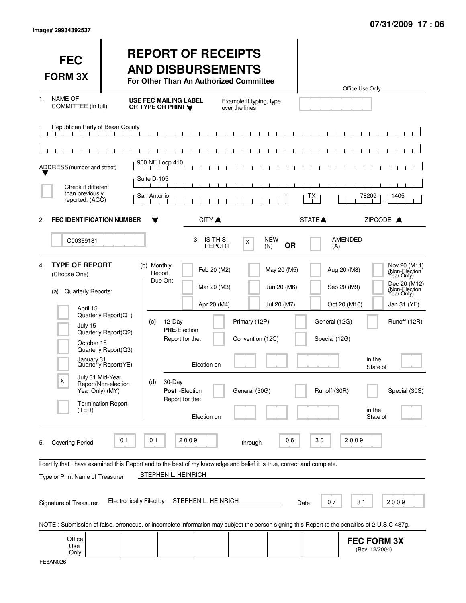| <b>FEC</b><br><b>FORM 3X</b>                                                                                                                                                               |                                                                                                                                                  | <b>REPORT OF RECEIPTS</b><br><b>AND DISBURSEMENTS</b><br>For Other Than An Authorized Committee                                                                                                                               |                                                    |                                           |                                                                                              | Office Use Only                                                                                                                                                                        |
|--------------------------------------------------------------------------------------------------------------------------------------------------------------------------------------------|--------------------------------------------------------------------------------------------------------------------------------------------------|-------------------------------------------------------------------------------------------------------------------------------------------------------------------------------------------------------------------------------|----------------------------------------------------|-------------------------------------------|----------------------------------------------------------------------------------------------|----------------------------------------------------------------------------------------------------------------------------------------------------------------------------------------|
| <b>NAME OF</b><br>1.<br>COMMITTEE (in full)                                                                                                                                                |                                                                                                                                                  | <b>USE FEC MAILING LABEL</b><br>OR TYPE OR PRINT                                                                                                                                                                              | Example: If typing, type<br>over the lines         |                                           |                                                                                              |                                                                                                                                                                                        |
| Republican Party of Bexar County<br>ADDRESS (number and street)                                                                                                                            |                                                                                                                                                  | 900 NE Loop 410                                                                                                                                                                                                               |                                                    |                                           |                                                                                              |                                                                                                                                                                                        |
| Check if different<br>than previously<br>reported. (ACC)                                                                                                                                   |                                                                                                                                                  | -1. 1.<br>Suite D-105<br>San Antonio                                                                                                                                                                                          |                                                    | $\blacksquare$<br>$\blacksquare$          | TX                                                                                           | 78209<br>1405                                                                                                                                                                          |
| <b>FEC IDENTIFICATION NUMBER</b><br>2.                                                                                                                                                     |                                                                                                                                                  | CITY A                                                                                                                                                                                                                        |                                                    |                                           | STATE <sup></sup>                                                                            | ZIPCODE A                                                                                                                                                                              |
| C00369181                                                                                                                                                                                  |                                                                                                                                                  | 3. IS THIS<br><b>REPORT</b>                                                                                                                                                                                                   | X                                                  | <b>NEW</b><br><b>OR</b><br>(N)            | <b>AMENDED</b><br>(A)                                                                        |                                                                                                                                                                                        |
| <b>TYPE OF REPORT</b><br>$\mathbf{4}$<br>(Choose One)<br>Quarterly Reports:<br>(a)<br>April 15<br>July 15<br>October 15<br>January 31<br>July 31 Mid-Year<br>X<br>Year Only) (MY)<br>(TER) | Quarterly Report(Q1)<br>Quarterly Report(Q2)<br>Quarterly Report(Q3)<br>Quarterly Report(YE)<br>Report(Non-election<br><b>Termination Report</b> | (b) Monthly<br>Feb 20 (M2)<br>Report<br>Due On:<br>Mar 20 (M3)<br>Apr 20 (M4)<br>12-Day<br>(c)<br><b>PRE-Election</b><br>Report for the:<br>Election on<br>30-Day<br>(d)<br>Post - Election<br>Report for the:<br>Election on | Primary (12P)<br>Convention (12C)<br>General (30G) | May 20 (M5)<br>Jun 20 (M6)<br>Jul 20 (M7) | Aug 20 (M8)<br>Sep 20 (M9)<br>Oct 20 (M10)<br>General (12G)<br>Special (12G)<br>Runoff (30R) | Nov 20 (M11)<br>(Non-Election<br>Year Only)<br>Dec 20 (M12)<br>(Non-Election<br>Year Only)<br>Jan 31 (YE)<br>Runoff (12R)<br>in the<br>State of<br>Special (30S)<br>in the<br>State of |
| <b>Covering Period</b><br>5.<br>Type or Print Name of Treasurer<br>Signature of Treasurer                                                                                                  | 0 <sub>1</sub><br><b>Electronically Filed by</b>                                                                                                 | 2009<br>01<br>I certify that I have examined this Report and to the best of my knowledge and belief it is true, correct and complete.<br>STEPHEN L. HEINRICH<br>STEPHEN L. HEINRICH                                           | through                                            | 06<br>Date                                | 30<br>07                                                                                     | 2009<br>31<br>2009                                                                                                                                                                     |
| Office<br>Use<br>Only                                                                                                                                                                      |                                                                                                                                                  | NOTE: Submission of false, erroneous, or incomplete information may subject the person signing this Report to the penalties of 2 U.S.C 437g.                                                                                  |                                                    |                                           |                                                                                              | <b>FEC FORM 3X</b><br>(Rev. 12/2004)                                                                                                                                                   |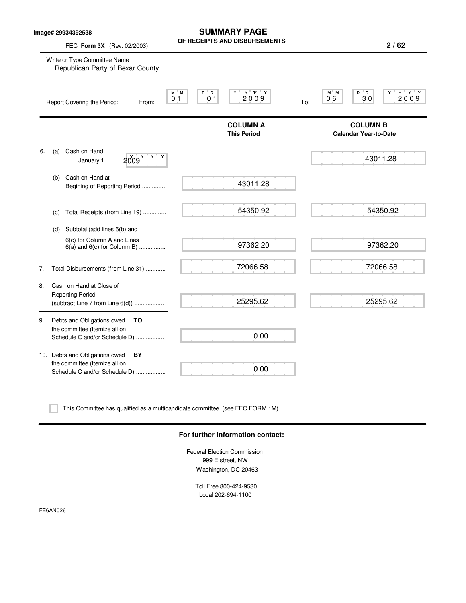| Write or Type Committee Name<br>Republican Party of Bexar County<br>Report Covering the Period:<br>From:<br>Cash on Hand<br>Y<br>2009<br>January 1<br>Cash on Hand at<br>Begining of Reporting Period | M M<br>D D<br>Υ<br>0 <sub>1</sub><br>0 <sub>1</sub>      | $Y$ $Y$ $Y$<br>2009<br><b>COLUMN A</b><br><b>This Period</b><br>43011.28 | $Y$ $Y$ $Y$<br>M M<br>$D^{\bullet}D$<br>Υ<br>2009<br>06<br>30<br>To:<br><b>COLUMN B</b><br><b>Calendar Year-to-Date</b><br>43011.28 |
|-------------------------------------------------------------------------------------------------------------------------------------------------------------------------------------------------------|----------------------------------------------------------|--------------------------------------------------------------------------|-------------------------------------------------------------------------------------------------------------------------------------|
|                                                                                                                                                                                                       |                                                          |                                                                          |                                                                                                                                     |
|                                                                                                                                                                                                       |                                                          |                                                                          |                                                                                                                                     |
|                                                                                                                                                                                                       |                                                          |                                                                          |                                                                                                                                     |
|                                                                                                                                                                                                       |                                                          |                                                                          |                                                                                                                                     |
|                                                                                                                                                                                                       |                                                          |                                                                          |                                                                                                                                     |
| Total Receipts (from Line 19)                                                                                                                                                                         |                                                          | 54350.92                                                                 | 54350.92                                                                                                                            |
| Subtotal (add lines 6(b) and                                                                                                                                                                          |                                                          |                                                                          |                                                                                                                                     |
| 6(c) for Column A and Lines<br>$6(a)$ and $6(c)$ for Column B)                                                                                                                                        |                                                          | 97362.20                                                                 | 97362.20                                                                                                                            |
| Total Disbursements (from Line 31)                                                                                                                                                                    |                                                          | 72066.58                                                                 | 72066.58                                                                                                                            |
| Cash on Hand at Close of                                                                                                                                                                              |                                                          |                                                                          |                                                                                                                                     |
| $(subtract Line 7 from Line 6(d))$                                                                                                                                                                    |                                                          |                                                                          | 25295.62                                                                                                                            |
| Debts and Obligations owed<br>TO                                                                                                                                                                      |                                                          |                                                                          |                                                                                                                                     |
| Schedule C and/or Schedule D)                                                                                                                                                                         |                                                          | 0.00                                                                     |                                                                                                                                     |
| 10. Debts and Obligations owed<br>BY                                                                                                                                                                  |                                                          |                                                                          |                                                                                                                                     |
| the committee (Itemize all on<br>Schedule C and/or Schedule D)                                                                                                                                        |                                                          | 0.00                                                                     |                                                                                                                                     |
|                                                                                                                                                                                                       | <b>Reporting Period</b><br>the committee (Itemize all on |                                                                          | 25295.62                                                                                                                            |

#### **For further information contact:**

Federal Election Commission 999 E street, NW Washington, DC 20463

Toll Free 800-424-9530 Local 202-694-1100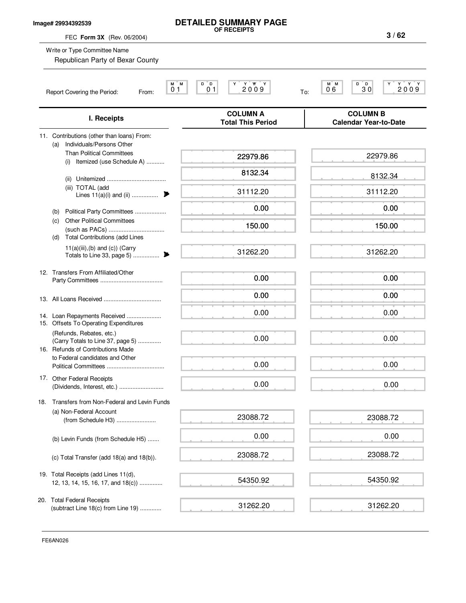#### **Image# 29934392539**

# **DETAILED SUMMARY PAGE OF RECEIPTS**

FEC **Form 3X** (Rev. 06/2004)

**3 / 62**

| Write or Type Committee Name<br>Republican Party of Bexar County                                                                                                                                                                                                                                                                                        |                                                   |                                                   |
|---------------------------------------------------------------------------------------------------------------------------------------------------------------------------------------------------------------------------------------------------------------------------------------------------------------------------------------------------------|---------------------------------------------------|---------------------------------------------------|
| M M<br>01<br>Report Covering the Period:<br>From:                                                                                                                                                                                                                                                                                                       | $D^{\dagger}D$<br>2009<br>01                      | M M<br>D D<br>΄ Υ ΄ Υ<br>30<br>2009<br>06<br>To:  |
| I. Receipts                                                                                                                                                                                                                                                                                                                                             | <b>COLUMN A</b><br><b>Total This Period</b>       | <b>COLUMN B</b><br><b>Calendar Year-to-Date</b>   |
| 11. Contributions (other than loans) From:<br>Individuals/Persons Other<br>(a)<br><b>Than Political Committees</b><br>Itemized (use Schedule A)<br>(i)<br>(ii)<br>(iii) TOTAL (add<br>Lines $11(a)(i)$ and $(ii)$<br>₱<br>Political Party Committees<br>(b)<br><b>Other Political Committees</b><br>(c)<br><b>Total Contributions (add Lines</b><br>(d) | 22979.86<br>8132.34<br>31112.20<br>0.00<br>150.00 | 22979.86<br>8132.34<br>31112.20<br>0.00<br>150.00 |
| $11(a)(iii),(b)$ and $(c)$ ) (Carry<br>Totals to Line 33, page 5)<br>▶                                                                                                                                                                                                                                                                                  | 31262.20                                          | 31262.20                                          |
| 12. Transfers From Affiliated/Other                                                                                                                                                                                                                                                                                                                     | 0.00                                              | 0.00                                              |
| 14. Loan Repayments Received<br>15. Offsets To Operating Expenditures                                                                                                                                                                                                                                                                                   | 0.00<br>0.00                                      | 0.00<br>0.00                                      |
| (Refunds, Rebates, etc.)<br>(Carry Totals to Line 37, page 5)<br>16. Refunds of Contributions Made<br>to Federal candidates and Other                                                                                                                                                                                                                   | 0.00<br>0.00                                      | 0.00<br>0.00                                      |
| 17. Other Federal Receipts                                                                                                                                                                                                                                                                                                                              | 0.00                                              | 0.00                                              |
| Transfers from Non-Federal and Levin Funds<br>18.<br>(a) Non-Federal Account<br>(from Schedule H3)                                                                                                                                                                                                                                                      | 23088.72                                          | 23088.72                                          |
| (b) Levin Funds (from Schedule H5)                                                                                                                                                                                                                                                                                                                      | 0.00                                              | 0.00                                              |
| (c) Total Transfer (add 18(a) and 18(b)).                                                                                                                                                                                                                                                                                                               | 23088.72                                          | 23088.72                                          |
| 19. Total Receipts (add Lines 11(d),<br>12, 13, 14, 15, 16, 17, and 18(c))                                                                                                                                                                                                                                                                              | 54350.92                                          | 54350.92                                          |
| 20. Total Federal Receipts<br>(subtract Line 18(c) from Line 19)                                                                                                                                                                                                                                                                                        | 31262.20                                          | 31262.20                                          |

FE6AN026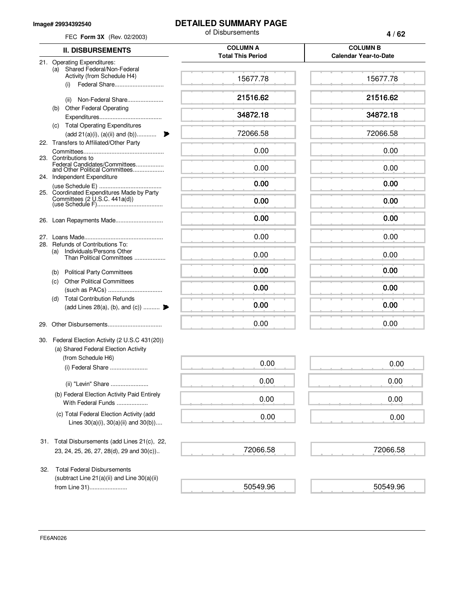#### **Image# 29934392540**

# **DETAILED SUMMARY PAGE**

| FEC Form 3X (Rev. 02/2003)                                                                     | of Disbursements                            | 4/62                                            |  |
|------------------------------------------------------------------------------------------------|---------------------------------------------|-------------------------------------------------|--|
| <b>II. DISBURSEMENTS</b>                                                                       | <b>COLUMN A</b><br><b>Total This Period</b> | <b>COLUMN B</b><br><b>Calendar Year-to-Date</b> |  |
| 21. Operating Expenditures:                                                                    |                                             |                                                 |  |
| Shared Federal/Non-Federal<br>(a)<br>Activity (from Schedule H4)<br>(i)                        | 15677.78                                    | 15677.78                                        |  |
| Non-Federal Share<br>(ii)                                                                      | 21516.62                                    | 21516.62                                        |  |
| <b>Other Federal Operating</b><br>(b)                                                          |                                             |                                                 |  |
| (c) Total Operating Expenditures                                                               | 34872.18                                    | 34872.18                                        |  |
| (add 21(a)(i), (a)(ii) and (b))<br>22. Transfers to Affiliated/Other Party                     | 72066.58                                    | 72066.58                                        |  |
| 23. Contributions to                                                                           | 0.00                                        | 0.00                                            |  |
| Federal Candidates/Committees<br>and Other Political Committees                                | 0.00                                        | 0.00                                            |  |
| 24. Independent Expenditure<br>25. Coordinated Expenditures Made by Party                      | 0.00                                        | 0.00                                            |  |
|                                                                                                | 0.00                                        | 0.00                                            |  |
|                                                                                                | 0.00                                        | 0.00                                            |  |
|                                                                                                | 0.00                                        | 0.00                                            |  |
| 28. Refunds of Contributions To:<br>(a) Individuals/Persons Other<br>Than Political Committees | 0.00                                        | 0.00                                            |  |
| <b>Political Party Committees</b><br>(b)                                                       | 0.00                                        | 0.00                                            |  |
| <b>Other Political Committees</b><br>(c)                                                       | 0.00                                        | 0.00                                            |  |
| <b>Total Contribution Refunds</b><br>(d)                                                       |                                             |                                                 |  |
| (add Lines 28(a), (b), and (c))                                                                | 0.00                                        | 0.00                                            |  |
|                                                                                                | 0.00                                        | 0.00                                            |  |
| 30. Federal Election Activity (2 U.S.C 431(20))<br>(a) Shared Federal Election Activity        |                                             |                                                 |  |
| (from Schedule H6)<br>(i) Federal Share                                                        | 0.00                                        | 0.00                                            |  |
| (ii) "Levin" Share                                                                             | 0.00                                        | 0.00                                            |  |
| (b) Federal Election Activity Paid Entirely<br>With Federal Funds                              | 0.00                                        | 0.00                                            |  |
| (c) Total Federal Election Activity (add<br>Lines $30(a)(i)$ , $30(a)(ii)$ and $30(b)$ )       | 0.00                                        | 0.00                                            |  |
| Total Disbursements (add Lines 21(c), 22,<br>31.                                               |                                             |                                                 |  |
| 23, 24, 25, 26, 27, 28(d), 29 and 30(c))                                                       | 72066.58                                    | 72066.58                                        |  |
| <b>Total Federal Disbursements</b><br>32.<br>(subtract Line $21(a)(ii)$ and Line $30(a)(ii)$   |                                             |                                                 |  |
| from Line 31)                                                                                  | 50549.96                                    | 50549.96                                        |  |

FE6AN026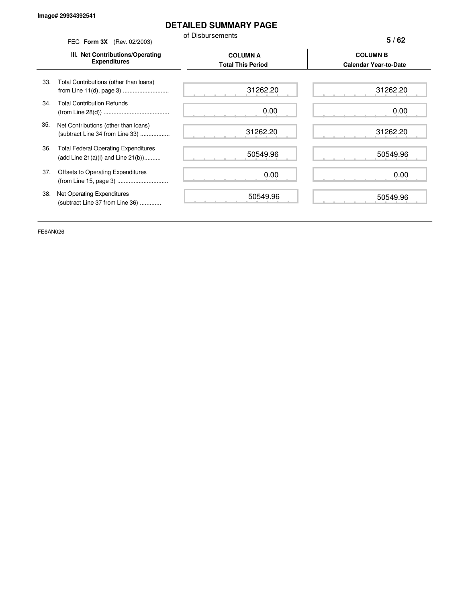# **DETAILED SUMMARY PAGE**

of Disbursements

|     | FEC Form 3X (Rev. 02/2003)                                                             | טו וטוויטטוווטוע                            | 5/62                                            |
|-----|----------------------------------------------------------------------------------------|---------------------------------------------|-------------------------------------------------|
|     | III. Net Contributions/Operating<br><b>Expenditures</b>                                | <b>COLUMN A</b><br><b>Total This Period</b> | <b>COLUMN B</b><br><b>Calendar Year-to-Date</b> |
| 33. | Total Contributions (other than loans)                                                 | 31262.20                                    | 31262.20                                        |
| 34. | <b>Total Contribution Refunds</b>                                                      | 0.00                                        | 0.00                                            |
| 35. | Net Contributions (other than loans)<br>(subtract Line 34 from Line 33)                | 31262.20                                    | 31262.20                                        |
| 36. | <b>Total Federal Operating Expenditures</b><br>(add Line $21(a)(i)$ and Line $21(b)$ ) | 50549.96                                    | 50549.96                                        |
| 37. | Offsets to Operating Expenditures                                                      | 0.00                                        | 0.00                                            |
| 38. | Net Operating Expenditures<br>(subtract Line 37 from Line 36)                          | 50549.96                                    | 50549.96                                        |
|     |                                                                                        |                                             |                                                 |

 $\overline{\phantom{a}}$ 

 $\overline{a}$ 

FE6AN026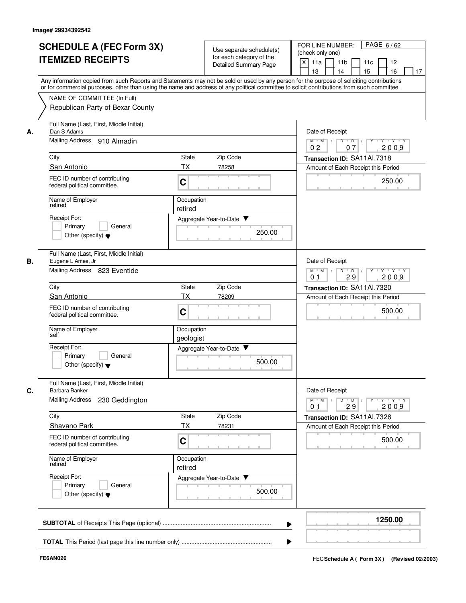|    | <b>SCHEDULE A (FEC Form 3X)</b><br><b>ITEMIZED RECEIPTS</b>                                     | Use separate schedule(s)<br>for each category of the<br>Detailed Summary Page                                                                                                                                                                                                           | PAGE 6/62<br>FOR LINE NUMBER:<br>(check only one)<br>X<br>11a<br>11 <sub>b</sub><br>11c<br>12<br>15<br>16<br>13<br>14<br>17 |
|----|-------------------------------------------------------------------------------------------------|-----------------------------------------------------------------------------------------------------------------------------------------------------------------------------------------------------------------------------------------------------------------------------------------|-----------------------------------------------------------------------------------------------------------------------------|
|    | NAME OF COMMITTEE (In Full)<br>Republican Party of Bexar County                                 | Any information copied from such Reports and Statements may not be sold or used by any person for the purpose of soliciting contributions<br>or for commercial purposes, other than using the name and address of any political committee to solicit contributions from such committee. |                                                                                                                             |
| А. | Full Name (Last, First, Middle Initial)<br>Dan S Adams                                          |                                                                                                                                                                                                                                                                                         | Date of Receipt                                                                                                             |
|    | Mailing Address 910 Almadin                                                                     |                                                                                                                                                                                                                                                                                         | Y Y Y Y<br>$M$ $M$ /<br>D<br>$\overline{\phantom{a}}$ D<br>2009<br>0 <sub>2</sub><br>07                                     |
|    | City                                                                                            | Zip Code<br>State                                                                                                                                                                                                                                                                       | Transaction ID: SA11Al.7318                                                                                                 |
|    | San Antonio<br>FEC ID number of contributing<br>federal political committee.                    | TX<br>78258<br>C                                                                                                                                                                                                                                                                        | Amount of Each Receipt this Period<br>250.00                                                                                |
|    | Name of Employer<br>retired                                                                     | Occupation<br>retired                                                                                                                                                                                                                                                                   |                                                                                                                             |
|    | Receipt For:<br>General<br>Primary<br>Other (specify) $\blacktriangledown$                      | Aggregate Year-to-Date<br>250.00                                                                                                                                                                                                                                                        |                                                                                                                             |
| В. | Full Name (Last, First, Middle Initial)<br>Eugene L Ames, Jr<br>Mailing Address<br>823 Eventide |                                                                                                                                                                                                                                                                                         | Date of Receipt<br>$M$ $M$<br>D<br>$\overline{D}$<br>$\sqrt{ }$<br>Y Y Y Y                                                  |
|    | City                                                                                            | Zip Code<br>State                                                                                                                                                                                                                                                                       | 2009<br>0 <sub>1</sub><br>29<br>Transaction ID: SA11Al.7320                                                                 |
|    | San Antonio                                                                                     | ТX<br>78209                                                                                                                                                                                                                                                                             | Amount of Each Receipt this Period                                                                                          |
|    | FEC ID number of contributing<br>federal political committee.                                   | C                                                                                                                                                                                                                                                                                       | 500.00                                                                                                                      |
|    | Name of Employer<br>self                                                                        | Occupation<br>geologist                                                                                                                                                                                                                                                                 |                                                                                                                             |
|    | Receipt For:<br>Primary<br>General<br>Other (specify) $\blacktriangledown$                      | Aggregate Year-to-Date<br>500.00                                                                                                                                                                                                                                                        |                                                                                                                             |
| C. | Full Name (Last, First, Middle Initial)<br>Barbara Banker                                       |                                                                                                                                                                                                                                                                                         | Date of Receipt                                                                                                             |
|    | <b>Mailing Address</b><br>230 Geddington                                                        |                                                                                                                                                                                                                                                                                         | $Y \dashv Y \dashv Y$<br>$M$ $M$<br>$D$ $D$ $I$<br>$\Gamma Y$<br>29<br>2009<br>0 <sub>1</sub>                               |
|    | City                                                                                            | Zip Code<br>State                                                                                                                                                                                                                                                                       | Transaction ID: SA11Al.7326                                                                                                 |
|    | Shavano Park<br>FEC ID number of contributing<br>federal political committee.                   | <b>TX</b><br>78231<br>C                                                                                                                                                                                                                                                                 | Amount of Each Receipt this Period<br>500.00                                                                                |
|    | Name of Employer<br>retired                                                                     | Occupation<br>retired                                                                                                                                                                                                                                                                   |                                                                                                                             |
|    | Receipt For:<br>Primary<br>General<br>Other (specify) $\blacktriangledown$                      | Aggregate Year-to-Date<br>500.00                                                                                                                                                                                                                                                        |                                                                                                                             |
|    |                                                                                                 |                                                                                                                                                                                                                                                                                         | 1250.00                                                                                                                     |
|    |                                                                                                 |                                                                                                                                                                                                                                                                                         |                                                                                                                             |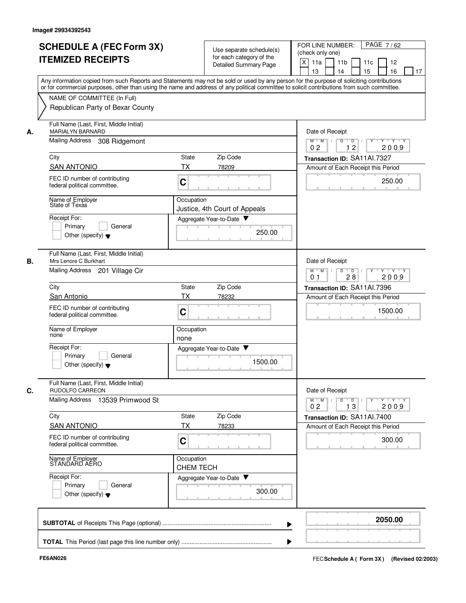|    | <b>SCHEDULE A (FEC Form 3X)</b><br><b>ITEMIZED RECEIPTS</b>                                                                                                                                                                                                                             |                                | Use separate schedule(s)<br>for each category of the<br>Detailed Summary Page | PAGE 7/62<br>FOR LINE NUMBER:<br>(check only one)<br>X<br>11a<br>11 <sub>b</sub><br>11c<br>12<br>13<br>14<br>15<br>16<br>17 |
|----|-----------------------------------------------------------------------------------------------------------------------------------------------------------------------------------------------------------------------------------------------------------------------------------------|--------------------------------|-------------------------------------------------------------------------------|-----------------------------------------------------------------------------------------------------------------------------|
|    | Any information copied from such Reports and Statements may not be sold or used by any person for the purpose of soliciting contributions<br>or for commercial purposes, other than using the name and address of any political committee to solicit contributions from such committee. |                                |                                                                               |                                                                                                                             |
|    | NAME OF COMMITTEE (In Full)<br>Republican Party of Bexar County                                                                                                                                                                                                                         |                                |                                                                               |                                                                                                                             |
| А. | Full Name (Last, First, Middle Initial)<br>MARIALYN BARNARD                                                                                                                                                                                                                             |                                |                                                                               | Date of Receipt                                                                                                             |
|    | Mailing Address<br>308 Ridgemont                                                                                                                                                                                                                                                        |                                |                                                                               | $M$ $M$ /<br>Y 'Y 'Y<br>D<br>$D$ /<br>12<br>0 <sub>2</sub><br>2009                                                          |
|    | City                                                                                                                                                                                                                                                                                    | State                          | Zip Code                                                                      | Transaction ID: SA11Al.7327                                                                                                 |
|    | <b>SAN ANTONIO</b>                                                                                                                                                                                                                                                                      | <b>TX</b>                      | 78209                                                                         | Amount of Each Receipt this Period                                                                                          |
|    | FEC ID number of contributing<br>federal political committee.                                                                                                                                                                                                                           | C                              |                                                                               | 250.00                                                                                                                      |
|    | Name of Employer<br>State of Texas                                                                                                                                                                                                                                                      | Occupation                     | Justice, 4th Court of Appeals                                                 |                                                                                                                             |
|    | Receipt For:                                                                                                                                                                                                                                                                            |                                | Aggregate Year-to-Date                                                        |                                                                                                                             |
|    | Primary<br>General<br>Other (specify) $\blacktriangledown$                                                                                                                                                                                                                              |                                | 250.00                                                                        |                                                                                                                             |
| В. | Full Name (Last, First, Middle Initial)<br>Mrs Lenore C Burkhart                                                                                                                                                                                                                        |                                |                                                                               | Date of Receipt                                                                                                             |
|    | Mailing Address 201 Village Cir                                                                                                                                                                                                                                                         |                                |                                                                               | D<br>$M$ M<br>$\sqrt{ }$<br>$\overline{D}$<br>Y Y Y Y<br>$\top$<br>0 <sub>1</sub><br>28<br>2009                             |
|    | City                                                                                                                                                                                                                                                                                    | State                          | Zip Code                                                                      | Transaction ID: SA11Al.7396                                                                                                 |
|    | San Antonio                                                                                                                                                                                                                                                                             | ТX                             | 78232                                                                         | Amount of Each Receipt this Period                                                                                          |
|    | FEC ID number of contributing<br>federal political committee.                                                                                                                                                                                                                           | C                              |                                                                               | 1500.00                                                                                                                     |
|    | Name of Employer<br>none                                                                                                                                                                                                                                                                | Occupation<br>none             |                                                                               |                                                                                                                             |
|    | Receipt For:                                                                                                                                                                                                                                                                            |                                | Aggregate Year-to-Date ▼                                                      |                                                                                                                             |
|    | Primary<br>General<br>Other (specify) $\blacktriangledown$                                                                                                                                                                                                                              |                                | 1500.00                                                                       |                                                                                                                             |
| C. | Full Name (Last, First, Middle Initial)<br>RUDOLFO CARREON                                                                                                                                                                                                                              |                                |                                                                               | Date of Receipt                                                                                                             |
|    | Mailing Address 13539 Primwood St                                                                                                                                                                                                                                                       |                                |                                                                               | $Y \dashv Y \dashv Y$<br>$M$ $M$ /<br>$D$ $D$ $I$<br>$Y^+$<br>0 <sub>2</sub><br>13<br>2009                                  |
|    | City                                                                                                                                                                                                                                                                                    | State                          | Zip Code                                                                      | Transaction ID: SA11Al.7400                                                                                                 |
|    | <b>SAN ANTONIO</b>                                                                                                                                                                                                                                                                      | ТX                             | 78233                                                                         | Amount of Each Receipt this Period                                                                                          |
|    | FEC ID number of contributing<br>federal political committee.                                                                                                                                                                                                                           | C                              |                                                                               | 300.00                                                                                                                      |
|    | Name of Employer<br>STANDARD AERO                                                                                                                                                                                                                                                       | Occupation<br><b>CHEM TECH</b> |                                                                               |                                                                                                                             |
|    | Receipt For:<br>Primary<br>General<br>Other (specify) $\blacktriangledown$                                                                                                                                                                                                              |                                | Aggregate Year-to-Date<br>300.00                                              |                                                                                                                             |
|    |                                                                                                                                                                                                                                                                                         |                                |                                                                               | 2050.00                                                                                                                     |
|    |                                                                                                                                                                                                                                                                                         |                                |                                                                               |                                                                                                                             |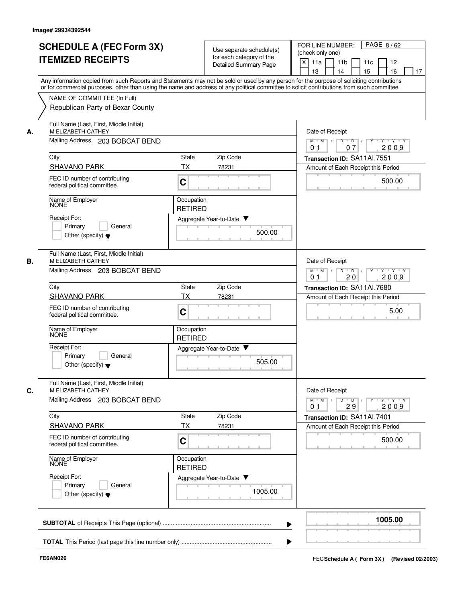|    | <b>SCHEDULE A (FEC Form 3X)</b><br><b>ITEMIZED RECEIPTS</b>                                                                                                                                                                                                                             |                              | Use separate schedule(s)<br>for each category of the<br><b>Detailed Summary Page</b> | FOR LINE NUMBER:<br>PAGE 8/62<br>(check only one)<br>$\mathsf{X}$<br>11a<br>11 <sub>b</sub><br>11c<br>12<br>15<br>16<br>13<br>14<br>17 |
|----|-----------------------------------------------------------------------------------------------------------------------------------------------------------------------------------------------------------------------------------------------------------------------------------------|------------------------------|--------------------------------------------------------------------------------------|----------------------------------------------------------------------------------------------------------------------------------------|
|    | Any information copied from such Reports and Statements may not be sold or used by any person for the purpose of soliciting contributions<br>or for commercial purposes, other than using the name and address of any political committee to solicit contributions from such committee. |                              |                                                                                      |                                                                                                                                        |
|    | NAME OF COMMITTEE (In Full)                                                                                                                                                                                                                                                             |                              |                                                                                      |                                                                                                                                        |
|    | Republican Party of Bexar County                                                                                                                                                                                                                                                        |                              |                                                                                      |                                                                                                                                        |
| А. | Full Name (Last, First, Middle Initial)<br>M ELIZABETH CATHEY                                                                                                                                                                                                                           |                              |                                                                                      | Date of Receipt                                                                                                                        |
|    | Mailing Address 203 BOBCAT BEND                                                                                                                                                                                                                                                         |                              |                                                                                      | $M$ $M$ /<br>$Y - Y - Y$<br>D<br>$\overline{D}$<br>07<br>2009<br>0 <sub>1</sub>                                                        |
|    | City                                                                                                                                                                                                                                                                                    | <b>State</b>                 | Zip Code                                                                             | Transaction ID: SA11Al.7551                                                                                                            |
|    | <b>SHAVANO PARK</b>                                                                                                                                                                                                                                                                     | <b>TX</b>                    | 78231                                                                                | Amount of Each Receipt this Period                                                                                                     |
|    | FEC ID number of contributing<br>federal political committee.                                                                                                                                                                                                                           | C                            |                                                                                      | 500.00                                                                                                                                 |
|    | Name of Employer<br><b>NONE</b>                                                                                                                                                                                                                                                         | Occupation<br><b>RETIRED</b> |                                                                                      |                                                                                                                                        |
|    | Receipt For:                                                                                                                                                                                                                                                                            |                              | Aggregate Year-to-Date ▼                                                             |                                                                                                                                        |
|    | Primary<br>General<br>Other (specify) $\blacktriangledown$                                                                                                                                                                                                                              |                              | 500.00                                                                               |                                                                                                                                        |
| В. | Full Name (Last, First, Middle Initial)<br>M ELIZABETH CATHEY                                                                                                                                                                                                                           |                              |                                                                                      | Date of Receipt                                                                                                                        |
|    | Mailing Address 203 BOBCAT BEND                                                                                                                                                                                                                                                         |                              |                                                                                      | D<br>$Y \vdash Y \vdash Y$<br>$M$ M<br>$\mathbb{L}$<br>$\overline{D}$<br>2009<br>0 <sub>1</sub><br>20                                  |
|    | City                                                                                                                                                                                                                                                                                    | State                        | Zip Code                                                                             | Transaction ID: SA11Al.7680                                                                                                            |
|    | <b>SHAVANO PARK</b>                                                                                                                                                                                                                                                                     | ТX                           | 78231                                                                                | Amount of Each Receipt this Period                                                                                                     |
|    | FEC ID number of contributing<br>federal political committee.                                                                                                                                                                                                                           | $\mathbf C$                  |                                                                                      | 5.00                                                                                                                                   |
|    | Name of Employer<br>NONE                                                                                                                                                                                                                                                                | Occupation<br><b>RETIRED</b> |                                                                                      |                                                                                                                                        |
|    | Receipt For:                                                                                                                                                                                                                                                                            |                              | Aggregate Year-to-Date                                                               |                                                                                                                                        |
|    | Primary<br>General<br>Other (specify) $\blacktriangledown$                                                                                                                                                                                                                              |                              | 505.00                                                                               |                                                                                                                                        |
| C. | Full Name (Last, First, Middle Initial)<br>M ELIZABETH CATHEY                                                                                                                                                                                                                           |                              |                                                                                      | Date of Receipt                                                                                                                        |
|    | Mailing Address 203 BOBCAT BEND                                                                                                                                                                                                                                                         |                              |                                                                                      | $Y$ $Y$ $Y$ $Y$<br>$M$ $M$ /<br>$D$ $D$ $1$<br>$Y$ <sup>U</sup><br>29<br>2009<br>0 <sub>1</sub>                                        |
|    | City                                                                                                                                                                                                                                                                                    | State                        | Zip Code                                                                             | Transaction ID: SA11Al.7401                                                                                                            |
|    | <b>SHAVANO PARK</b>                                                                                                                                                                                                                                                                     | ТX                           | 78231                                                                                | Amount of Each Receipt this Period                                                                                                     |
|    | FEC ID number of contributing<br>federal political committee.                                                                                                                                                                                                                           | C                            |                                                                                      | 500.00                                                                                                                                 |
|    | Name of Employer<br><b>NONE</b>                                                                                                                                                                                                                                                         | Occupation<br><b>RETIRED</b> |                                                                                      |                                                                                                                                        |
|    | Receipt For:<br>Primary<br>General                                                                                                                                                                                                                                                      |                              | Aggregate Year-to-Date                                                               |                                                                                                                                        |
|    | Other (specify) $\blacktriangledown$                                                                                                                                                                                                                                                    |                              | 1005.00                                                                              |                                                                                                                                        |
|    |                                                                                                                                                                                                                                                                                         |                              |                                                                                      | 1005.00                                                                                                                                |
|    |                                                                                                                                                                                                                                                                                         |                              |                                                                                      |                                                                                                                                        |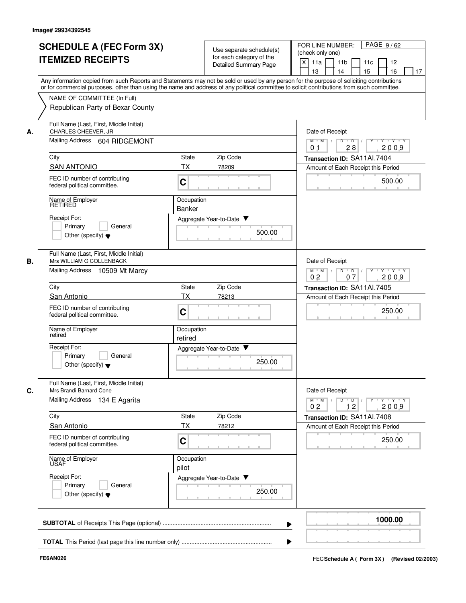|    | <b>SCHEDULE A (FEC Form 3X)</b><br><b>ITEMIZED RECEIPTS</b>                                                                                                                                                                                                                                                            | Use separate schedule(s)<br>for each category of the<br>Detailed Summary Page | PAGE 9/62<br>FOR LINE NUMBER:<br>(check only one)<br>X<br>11a<br>11 <sub>b</sub><br>11c<br>12<br>15<br>13<br>14<br>16<br>17 |
|----|------------------------------------------------------------------------------------------------------------------------------------------------------------------------------------------------------------------------------------------------------------------------------------------------------------------------|-------------------------------------------------------------------------------|-----------------------------------------------------------------------------------------------------------------------------|
|    | Any information copied from such Reports and Statements may not be sold or used by any person for the purpose of soliciting contributions<br>or for commercial purposes, other than using the name and address of any political committee to solicit contributions from such committee.<br>NAME OF COMMITTEE (In Full) |                                                                               |                                                                                                                             |
|    | Republican Party of Bexar County                                                                                                                                                                                                                                                                                       |                                                                               |                                                                                                                             |
| А. | Full Name (Last, First, Middle Initial)<br>CHARLES CHEEVER, JR                                                                                                                                                                                                                                                         |                                                                               | Date of Receipt                                                                                                             |
|    | Mailing Address 604 RIDGEMONT                                                                                                                                                                                                                                                                                          |                                                                               | $M$ $M$ /<br>D<br>$\overline{D}$ /<br>Y Y Y Y<br>$Y^+$<br>2009<br>0 <sub>1</sub><br>28                                      |
|    | City                                                                                                                                                                                                                                                                                                                   | Zip Code<br>State                                                             | Transaction ID: SA11Al.7404                                                                                                 |
|    | <b>SAN ANTONIO</b><br>FEC ID number of contributing<br>federal political committee.                                                                                                                                                                                                                                    | TX<br>78209<br>C                                                              | Amount of Each Receipt this Period<br>500.00                                                                                |
|    | Name of Employer<br>RETIRED                                                                                                                                                                                                                                                                                            | Occupation<br><b>Banker</b>                                                   |                                                                                                                             |
|    | Receipt For:<br>Primary<br>General<br>Other (specify) $\blacktriangledown$                                                                                                                                                                                                                                             | Aggregate Year-to-Date ▼<br>500.00                                            |                                                                                                                             |
| В. | Full Name (Last, First, Middle Initial)<br>Mrs WILLIAM G COLLENBACK<br>Mailing Address 10509 Mt Marcy                                                                                                                                                                                                                  |                                                                               | Date of Receipt<br>$M$ M<br>D<br>$\overline{D}$<br>Y Y Y Y<br>Y<br>$\sqrt{ }$                                               |
|    | City                                                                                                                                                                                                                                                                                                                   | Zip Code<br>State                                                             | 0 <sub>2</sub><br>2009<br>07<br>Transaction ID: SA11Al.7405                                                                 |
|    | San Antonio                                                                                                                                                                                                                                                                                                            | ТX<br>78213                                                                   | Amount of Each Receipt this Period                                                                                          |
|    | FEC ID number of contributing<br>federal political committee.                                                                                                                                                                                                                                                          | C                                                                             | 250.00                                                                                                                      |
|    | Name of Employer<br>retired                                                                                                                                                                                                                                                                                            | Occupation<br>retired                                                         |                                                                                                                             |
|    | Receipt For:<br>Primary<br>General<br>Other (specify) $\blacktriangledown$                                                                                                                                                                                                                                             | Aggregate Year-to-Date<br>250.00                                              |                                                                                                                             |
| C. | Full Name (Last, First, Middle Initial)<br>Mrs Brandi Barnard Cone                                                                                                                                                                                                                                                     |                                                                               | Date of Receipt                                                                                                             |
|    | Mailing Address 134 E Agarita                                                                                                                                                                                                                                                                                          |                                                                               | $Y$ $Y$ $Y$<br>$M$ $M$<br>D<br>$\overline{D}$<br>Y<br>12<br>2009<br>0 <sub>2</sub>                                          |
|    | City                                                                                                                                                                                                                                                                                                                   | Zip Code<br>State                                                             | Transaction ID: SA11Al.7408                                                                                                 |
|    | San Antonio                                                                                                                                                                                                                                                                                                            | ТX<br>78212                                                                   | Amount of Each Receipt this Period                                                                                          |
|    | FEC ID number of contributing<br>federal political committee.                                                                                                                                                                                                                                                          | C                                                                             | 250.00                                                                                                                      |
|    | Name of Employer<br>USAF                                                                                                                                                                                                                                                                                               | Occupation<br>pilot                                                           |                                                                                                                             |
|    | Receipt For:<br>Primary<br>General<br>Other (specify) $\blacktriangledown$                                                                                                                                                                                                                                             | Aggregate Year-to-Date<br>250.00                                              |                                                                                                                             |
|    |                                                                                                                                                                                                                                                                                                                        |                                                                               | 1000.00                                                                                                                     |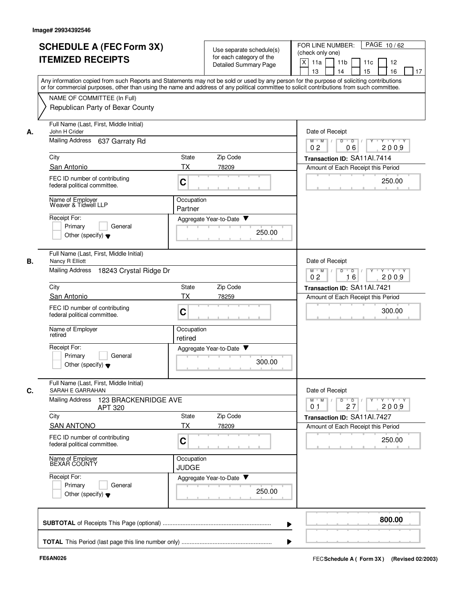|    | <b>SCHEDULE A (FEC Form 3X)</b>                                                                                                                                                                                                                                                         |                            |                              |                          | PAGE 10/62<br>FOR LINE NUMBER:                                                                              |
|----|-----------------------------------------------------------------------------------------------------------------------------------------------------------------------------------------------------------------------------------------------------------------------------------------|----------------------------|------------------------------|--------------------------|-------------------------------------------------------------------------------------------------------------|
|    |                                                                                                                                                                                                                                                                                         |                            | for each category of the     | Use separate schedule(s) | (check only one)                                                                                            |
|    | <b>ITEMIZED RECEIPTS</b>                                                                                                                                                                                                                                                                |                            | <b>Detailed Summary Page</b> |                          | $\times$<br>11a<br>11 <sub>b</sub><br>11c<br>12                                                             |
|    |                                                                                                                                                                                                                                                                                         |                            |                              |                          | 16<br>13<br>14<br>15<br>17                                                                                  |
|    | Any information copied from such Reports and Statements may not be sold or used by any person for the purpose of soliciting contributions<br>or for commercial purposes, other than using the name and address of any political committee to solicit contributions from such committee. |                            |                              |                          |                                                                                                             |
|    | NAME OF COMMITTEE (In Full)                                                                                                                                                                                                                                                             |                            |                              |                          |                                                                                                             |
|    | Republican Party of Bexar County                                                                                                                                                                                                                                                        |                            |                              |                          |                                                                                                             |
| А. | Full Name (Last, First, Middle Initial)<br>John H Crider                                                                                                                                                                                                                                |                            |                              |                          | Date of Receipt                                                                                             |
|    | Mailing Address<br>637 Garraty Rd                                                                                                                                                                                                                                                       |                            |                              |                          | $\overline{D}$ /<br>Y Y Y Y<br>$M$ $M$ /<br>D<br>Y<br>0 <sub>2</sub><br>2009<br>06                          |
|    | City                                                                                                                                                                                                                                                                                    | State                      | Zip Code                     |                          | Transaction ID: SA11Al.7414                                                                                 |
|    | San Antonio                                                                                                                                                                                                                                                                             | <b>TX</b>                  | 78209                        |                          | Amount of Each Receipt this Period                                                                          |
|    | FEC ID number of contributing<br>federal political committee.                                                                                                                                                                                                                           | C                          |                              |                          | 250.00                                                                                                      |
|    | Name of Employer<br>Weaver & Tidwell LLP                                                                                                                                                                                                                                                | Occupation<br>Partner      |                              |                          |                                                                                                             |
|    | Receipt For:                                                                                                                                                                                                                                                                            |                            | Aggregate Year-to-Date ▼     |                          |                                                                                                             |
|    | Primary<br>General                                                                                                                                                                                                                                                                      |                            |                              |                          |                                                                                                             |
|    | Other (specify) $\blacktriangledown$                                                                                                                                                                                                                                                    |                            |                              | 250.00                   |                                                                                                             |
| В. | Full Name (Last, First, Middle Initial)<br>Nancy R Elliott                                                                                                                                                                                                                              |                            |                              |                          | Date of Receipt                                                                                             |
|    | Mailing Address<br>18243 Crystal Ridge Dr                                                                                                                                                                                                                                               |                            |                              |                          | $M$ M<br>D<br>D<br>$+Y+Y$<br>16<br>2009<br>0 <sub>2</sub>                                                   |
|    | City                                                                                                                                                                                                                                                                                    | State                      | Zip Code                     |                          | Transaction ID: SA11Al.7421                                                                                 |
|    | San Antonio                                                                                                                                                                                                                                                                             | ТX                         | 78259                        |                          | Amount of Each Receipt this Period                                                                          |
|    | FEC ID number of contributing<br>federal political committee.                                                                                                                                                                                                                           | C                          |                              |                          | 300.00                                                                                                      |
|    | Name of Employer<br>retired                                                                                                                                                                                                                                                             | Occupation<br>retired      |                              |                          |                                                                                                             |
|    | Receipt For:                                                                                                                                                                                                                                                                            |                            | Aggregate Year-to-Date ▼     |                          |                                                                                                             |
|    | Primary<br>General                                                                                                                                                                                                                                                                      |                            |                              |                          |                                                                                                             |
|    | Other (specify) $\blacktriangledown$                                                                                                                                                                                                                                                    |                            |                              | 300.00                   |                                                                                                             |
| С. | Full Name (Last, First, Middle Initial)<br>SARAH E GARRAHAN                                                                                                                                                                                                                             |                            |                              |                          | Date of Receipt                                                                                             |
|    | <b>Mailing Address</b><br>123 BRACKENRIDGE AVE<br>APT 320                                                                                                                                                                                                                               |                            |                              |                          | $D$ $D$<br>$Y - Y - Y - Y$<br>$M$ $M$ /<br>$Y$ <sup><math>\top</math></sup><br>2009<br>27<br>0 <sub>1</sub> |
|    | City                                                                                                                                                                                                                                                                                    | State                      | Zip Code                     |                          | Transaction ID: SA11Al.7427                                                                                 |
|    | <b>SAN ANTONO</b>                                                                                                                                                                                                                                                                       | ТX                         | 78209                        |                          | Amount of Each Receipt this Period                                                                          |
|    | FEC ID number of contributing<br>federal political committee.                                                                                                                                                                                                                           | C                          |                              |                          | 250.00                                                                                                      |
|    | Name of Employer<br>BEXAR COUNTY                                                                                                                                                                                                                                                        | Occupation<br><b>JUDGE</b> |                              |                          |                                                                                                             |
|    | Receipt For:                                                                                                                                                                                                                                                                            |                            | Aggregate Year-to-Date       |                          |                                                                                                             |
|    | Primary<br>General<br>Other (specify) $\blacktriangledown$                                                                                                                                                                                                                              |                            |                              | 250.00                   |                                                                                                             |
|    |                                                                                                                                                                                                                                                                                         |                            |                              |                          | 800.00                                                                                                      |
|    |                                                                                                                                                                                                                                                                                         |                            |                              |                          |                                                                                                             |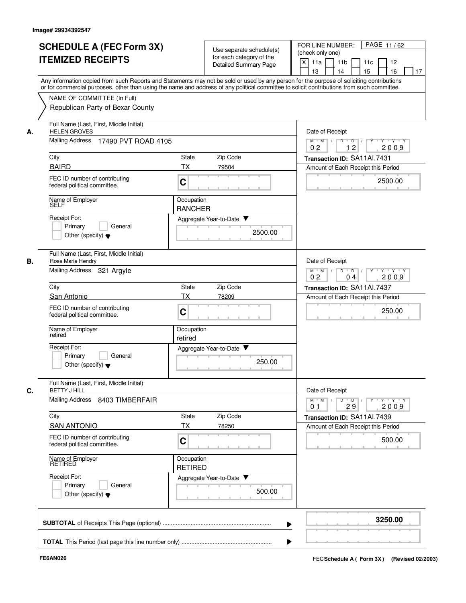|    | <b>SCHEDULE A (FEC Form 3X)</b><br><b>ITEMIZED RECEIPTS</b>                                                                                                                                                                                                                             |                              | Use separate schedule(s)<br>for each category of the<br><b>Detailed Summary Page</b> | PAGE 11/62<br>FOR LINE NUMBER:<br>(check only one)<br>X<br>11a<br>11 <sub>b</sub><br>11c<br>12<br>13<br>14<br>15<br>16<br>17 |
|----|-----------------------------------------------------------------------------------------------------------------------------------------------------------------------------------------------------------------------------------------------------------------------------------------|------------------------------|--------------------------------------------------------------------------------------|------------------------------------------------------------------------------------------------------------------------------|
|    | Any information copied from such Reports and Statements may not be sold or used by any person for the purpose of soliciting contributions<br>or for commercial purposes, other than using the name and address of any political committee to solicit contributions from such committee. |                              |                                                                                      |                                                                                                                              |
|    | NAME OF COMMITTEE (In Full)<br>Republican Party of Bexar County                                                                                                                                                                                                                         |                              |                                                                                      |                                                                                                                              |
| А. | Full Name (Last, First, Middle Initial)<br><b>HELEN GROVES</b>                                                                                                                                                                                                                          |                              |                                                                                      | Date of Receipt                                                                                                              |
|    | <b>Mailing Address</b><br>17490 PVT ROAD 4105                                                                                                                                                                                                                                           |                              |                                                                                      | $M$ $M$ /<br>$Y - Y - Y$<br>D<br>$D$ /<br>12<br>0 <sub>2</sub><br>2009                                                       |
|    | City                                                                                                                                                                                                                                                                                    | Zip Code<br>State            |                                                                                      | Transaction ID: SA11Al.7431                                                                                                  |
|    | <b>BAIRD</b><br>FEC ID number of contributing<br>federal political committee.                                                                                                                                                                                                           | <b>TX</b><br>79504<br>C      |                                                                                      | Amount of Each Receipt this Period<br>2500.00                                                                                |
|    | Name of Employer<br>SÊLF                                                                                                                                                                                                                                                                | Occupation<br><b>RANCHER</b> |                                                                                      |                                                                                                                              |
|    | Receipt For:<br>Primary<br>General<br>Other (specify) $\blacktriangledown$                                                                                                                                                                                                              | Aggregate Year-to-Date ▼     | 2500.00                                                                              |                                                                                                                              |
| В. | Full Name (Last, First, Middle Initial)<br>Rose Marie Hendry                                                                                                                                                                                                                            |                              |                                                                                      | Date of Receipt                                                                                                              |
|    | <b>Mailing Address</b><br>321 Argyle                                                                                                                                                                                                                                                    |                              |                                                                                      | D<br>$M$ M<br>$\overline{D}$<br>Y 'Y 'Y<br>$\sqrt{ }$<br>$\sqrt{ }$<br>0 <sub>2</sub><br>04<br>2009                          |
|    | City                                                                                                                                                                                                                                                                                    | Zip Code<br>State            |                                                                                      | Transaction ID: SA11Al.7437                                                                                                  |
|    | <b>San Antonio</b><br>FEC ID number of contributing<br>federal political committee.                                                                                                                                                                                                     | ТX<br>78209<br>C             |                                                                                      | Amount of Each Receipt this Period<br>250.00                                                                                 |
|    | Name of Employer<br>retired                                                                                                                                                                                                                                                             | Occupation<br>retired        |                                                                                      |                                                                                                                              |
|    | Receipt For:<br>Primary<br>General<br>Other (specify) $\blacktriangledown$                                                                                                                                                                                                              | Aggregate Year-to-Date ▼     | 250.00                                                                               |                                                                                                                              |
| C. | Full Name (Last, First, Middle Initial)<br><b>BETTY J HILL</b><br>Mailing Address 8403 TIMBERFAIR                                                                                                                                                                                       |                              |                                                                                      | Date of Receipt<br>$\mathsf{Y} \dashv \mathsf{Y} \dashv \mathsf{Y}$<br>$M$ $M$ /<br>$D$ $D$ $I$<br>$Y$ <sup>-1</sup>         |
|    | City                                                                                                                                                                                                                                                                                    | State<br>Zip Code            |                                                                                      | 29<br>2009<br>0 <sub>1</sub><br>Transaction ID: SA11Al.7439                                                                  |
|    | <b>SAN ANTONIO</b>                                                                                                                                                                                                                                                                      | ТX<br>78250                  |                                                                                      | Amount of Each Receipt this Period                                                                                           |
|    | FEC ID number of contributing<br>federal political committee.                                                                                                                                                                                                                           | C                            |                                                                                      | 500.00                                                                                                                       |
|    | Name of Employer<br>RETIRED                                                                                                                                                                                                                                                             | Occupation<br><b>RETIRED</b> |                                                                                      |                                                                                                                              |
|    | Receipt For:<br>Primary<br>General<br>Other (specify) $\blacktriangledown$                                                                                                                                                                                                              | Aggregate Year-to-Date       | 500.00                                                                               |                                                                                                                              |
|    |                                                                                                                                                                                                                                                                                         |                              |                                                                                      | 3250.00                                                                                                                      |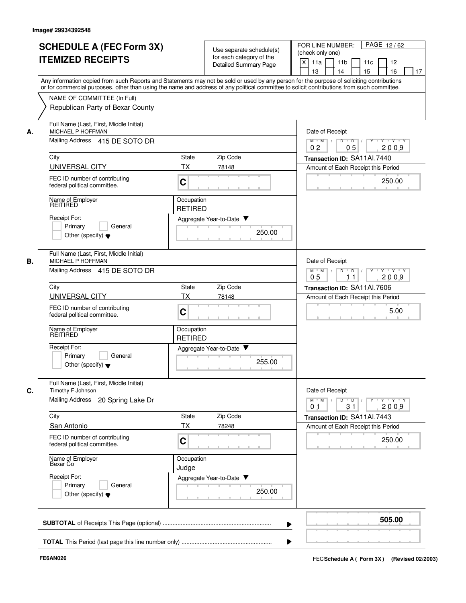|    |                                                                                                   | Detailed Summary Page                                                                                                                                                                                                                                                                   | X<br>11a<br>11 <sub>b</sub><br>11c<br>12<br>13<br>14<br>15<br>16<br>17                                         |
|----|---------------------------------------------------------------------------------------------------|-----------------------------------------------------------------------------------------------------------------------------------------------------------------------------------------------------------------------------------------------------------------------------------------|----------------------------------------------------------------------------------------------------------------|
|    |                                                                                                   | Any information copied from such Reports and Statements may not be sold or used by any person for the purpose of soliciting contributions<br>or for commercial purposes, other than using the name and address of any political committee to solicit contributions from such committee. |                                                                                                                |
|    | NAME OF COMMITTEE (In Full)<br>Republican Party of Bexar County                                   |                                                                                                                                                                                                                                                                                         |                                                                                                                |
| А. | Full Name (Last, First, Middle Initial)<br>MICHAEL P HOFFMAN                                      |                                                                                                                                                                                                                                                                                         | Date of Receipt                                                                                                |
|    | Mailing Address 415 DE SOTO DR                                                                    |                                                                                                                                                                                                                                                                                         | $M$ $M$ /<br>$Y - Y - Y$<br>D<br>$\overline{D}$ /<br>0 <sub>5</sub><br>0 <sub>2</sub><br>2009                  |
|    | City                                                                                              | Zip Code<br>State                                                                                                                                                                                                                                                                       | Transaction ID: SA11Al.7440                                                                                    |
|    | UNIVERSAL CITY<br>FEC ID number of contributing<br>federal political committee.                   | TX<br>78148<br>C                                                                                                                                                                                                                                                                        | Amount of Each Receipt this Period<br>250.00                                                                   |
|    | Name of Employer<br>REITIRED                                                                      | Occupation<br><b>RETIRED</b>                                                                                                                                                                                                                                                            |                                                                                                                |
|    | Receipt For:<br>Primary<br>General<br>Other (specify) $\blacktriangledown$                        | Aggregate Year-to-Date ▼<br>250.00                                                                                                                                                                                                                                                      |                                                                                                                |
| В. | Full Name (Last, First, Middle Initial)<br>MICHAEL P HOFFMAN<br>Mailing Address 415 DE SOTO DR    |                                                                                                                                                                                                                                                                                         | Date of Receipt<br>D<br>$M$ M<br>$\sqrt{ }$<br>Y 'Y 'Y<br>$\top$                                               |
|    |                                                                                                   |                                                                                                                                                                                                                                                                                         | $\overline{D}$<br>05<br>2009<br>11                                                                             |
|    | City                                                                                              | Zip Code<br>State<br>ТX                                                                                                                                                                                                                                                                 | Transaction ID: SA11Al.7606                                                                                    |
|    | UNIVERSAL CITY<br>FEC ID number of contributing<br>federal political committee.                   | 78148<br>C                                                                                                                                                                                                                                                                              | Amount of Each Receipt this Period<br>5.00                                                                     |
|    | Name of Employer<br>REITIRED                                                                      | Occupation<br><b>RETIRED</b>                                                                                                                                                                                                                                                            |                                                                                                                |
|    | Receipt For:<br>Primary<br>General<br>Other (specify) $\blacktriangledown$                        | Aggregate Year-to-Date ▼<br>255.00                                                                                                                                                                                                                                                      |                                                                                                                |
| C. | Full Name (Last, First, Middle Initial)<br>Timothy F Johnson<br>Mailing Address 20 Spring Lake Dr |                                                                                                                                                                                                                                                                                         | Date of Receipt<br>$Y$ $Y$ $Y$ $Y$<br>$M$ $M$ /<br>$D$ $D$<br>$Y$ <sup>U</sup><br>31<br>2009<br>0 <sub>1</sub> |
|    | City                                                                                              | State<br>Zip Code                                                                                                                                                                                                                                                                       | Transaction ID: SA11Al.7443                                                                                    |
|    | San Antonio                                                                                       | ТX<br>78248                                                                                                                                                                                                                                                                             | Amount of Each Receipt this Period                                                                             |
|    | FEC ID number of contributing<br>federal political committee.                                     | C                                                                                                                                                                                                                                                                                       | 250.00                                                                                                         |
|    | Name of Employer<br>Bexar Co                                                                      | Occupation<br>Judge                                                                                                                                                                                                                                                                     |                                                                                                                |
|    | Receipt For:<br>Primary<br>General<br>Other (specify) $\blacktriangledown$                        | Aggregate Year-to-Date<br>250.00                                                                                                                                                                                                                                                        |                                                                                                                |
|    |                                                                                                   |                                                                                                                                                                                                                                                                                         | 505.00                                                                                                         |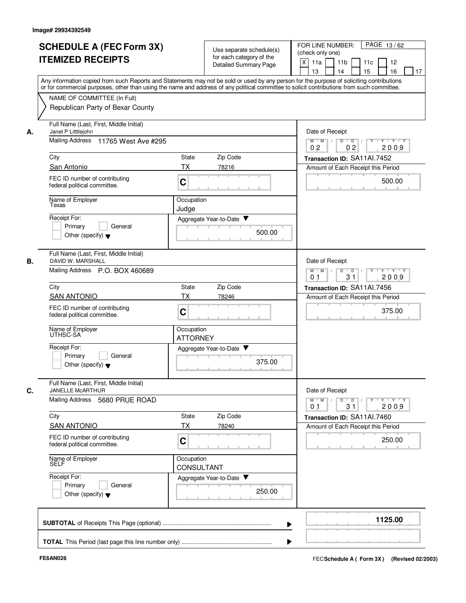|    | <b>SCHEDULE A (FEC Form 3X)</b><br><b>ITEMIZED RECEIPTS</b>                                                                                                                                                                                                                                                                                                |                                 | Use separate schedule(s)<br>for each category of the<br><b>Detailed Summary Page</b> | PAGE 13/62<br>FOR LINE NUMBER:<br>(check only one)<br>X<br>11a<br>11 <sub>b</sub><br>11c<br>12<br>13<br>14<br>15<br>16<br>17               |  |  |  |  |  |  |  |
|----|------------------------------------------------------------------------------------------------------------------------------------------------------------------------------------------------------------------------------------------------------------------------------------------------------------------------------------------------------------|---------------------------------|--------------------------------------------------------------------------------------|--------------------------------------------------------------------------------------------------------------------------------------------|--|--|--|--|--|--|--|
|    | Any information copied from such Reports and Statements may not be sold or used by any person for the purpose of soliciting contributions<br>or for commercial purposes, other than using the name and address of any political committee to solicit contributions from such committee.<br>NAME OF COMMITTEE (In Full)<br>Republican Party of Bexar County |                                 |                                                                                      |                                                                                                                                            |  |  |  |  |  |  |  |
| А. | Full Name (Last, First, Middle Initial)<br>Janet P Litttlejohn<br><b>Mailing Address</b><br>11765 West Ave #295                                                                                                                                                                                                                                            |                                 |                                                                                      | Date of Receipt<br>D<br>$\overline{D}$ /<br>Y Y Y Y<br>$M$ $M$ /<br>02<br>2009<br>02                                                       |  |  |  |  |  |  |  |
|    | City                                                                                                                                                                                                                                                                                                                                                       | State                           | Zip Code                                                                             | Transaction ID: SA11Al.7452                                                                                                                |  |  |  |  |  |  |  |
|    | San Antonio<br>FEC ID number of contributing<br>federal political committee.                                                                                                                                                                                                                                                                               | <b>TX</b><br>C                  | 78216                                                                                | Amount of Each Receipt this Period<br>500.00                                                                                               |  |  |  |  |  |  |  |
|    | Name of Employer<br>Texas<br>Receipt For:<br>Primary<br>General<br>Other (specify) $\blacktriangledown$                                                                                                                                                                                                                                                    | Occupation<br>Judge             | Aggregate Year-to-Date ▼<br>500.00                                                   |                                                                                                                                            |  |  |  |  |  |  |  |
| В. | Full Name (Last, First, Middle Initial)<br>DAVID W. MARSHALL<br>Mailing Address P.O. BOX 460689                                                                                                                                                                                                                                                            |                                 |                                                                                      | Date of Receipt<br>$M$ $M$<br>$\overline{D}$<br>$Y + Y + Y$<br>D<br>31<br>2009<br>0 <sub>1</sub>                                           |  |  |  |  |  |  |  |
|    | City                                                                                                                                                                                                                                                                                                                                                       | State                           | Zip Code                                                                             | Transaction ID: SA11Al.7456                                                                                                                |  |  |  |  |  |  |  |
|    | <b>SAN ANTONIO</b><br>FEC ID number of contributing<br>federal political committee.                                                                                                                                                                                                                                                                        | TX<br>$\mathbf C$               | 78246                                                                                | Amount of Each Receipt this Period<br>375.00                                                                                               |  |  |  |  |  |  |  |
|    | Name of Employer<br>UTHSC-SA<br>Receipt For:                                                                                                                                                                                                                                                                                                               | Occupation<br><b>ATTORNEY</b>   | Aggregate Year-to-Date                                                               |                                                                                                                                            |  |  |  |  |  |  |  |
|    | Primary<br>General<br>Other (specify) $\blacktriangledown$                                                                                                                                                                                                                                                                                                 |                                 | 375.00                                                                               |                                                                                                                                            |  |  |  |  |  |  |  |
| C. | Full Name (Last, First, Middle Initial)<br>JANELLE McARTHUR<br>Mailing Address 5680 PRUE ROAD                                                                                                                                                                                                                                                              |                                 |                                                                                      | Date of Receipt<br>$\mathsf{Y} \dashv \mathsf{Y} \dashv \mathsf{Y}$<br>$M$ $M$<br>$\overline{D}$<br>Y<br>D<br>31<br>2009<br>0 <sub>1</sub> |  |  |  |  |  |  |  |
|    | City                                                                                                                                                                                                                                                                                                                                                       | State                           | Zip Code                                                                             | Transaction ID: SA11AI.7460                                                                                                                |  |  |  |  |  |  |  |
|    | <b>SAN ANTONIO</b>                                                                                                                                                                                                                                                                                                                                         | ТX                              | 78240                                                                                | Amount of Each Receipt this Period                                                                                                         |  |  |  |  |  |  |  |
|    | FEC ID number of contributing<br>federal political committee.                                                                                                                                                                                                                                                                                              | C                               |                                                                                      | 250.00                                                                                                                                     |  |  |  |  |  |  |  |
|    | Name of Employer<br>SELF                                                                                                                                                                                                                                                                                                                                   | Occupation<br><b>CONSULTANT</b> |                                                                                      |                                                                                                                                            |  |  |  |  |  |  |  |
|    | Receipt For:<br>Primary<br>General<br>Other (specify) $\blacktriangledown$                                                                                                                                                                                                                                                                                 |                                 | Aggregate Year-to-Date<br>250.00                                                     |                                                                                                                                            |  |  |  |  |  |  |  |
|    |                                                                                                                                                                                                                                                                                                                                                            |                                 |                                                                                      | 1125.00                                                                                                                                    |  |  |  |  |  |  |  |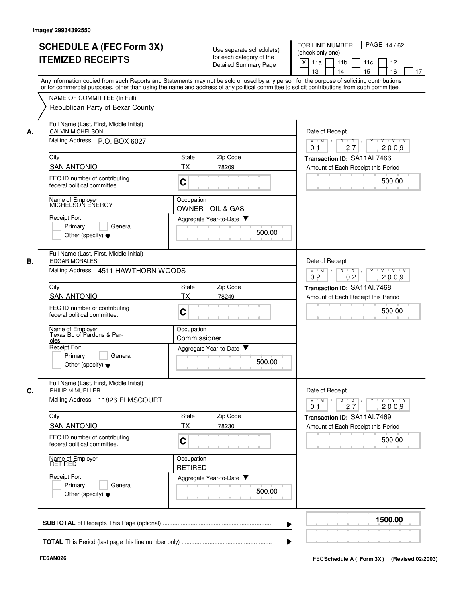| <b>SCHEDULE A (FEC Form 3X)</b><br><b>ITEMIZED RECEIPTS</b>                         | Use separate schedule(s)<br>for each category of the<br>Detailed Summary Page                                                                                                                                                                                                           | FOR LINE NUMBER:<br>PAGE 14/62<br>(check only one)<br>X<br>11a<br>11 <sub>b</sub><br>11c<br>12<br>13<br>14<br>15<br>16<br>17 |
|-------------------------------------------------------------------------------------|-----------------------------------------------------------------------------------------------------------------------------------------------------------------------------------------------------------------------------------------------------------------------------------------|------------------------------------------------------------------------------------------------------------------------------|
| NAME OF COMMITTEE (In Full)                                                         | Any information copied from such Reports and Statements may not be sold or used by any person for the purpose of soliciting contributions<br>or for commercial purposes, other than using the name and address of any political committee to solicit contributions from such committee. |                                                                                                                              |
| Republican Party of Bexar County                                                    |                                                                                                                                                                                                                                                                                         |                                                                                                                              |
| Full Name (Last, First, Middle Initial)<br><b>CALVIN MICHELSON</b><br>А.            |                                                                                                                                                                                                                                                                                         | Date of Receipt                                                                                                              |
| Mailing Address P.O. BOX 6027                                                       |                                                                                                                                                                                                                                                                                         | $M$ $M$ /<br>Y 'Y 'Y<br>D<br>$\overline{\phantom{0}}$ D<br>27<br>2009<br>0 <sub>1</sub>                                      |
| City                                                                                | Zip Code<br><b>State</b>                                                                                                                                                                                                                                                                | Transaction ID: SA11Al.7466                                                                                                  |
| <b>SAN ANTONIO</b><br>FEC ID number of contributing<br>federal political committee. | TX<br>78209<br>C                                                                                                                                                                                                                                                                        | Amount of Each Receipt this Period<br>500.00                                                                                 |
| Name of Employer<br>MICHELSON ENERGY                                                | Occupation<br><b>OWNER - OIL &amp; GAS</b>                                                                                                                                                                                                                                              |                                                                                                                              |
| Receipt For:<br>Primary<br>General<br>Other (specify) $\blacktriangledown$          | Aggregate Year-to-Date<br>500.00                                                                                                                                                                                                                                                        |                                                                                                                              |
| Full Name (Last, First, Middle Initial)<br>В.<br><b>EDGAR MORALES</b>               |                                                                                                                                                                                                                                                                                         | Date of Receipt                                                                                                              |
| Mailing Address 4511 HAWTHORN WOODS                                                 |                                                                                                                                                                                                                                                                                         | D<br>$M$ M<br>$\overline{D}$<br>Y 'Y 'Y<br>$\sqrt{ }$<br>0 <sub>2</sub><br>0 <sub>2</sub><br>2009                            |
| City                                                                                | Zip Code<br>State                                                                                                                                                                                                                                                                       | Transaction ID: SA11Al.7468                                                                                                  |
| <b>SAN ANTONIO</b>                                                                  | ТX<br>78249                                                                                                                                                                                                                                                                             | Amount of Each Receipt this Period                                                                                           |
| FEC ID number of contributing<br>federal political committee.                       | C                                                                                                                                                                                                                                                                                       | 500.00                                                                                                                       |
| Name of Employer<br>Texas Bd of Pardons & Par-<br>oles                              | Occupation<br>Commissioner                                                                                                                                                                                                                                                              |                                                                                                                              |
| Receipt For:<br>Primary<br>General<br>Other (specify) $\blacktriangledown$          | Aggregate Year-to-Date $\blacktriangledown$<br>500.00                                                                                                                                                                                                                                   |                                                                                                                              |
| Full Name (Last, First, Middle Initial)<br>C.<br>PHILIP M MUELLER                   |                                                                                                                                                                                                                                                                                         | Date of Receipt                                                                                                              |
| Mailing Address 11826 ELMSCOURT                                                     |                                                                                                                                                                                                                                                                                         | $\mathsf{Y} \dashv \mathsf{Y} \dashv \mathsf{Y}$<br>$M$ $M$ /<br>$D$ $D$<br>$Y$ <sup>U</sup><br>27<br>2009<br>0 <sub>1</sub> |
| City<br><b>SAN ANTONIO</b>                                                          | State<br>Zip Code<br>ТX<br>78230                                                                                                                                                                                                                                                        | Transaction ID: SA11Al.7469                                                                                                  |
| FEC ID number of contributing<br>federal political committee.                       | C                                                                                                                                                                                                                                                                                       | Amount of Each Receipt this Period<br>500.00                                                                                 |
| Name of Employer<br>RETIRED                                                         | Occupation<br><b>RETIRED</b>                                                                                                                                                                                                                                                            |                                                                                                                              |
| Receipt For:<br>Primary<br>General<br>Other (specify) $\blacktriangledown$          | Aggregate Year-to-Date<br>500.00                                                                                                                                                                                                                                                        |                                                                                                                              |
|                                                                                     |                                                                                                                                                                                                                                                                                         | 1500.00                                                                                                                      |
|                                                                                     |                                                                                                                                                                                                                                                                                         |                                                                                                                              |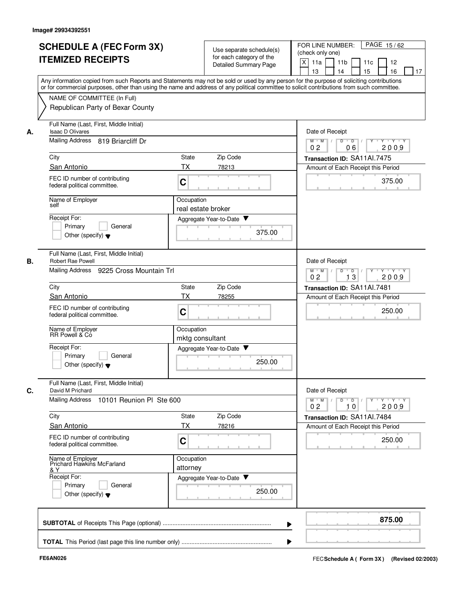|                                                                                                                                            |                                                                  |                              | PAGE 15/62<br>FOR LINE NUMBER:                                                                                                            |  |  |  |  |  |  |  |
|--------------------------------------------------------------------------------------------------------------------------------------------|------------------------------------------------------------------|------------------------------|-------------------------------------------------------------------------------------------------------------------------------------------|--|--|--|--|--|--|--|
| <b>SCHEDULE A (FEC Form 3X)</b>                                                                                                            |                                                                  | Use separate schedule(s)     | (check only one)                                                                                                                          |  |  |  |  |  |  |  |
| <b>ITEMIZED RECEIPTS</b>                                                                                                                   |                                                                  | for each category of the     | X<br>11 <sub>b</sub><br>11a<br>11 <sub>c</sub><br>12                                                                                      |  |  |  |  |  |  |  |
|                                                                                                                                            |                                                                  | <b>Detailed Summary Page</b> | 16<br>13<br>14<br>15                                                                                                                      |  |  |  |  |  |  |  |
| or for commercial purposes, other than using the name and address of any political committee to solicit contributions from such committee. |                                                                  |                              | Any information copied from such Reports and Statements may not be sold or used by any person for the purpose of soliciting contributions |  |  |  |  |  |  |  |
| NAME OF COMMITTEE (In Full)                                                                                                                |                                                                  |                              |                                                                                                                                           |  |  |  |  |  |  |  |
|                                                                                                                                            |                                                                  |                              |                                                                                                                                           |  |  |  |  |  |  |  |
| Republican Party of Bexar County                                                                                                           |                                                                  |                              |                                                                                                                                           |  |  |  |  |  |  |  |
| Full Name (Last, First, Middle Initial)<br><b>Isaac D Olivares</b>                                                                         |                                                                  |                              | Date of Receipt                                                                                                                           |  |  |  |  |  |  |  |
| Mailing Address<br>819 Briarcliff Dr                                                                                                       |                                                                  |                              | $Y - Y - Y$<br>$M$ $M$ /<br>D<br>$\overline{D}$ /<br>Y<br>0 <sub>2</sub><br>06<br>2009                                                    |  |  |  |  |  |  |  |
| City                                                                                                                                       | State                                                            | Zip Code                     | Transaction ID: SA11Al.7475                                                                                                               |  |  |  |  |  |  |  |
| San Antonio                                                                                                                                | <b>TX</b>                                                        | 78213                        | Amount of Each Receipt this Period                                                                                                        |  |  |  |  |  |  |  |
| FEC ID number of contributing<br>federal political committee.                                                                              | C                                                                |                              | 375.00                                                                                                                                    |  |  |  |  |  |  |  |
| Name of Employer<br>self                                                                                                                   | Occupation                                                       |                              |                                                                                                                                           |  |  |  |  |  |  |  |
|                                                                                                                                            |                                                                  | real estate broker           |                                                                                                                                           |  |  |  |  |  |  |  |
| Receipt For:                                                                                                                               |                                                                  | Aggregate Year-to-Date       |                                                                                                                                           |  |  |  |  |  |  |  |
| Primary<br>General                                                                                                                         |                                                                  | 375.00                       |                                                                                                                                           |  |  |  |  |  |  |  |
| Other (specify) $\blacktriangledown$                                                                                                       |                                                                  |                              |                                                                                                                                           |  |  |  |  |  |  |  |
| Full Name (Last, First, Middle Initial)<br>Robert Rae Powell                                                                               |                                                                  |                              | Date of Receipt                                                                                                                           |  |  |  |  |  |  |  |
| Mailing Address<br>9225 Cross Mountain Trl                                                                                                 | D<br>$\overline{D}$<br>$M$ M<br>Y "Y "Y<br>13<br>2009<br>02      |                              |                                                                                                                                           |  |  |  |  |  |  |  |
| City                                                                                                                                       | State                                                            | Zip Code                     | Transaction ID: SA11Al.7481                                                                                                               |  |  |  |  |  |  |  |
| San Antonio                                                                                                                                | ТX                                                               | 78255                        | Amount of Each Receipt this Period                                                                                                        |  |  |  |  |  |  |  |
| FEC ID number of contributing<br>federal political committee.                                                                              | C                                                                |                              | 250.00                                                                                                                                    |  |  |  |  |  |  |  |
| Name of Employer<br>RR Powell & Co                                                                                                         | Occupation<br>mktg consultant                                    |                              |                                                                                                                                           |  |  |  |  |  |  |  |
| Receipt For:                                                                                                                               |                                                                  | Aggregate Year-to-Date       |                                                                                                                                           |  |  |  |  |  |  |  |
| Primary<br>General                                                                                                                         |                                                                  |                              |                                                                                                                                           |  |  |  |  |  |  |  |
| Other (specify) $\blacktriangledown$                                                                                                       |                                                                  | 250.00                       |                                                                                                                                           |  |  |  |  |  |  |  |
| Full Name (Last, First, Middle Initial)<br>David M Prichard                                                                                |                                                                  |                              | Date of Receipt                                                                                                                           |  |  |  |  |  |  |  |
| <b>Mailing Address</b><br>10101 Reunion PI Ste 600                                                                                         | Y Y Y Y<br>$M$ M<br>$D$ $D$<br>Y<br>2009<br>0 <sub>2</sub><br>10 |                              |                                                                                                                                           |  |  |  |  |  |  |  |
| City                                                                                                                                       | State                                                            | Zip Code                     | Transaction ID: SA11Al.7484                                                                                                               |  |  |  |  |  |  |  |
| San Antonio                                                                                                                                | <b>TX</b>                                                        | 78216                        | Amount of Each Receipt this Period                                                                                                        |  |  |  |  |  |  |  |
|                                                                                                                                            |                                                                  |                              |                                                                                                                                           |  |  |  |  |  |  |  |
| FEC ID number of contributing<br>federal political committee.                                                                              | C                                                                |                              | 250.00                                                                                                                                    |  |  |  |  |  |  |  |
| Name of Employer<br>Prichard Hawkins McFarland<br>& Y                                                                                      | Occupation<br>attorney                                           |                              |                                                                                                                                           |  |  |  |  |  |  |  |
| Receipt For:                                                                                                                               |                                                                  | Aggregate Year-to-Date       |                                                                                                                                           |  |  |  |  |  |  |  |
| Primary<br>General                                                                                                                         |                                                                  | 250.00                       |                                                                                                                                           |  |  |  |  |  |  |  |
| Other (specify) $\blacktriangledown$                                                                                                       |                                                                  |                              |                                                                                                                                           |  |  |  |  |  |  |  |
|                                                                                                                                            |                                                                  |                              |                                                                                                                                           |  |  |  |  |  |  |  |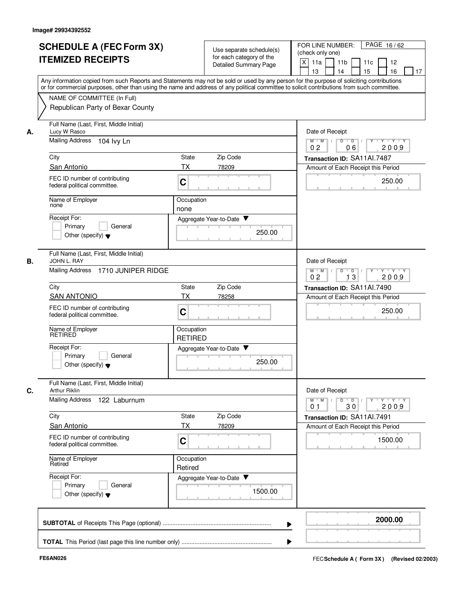|    | <b>SCHEDULE A (FEC Form 3X)</b>                                                                                                                                                                                                                                                         |                              | Use separate schedule(s)                                 | PAGE 16/62<br>FOR LINE NUMBER:                                                                    |
|----|-----------------------------------------------------------------------------------------------------------------------------------------------------------------------------------------------------------------------------------------------------------------------------------------|------------------------------|----------------------------------------------------------|---------------------------------------------------------------------------------------------------|
|    | <b>ITEMIZED RECEIPTS</b>                                                                                                                                                                                                                                                                |                              | for each category of the<br><b>Detailed Summary Page</b> | (check only one)<br>$\times$<br>11 <sub>b</sub><br>11a<br>11c<br>12<br>16<br>13<br>14<br>15<br>17 |
|    | Any information copied from such Reports and Statements may not be sold or used by any person for the purpose of soliciting contributions<br>or for commercial purposes, other than using the name and address of any political committee to solicit contributions from such committee. |                              |                                                          |                                                                                                   |
|    | NAME OF COMMITTEE (In Full)<br>Republican Party of Bexar County                                                                                                                                                                                                                         |                              |                                                          |                                                                                                   |
| А. | Full Name (Last, First, Middle Initial)<br>Lucy W Rasco                                                                                                                                                                                                                                 |                              |                                                          | Date of Receipt                                                                                   |
|    | <b>Mailing Address</b><br>104 Ivy Ln                                                                                                                                                                                                                                                    |                              |                                                          | $M$ $M$<br>$D$ $D$ $I$<br>Y 'Y 'Y<br>Y<br>0 <sub>2</sub><br>2009<br>06                            |
|    | City                                                                                                                                                                                                                                                                                    | State                        | Zip Code                                                 | Transaction ID: SA11Al.7487                                                                       |
|    | San Antonio                                                                                                                                                                                                                                                                             | <b>TX</b>                    | 78209                                                    | Amount of Each Receipt this Period                                                                |
|    | FEC ID number of contributing<br>federal political committee.                                                                                                                                                                                                                           | C                            |                                                          | 250.00                                                                                            |
|    | Name of Employer<br>none                                                                                                                                                                                                                                                                | Occupation<br>none           |                                                          |                                                                                                   |
|    | Receipt For:                                                                                                                                                                                                                                                                            |                              | Aggregate Year-to-Date ▼                                 |                                                                                                   |
|    | Primary<br>General<br>Other (specify) $\blacktriangledown$                                                                                                                                                                                                                              |                              | 250.00                                                   |                                                                                                   |
| В. | Full Name (Last, First, Middle Initial)<br>JOHN L. RAY                                                                                                                                                                                                                                  |                              |                                                          | Date of Receipt                                                                                   |
|    | Mailing Address<br>1710 JUNIPER RIDGE                                                                                                                                                                                                                                                   |                              |                                                          | $M$ M<br>D<br>D<br>$\cdots$ Y $\cdots$ Y<br>13<br>2009<br>0 <sub>2</sub>                          |
|    | City                                                                                                                                                                                                                                                                                    | State                        | Zip Code                                                 | Transaction ID: SA11Al.7490                                                                       |
|    | <b>SAN ANTONIO</b>                                                                                                                                                                                                                                                                      | ТX                           | 78258                                                    | Amount of Each Receipt this Period                                                                |
|    | FEC ID number of contributing<br>federal political committee.                                                                                                                                                                                                                           | C                            |                                                          | 250.00                                                                                            |
|    | Name of Employer<br>RETIRED                                                                                                                                                                                                                                                             | Occupation<br><b>RETIRED</b> |                                                          |                                                                                                   |
|    | Receipt For:                                                                                                                                                                                                                                                                            |                              | Aggregate Year-to-Date ▼                                 |                                                                                                   |
|    | Primary<br>General<br>Other (specify) $\blacktriangledown$                                                                                                                                                                                                                              |                              | 250.00                                                   |                                                                                                   |
| С. | Full Name (Last, First, Middle Initial)<br><b>Arthur Riklin</b>                                                                                                                                                                                                                         |                              |                                                          | Date of Receipt                                                                                   |
|    | <b>Mailing Address</b><br>122 Laburnum                                                                                                                                                                                                                                                  |                              |                                                          | $Y$ $Y$ $Y$<br>$D$ $D$ $I$<br>$M$ $M$ /<br>Y<br>30<br>2009<br>0 <sub>1</sub>                      |
|    | City                                                                                                                                                                                                                                                                                    | State                        | Zip Code                                                 | Transaction ID: SA11Al.7491                                                                       |
|    | San Antonio                                                                                                                                                                                                                                                                             | <b>TX</b>                    | 78209                                                    | Amount of Each Receipt this Period                                                                |
|    | FEC ID number of contributing<br>federal political committee.                                                                                                                                                                                                                           | C                            |                                                          | 1500.00                                                                                           |
|    | Name of Employer<br>Retired                                                                                                                                                                                                                                                             | Occupation<br>Retired        |                                                          |                                                                                                   |
|    | Receipt For:<br>Primary<br>General<br>Other (specify) $\blacktriangledown$                                                                                                                                                                                                              |                              | Aggregate Year-to-Date<br>1500.00                        |                                                                                                   |
|    |                                                                                                                                                                                                                                                                                         |                              |                                                          |                                                                                                   |
|    |                                                                                                                                                                                                                                                                                         |                              |                                                          | 2000.00                                                                                           |
|    |                                                                                                                                                                                                                                                                                         |                              |                                                          |                                                                                                   |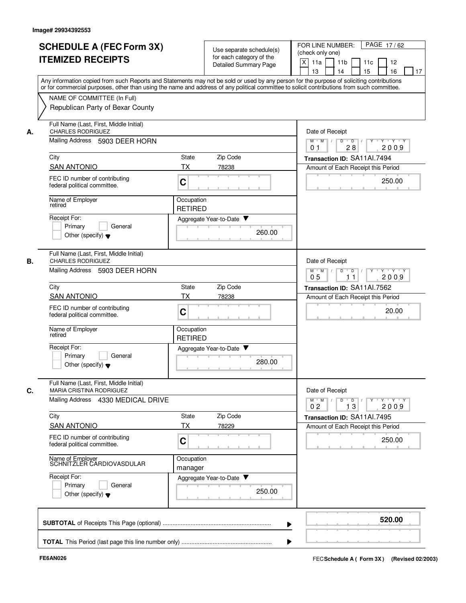| А. | NAME OF COMMITTEE (In Full)<br>Republican Party of Bexar County<br>Full Name (Last, First, Middle Initial)<br><b>CHARLES RODRIGUEZ</b> | Any information copied from such Reports and Statements may not be sold or used by any person for the purpose of soliciting contributions<br>or for commercial purposes, other than using the name and address of any political committee to solicit contributions from such committee. |                                                                                                                               |  |  |  |  |
|----|----------------------------------------------------------------------------------------------------------------------------------------|-----------------------------------------------------------------------------------------------------------------------------------------------------------------------------------------------------------------------------------------------------------------------------------------|-------------------------------------------------------------------------------------------------------------------------------|--|--|--|--|
|    |                                                                                                                                        |                                                                                                                                                                                                                                                                                         |                                                                                                                               |  |  |  |  |
|    |                                                                                                                                        |                                                                                                                                                                                                                                                                                         |                                                                                                                               |  |  |  |  |
|    |                                                                                                                                        |                                                                                                                                                                                                                                                                                         | Date of Receipt                                                                                                               |  |  |  |  |
|    | Mailing Address 5903 DEER HORN                                                                                                         |                                                                                                                                                                                                                                                                                         | $M$ $M$ /<br>$Y - Y - Y$<br>D<br>$\overline{D}$ /<br>28<br>2009<br>0 <sub>1</sub>                                             |  |  |  |  |
|    | City                                                                                                                                   | Zip Code<br>State                                                                                                                                                                                                                                                                       | Transaction ID: SA11Al.7494                                                                                                   |  |  |  |  |
|    | <b>SAN ANTONIO</b><br>FEC ID number of contributing<br>federal political committee.                                                    | <b>TX</b><br>78238<br>C                                                                                                                                                                                                                                                                 | Amount of Each Receipt this Period<br>250.00                                                                                  |  |  |  |  |
|    | Name of Employer<br>retired                                                                                                            | Occupation<br><b>RETIRED</b>                                                                                                                                                                                                                                                            |                                                                                                                               |  |  |  |  |
|    | Receipt For:<br>Primary<br>General                                                                                                     | Aggregate Year-to-Date ▼                                                                                                                                                                                                                                                                |                                                                                                                               |  |  |  |  |
|    | Other (specify) $\blacktriangledown$                                                                                                   | 260.00                                                                                                                                                                                                                                                                                  |                                                                                                                               |  |  |  |  |
| В. | Full Name (Last, First, Middle Initial)<br><b>CHARLES RODRIGUEZ</b>                                                                    |                                                                                                                                                                                                                                                                                         | Date of Receipt                                                                                                               |  |  |  |  |
|    | Mailing Address<br>5903 DEER HORN                                                                                                      |                                                                                                                                                                                                                                                                                         | D<br>$M$ M<br>$\sqrt{ }$<br>$\overline{D}$<br>Y 'Y 'Y<br>$\top$<br>05<br>2009<br>11                                           |  |  |  |  |
|    | City                                                                                                                                   | Zip Code<br>State                                                                                                                                                                                                                                                                       | Transaction ID: SA11Al.7562                                                                                                   |  |  |  |  |
|    | <b>SAN ANTONIO</b><br>FEC ID number of contributing<br>federal political committee.                                                    | ТX<br>78238<br>C                                                                                                                                                                                                                                                                        | Amount of Each Receipt this Period<br>20.00                                                                                   |  |  |  |  |
|    | Name of Employer<br>retired                                                                                                            | Occupation<br><b>RETIRED</b>                                                                                                                                                                                                                                                            |                                                                                                                               |  |  |  |  |
|    | Receipt For:<br>Primary<br>General<br>Other (specify) $\blacktriangledown$                                                             | Aggregate Year-to-Date ▼<br>280.00                                                                                                                                                                                                                                                      |                                                                                                                               |  |  |  |  |
| C. | Full Name (Last, First, Middle Initial)<br>MARIA CRISTINA RODRIGUEZ<br>Mailing Address 4330 MEDICAL DRIVE                              |                                                                                                                                                                                                                                                                                         | Date of Receipt<br>$Y + Y + Y$<br>$M^{\prime}$ M $\rightarrow$ /<br>$D$ $D$ $/$<br>$\Gamma Y$<br>13<br>2009<br>0 <sub>2</sub> |  |  |  |  |
|    | City                                                                                                                                   | State<br>Zip Code                                                                                                                                                                                                                                                                       | Transaction ID: SA11Al.7495                                                                                                   |  |  |  |  |
|    | <b>SAN ANTONIO</b>                                                                                                                     | ТX<br>78229                                                                                                                                                                                                                                                                             | Amount of Each Receipt this Period                                                                                            |  |  |  |  |
|    | FEC ID number of contributing<br>federal political committee.                                                                          | C                                                                                                                                                                                                                                                                                       | 250.00                                                                                                                        |  |  |  |  |
|    | Name of Employer<br>SCHNITZLER CARDIOVASDULAR                                                                                          | Occupation<br>manager                                                                                                                                                                                                                                                                   |                                                                                                                               |  |  |  |  |
|    | Receipt For:<br>Primary<br>General<br>Other (specify) $\blacktriangledown$                                                             | Aggregate Year-to-Date<br>250.00                                                                                                                                                                                                                                                        |                                                                                                                               |  |  |  |  |
|    |                                                                                                                                        |                                                                                                                                                                                                                                                                                         | 520.00                                                                                                                        |  |  |  |  |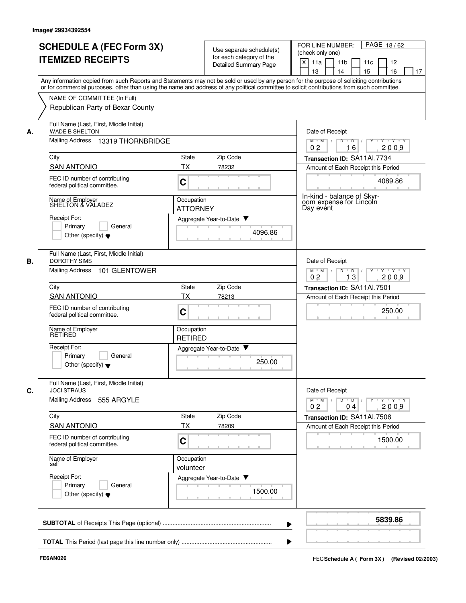|    | <b>SCHEDULE A (FEC Form 3X)</b><br><b>ITEMIZED RECEIPTS</b>                                                                                                                                                                                                                                                            |                               | Use separate schedule(s)<br>for each category of the<br>Detailed Summary Page | PAGE 18/62<br>FOR LINE NUMBER:<br>(check only one)<br>X<br>11a<br>11 <sub>b</sub><br>11c<br>12<br>13<br>14<br>15<br>16<br>17 |
|----|------------------------------------------------------------------------------------------------------------------------------------------------------------------------------------------------------------------------------------------------------------------------------------------------------------------------|-------------------------------|-------------------------------------------------------------------------------|------------------------------------------------------------------------------------------------------------------------------|
|    | Any information copied from such Reports and Statements may not be sold or used by any person for the purpose of soliciting contributions<br>or for commercial purposes, other than using the name and address of any political committee to solicit contributions from such committee.<br>NAME OF COMMITTEE (In Full) |                               |                                                                               |                                                                                                                              |
|    | Republican Party of Bexar County                                                                                                                                                                                                                                                                                       |                               |                                                                               |                                                                                                                              |
| А. | Full Name (Last, First, Middle Initial)<br><b>WADE B SHELTON</b>                                                                                                                                                                                                                                                       |                               |                                                                               | Date of Receipt                                                                                                              |
|    | Mailing Address 13319 THORNBRIDGE                                                                                                                                                                                                                                                                                      |                               |                                                                               | Y Y Y Y<br>$M$ $M$ /<br>D<br>$\overline{D}$ /<br>$Y$ <sup>-1</sup><br>0 <sub>2</sub><br>2009<br>16                           |
|    | City<br><b>SAN ANTONIO</b>                                                                                                                                                                                                                                                                                             | State<br>TX                   | Zip Code<br>78232                                                             | Transaction ID: SA11Al.7734<br>Amount of Each Receipt this Period                                                            |
|    | FEC ID number of contributing<br>federal political committee.                                                                                                                                                                                                                                                          | C                             |                                                                               | 4089.86                                                                                                                      |
|    | Name of Employer<br>SHELTON & VALADEZ                                                                                                                                                                                                                                                                                  | Occupation<br><b>ATTORNEY</b> |                                                                               | In-kind - balance of Skvr-<br>oom expense for Lincoln<br>Day event                                                           |
|    | Receipt For:<br>Primary<br>General<br>Other (specify) $\blacktriangledown$                                                                                                                                                                                                                                             |                               | Aggregate Year-to-Date ▼<br>4096.86                                           |                                                                                                                              |
| В. | Full Name (Last, First, Middle Initial)<br><b>DOROTHY SIMS</b><br><b>Mailing Address</b>                                                                                                                                                                                                                               |                               |                                                                               | Date of Receipt                                                                                                              |
|    | 101 GLENTOWER                                                                                                                                                                                                                                                                                                          |                               |                                                                               | $M$ M<br>D<br>$\overline{D}$<br>Y Y Y Y<br>$\sqrt{ }$<br>Y<br>$\top$<br>13<br>2009<br>0 <sub>2</sub>                         |
|    | City<br><b>SAN ANTONIO</b>                                                                                                                                                                                                                                                                                             | State<br>ТX                   | Zip Code                                                                      | Transaction ID: SA11AI.7501                                                                                                  |
|    | FEC ID number of contributing<br>federal political committee.                                                                                                                                                                                                                                                          | C                             | 78213                                                                         | Amount of Each Receipt this Period<br>250.00                                                                                 |
|    | Name of Employer<br><b>RETIRED</b>                                                                                                                                                                                                                                                                                     | Occupation<br><b>RETIRED</b>  |                                                                               |                                                                                                                              |
|    | Receipt For:<br>Primarv<br>General<br>Other (specify) $\blacktriangledown$                                                                                                                                                                                                                                             |                               | Aggregate Year-to-Date<br>250.00                                              |                                                                                                                              |
| С. | Full Name (Last, First, Middle Initial)<br><b>JOCI STRAUS</b>                                                                                                                                                                                                                                                          |                               |                                                                               | Date of Receipt                                                                                                              |
|    | Mailing Address<br>555 ARGYLE                                                                                                                                                                                                                                                                                          |                               |                                                                               | $Y - Y - Y$<br>$M^+M^-$<br>D<br>$\overline{D}$<br>Y<br>0 <sub>2</sub><br>2009<br>04                                          |
|    | City                                                                                                                                                                                                                                                                                                                   | State                         | Zip Code                                                                      | Transaction ID: SA11Al.7506                                                                                                  |
|    | <b>SAN ANTONIO</b><br>FEC ID number of contributing<br>federal political committee.                                                                                                                                                                                                                                    | ТX<br>C                       | 78209                                                                         | Amount of Each Receipt this Period<br>1500.00                                                                                |
|    | Name of Employer<br>self                                                                                                                                                                                                                                                                                               | Occupation<br>volunteer       |                                                                               |                                                                                                                              |
|    | Receipt For:<br>Primary<br>General<br>Other (specify) $\blacktriangledown$                                                                                                                                                                                                                                             |                               | Aggregate Year-to-Date<br>1500.00                                             |                                                                                                                              |
|    |                                                                                                                                                                                                                                                                                                                        |                               |                                                                               |                                                                                                                              |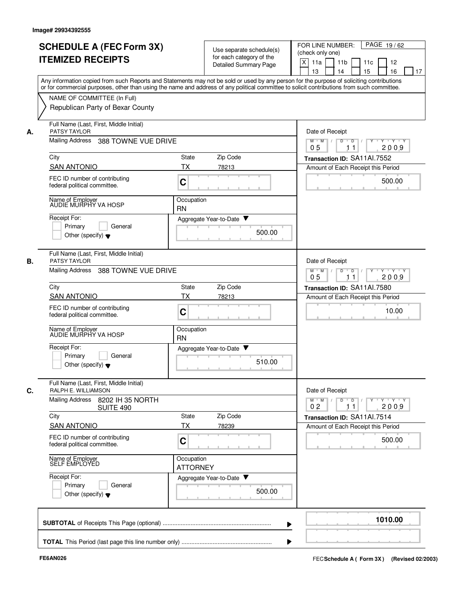|    | <b>SCHEDULE A (FEC Form 3X)</b><br><b>ITEMIZED RECEIPTS</b>                                                                                                                                                                                                                             |                                                        | Use separate schedule(s)<br>for each category of the<br>Detailed Summary Page | FOR LINE NUMBER:<br>PAGE 19/62<br>(check only one)<br>X<br>11a<br>11 <sub>b</sub><br>11c<br>12<br>13<br>14<br>15<br>16<br>17 |  |  |  |
|----|-----------------------------------------------------------------------------------------------------------------------------------------------------------------------------------------------------------------------------------------------------------------------------------------|--------------------------------------------------------|-------------------------------------------------------------------------------|------------------------------------------------------------------------------------------------------------------------------|--|--|--|
|    | Any information copied from such Reports and Statements may not be sold or used by any person for the purpose of soliciting contributions<br>or for commercial purposes, other than using the name and address of any political committee to solicit contributions from such committee. |                                                        |                                                                               |                                                                                                                              |  |  |  |
|    | NAME OF COMMITTEE (In Full)                                                                                                                                                                                                                                                             |                                                        |                                                                               |                                                                                                                              |  |  |  |
|    | Republican Party of Bexar County                                                                                                                                                                                                                                                        |                                                        |                                                                               |                                                                                                                              |  |  |  |
| А. | Full Name (Last, First, Middle Initial)<br>PATSY TAYLOR                                                                                                                                                                                                                                 |                                                        |                                                                               | Date of Receipt                                                                                                              |  |  |  |
|    | <b>Mailing Address</b><br>388 TOWNE VUE DRIVE                                                                                                                                                                                                                                           | $M$ $M$ /<br>$Y - Y - Y$<br>D<br>D<br>2009<br>05<br>11 |                                                                               |                                                                                                                              |  |  |  |
|    | City                                                                                                                                                                                                                                                                                    | State                                                  | Zip Code                                                                      | Transaction ID: SA11Al.7552                                                                                                  |  |  |  |
|    | <b>SAN ANTONIO</b>                                                                                                                                                                                                                                                                      | TX                                                     | 78213                                                                         | Amount of Each Receipt this Period                                                                                           |  |  |  |
|    | FEC ID number of contributing<br>federal political committee.                                                                                                                                                                                                                           | C                                                      |                                                                               | 500.00                                                                                                                       |  |  |  |
|    | Name of Employer<br>AUDIE MURPHY VA HOSP                                                                                                                                                                                                                                                | Occupation<br><b>RN</b>                                |                                                                               |                                                                                                                              |  |  |  |
|    | Receipt For:                                                                                                                                                                                                                                                                            |                                                        | Aggregate Year-to-Date ▼                                                      |                                                                                                                              |  |  |  |
|    | Primary<br>General<br>Other (specify) $\blacktriangledown$                                                                                                                                                                                                                              |                                                        | 500.00                                                                        |                                                                                                                              |  |  |  |
| В. | Full Name (Last, First, Middle Initial)<br><b>PATSY TAYLOR</b>                                                                                                                                                                                                                          |                                                        |                                                                               | Date of Receipt                                                                                                              |  |  |  |
|    | <b>Mailing Address</b><br>388 TOWNE VUE DRIVE                                                                                                                                                                                                                                           |                                                        |                                                                               | $M$ M<br>$\sqrt{ }$<br>D<br>$\mathsf D$<br>Y Y Y Y<br>$\sqrt{ }$<br>05<br>2009<br>11                                         |  |  |  |
|    | City                                                                                                                                                                                                                                                                                    | State                                                  | Zip Code                                                                      | Transaction ID: SA11Al.7580                                                                                                  |  |  |  |
|    | <b>SAN ANTONIO</b>                                                                                                                                                                                                                                                                      | ТX                                                     | 78213                                                                         | Amount of Each Receipt this Period                                                                                           |  |  |  |
|    | FEC ID number of contributing<br>federal political committee.                                                                                                                                                                                                                           | C                                                      |                                                                               | 10.00                                                                                                                        |  |  |  |
|    | Name of Employer<br>AUDIE MURPHY VA HOSP                                                                                                                                                                                                                                                | Occupation<br><b>RN</b>                                |                                                                               |                                                                                                                              |  |  |  |
|    | Receipt For:                                                                                                                                                                                                                                                                            |                                                        | Aggregate Year-to-Date ▼                                                      |                                                                                                                              |  |  |  |
|    | Primary<br>General<br>Other (specify) $\blacktriangledown$                                                                                                                                                                                                                              |                                                        | 510.00                                                                        |                                                                                                                              |  |  |  |
| C. | Full Name (Last, First, Middle Initial)<br>RALPH E. WILLIAMSON                                                                                                                                                                                                                          |                                                        |                                                                               | Date of Receipt                                                                                                              |  |  |  |
|    | Mailing Address 8202 IH 35 NORTH<br>SUITE 490                                                                                                                                                                                                                                           |                                                        |                                                                               | $\mathsf{Y} \dashv \mathsf{Y} \dashv \mathsf{Y}$<br>$M$ $M$ /<br>$D$ $D$ $I$<br>$Y^+$<br>0 <sub>2</sub><br>2009<br>11        |  |  |  |
|    | City                                                                                                                                                                                                                                                                                    | State                                                  | Zip Code                                                                      | Transaction ID: SA11Al.7514                                                                                                  |  |  |  |
|    | <b>SAN ANTONIO</b>                                                                                                                                                                                                                                                                      | ТX                                                     | 78239                                                                         | Amount of Each Receipt this Period                                                                                           |  |  |  |
|    | FEC ID number of contributing<br>federal political committee.                                                                                                                                                                                                                           | C                                                      |                                                                               | 500.00                                                                                                                       |  |  |  |
|    | Name of Employer<br>SELF EMPLOYED                                                                                                                                                                                                                                                       | Occupation<br><b>ATTORNEY</b>                          |                                                                               |                                                                                                                              |  |  |  |
|    | Receipt For:                                                                                                                                                                                                                                                                            |                                                        | Aggregate Year-to-Date                                                        |                                                                                                                              |  |  |  |
|    | Primary<br>General<br>Other (specify) $\blacktriangledown$                                                                                                                                                                                                                              |                                                        | 500.00                                                                        |                                                                                                                              |  |  |  |
|    |                                                                                                                                                                                                                                                                                         |                                                        |                                                                               | 1010.00                                                                                                                      |  |  |  |
|    |                                                                                                                                                                                                                                                                                         |                                                        |                                                                               |                                                                                                                              |  |  |  |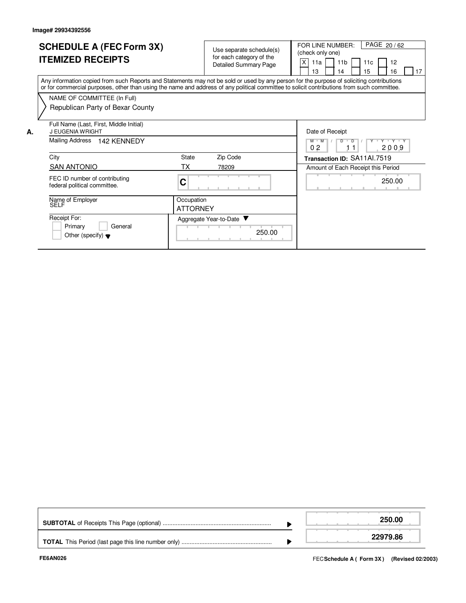**A.**

| <b>SCHEDULE A (FEC Form 3X)</b><br><b>ITEMIZED RECEIPTS</b>                                                                                                                                                                                                                             |                               | Use separate schedule(s)<br>for each category of the<br><b>Detailed Summary Page</b> | PAGE 20/62<br>FOR LINE NUMBER:<br>(check only one)<br>X<br>11 <sub>b</sub><br>12<br>11a<br>11c<br>15<br>13<br>16<br>17<br>14 |
|-----------------------------------------------------------------------------------------------------------------------------------------------------------------------------------------------------------------------------------------------------------------------------------------|-------------------------------|--------------------------------------------------------------------------------------|------------------------------------------------------------------------------------------------------------------------------|
| Any information copied from such Reports and Statements may not be sold or used by any person for the purpose of soliciting contributions<br>or for commercial purposes, other than using the name and address of any political committee to solicit contributions from such committee. |                               |                                                                                      |                                                                                                                              |
| NAME OF COMMITTEE (In Full)                                                                                                                                                                                                                                                             |                               |                                                                                      |                                                                                                                              |
| Republican Party of Bexar County                                                                                                                                                                                                                                                        |                               |                                                                                      |                                                                                                                              |
| Full Name (Last, First, Middle Initial)<br>J EUGENIA WRIGHT                                                                                                                                                                                                                             |                               |                                                                                      | Date of Receipt                                                                                                              |
| <b>Mailing Address</b><br><b>142 KENNEDY</b>                                                                                                                                                                                                                                            |                               |                                                                                      | Y 'Y 'Y 'Y<br>$M$ $M$<br>$\overline{D}$<br>02<br>2009                                                                        |
| City                                                                                                                                                                                                                                                                                    | State                         | Zip Code                                                                             | Transaction ID: SA11Al.7519                                                                                                  |
| <b>SAN ANTONIO</b>                                                                                                                                                                                                                                                                      | ТX                            | 78209                                                                                | Amount of Each Receipt this Period                                                                                           |
| FEC ID number of contributing<br>federal political committee.                                                                                                                                                                                                                           | C                             |                                                                                      | 250.00                                                                                                                       |
| Name of Employer<br>SELF                                                                                                                                                                                                                                                                | Occupation<br><b>ATTORNEY</b> |                                                                                      |                                                                                                                              |
| Receipt For:<br>Primary<br>General<br>Other (specify) $\blacktriangledown$                                                                                                                                                                                                              |                               | Aggregate Year-to-Date ▼<br>250.00                                                   |                                                                                                                              |

|  | 250.00   |
|--|----------|
|  | 22979.86 |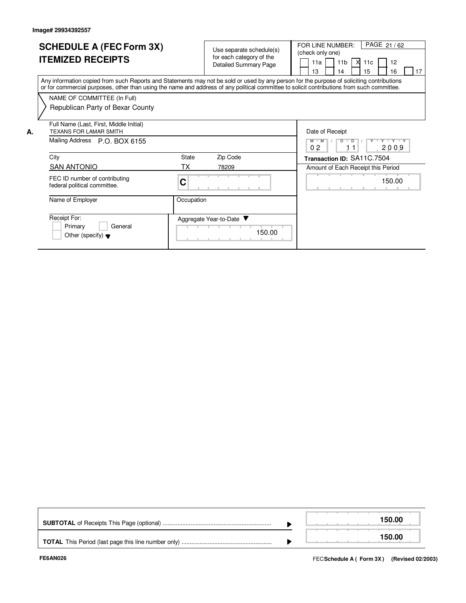**A.**

| <b>SCHEDULE A (FEC Form 3X)</b><br><b>ITEMIZED RECEIPTS</b>                                                                                                                                                                                                                             |                          | Use separate schedule(s)<br>for each category of the<br><b>Detailed Summary Page</b> | PAGE 21/62<br>FOR LINE NUMBER:<br>(check only one)<br>X<br>12<br>11 <sub>b</sub><br>11a<br>11c<br>15<br>13<br>16<br>17<br>14 |
|-----------------------------------------------------------------------------------------------------------------------------------------------------------------------------------------------------------------------------------------------------------------------------------------|--------------------------|--------------------------------------------------------------------------------------|------------------------------------------------------------------------------------------------------------------------------|
| Any information copied from such Reports and Statements may not be sold or used by any person for the purpose of soliciting contributions<br>or for commercial purposes, other than using the name and address of any political committee to solicit contributions from such committee. |                          |                                                                                      |                                                                                                                              |
| NAME OF COMMITTEE (In Full)                                                                                                                                                                                                                                                             |                          |                                                                                      |                                                                                                                              |
| Republican Party of Bexar County                                                                                                                                                                                                                                                        |                          |                                                                                      |                                                                                                                              |
| Full Name (Last, First, Middle Initial)<br><b>TEXANS FOR LAMAR SMITH</b>                                                                                                                                                                                                                |                          |                                                                                      | Date of Receipt                                                                                                              |
| Mailing Address<br>P.O. BOX 6155                                                                                                                                                                                                                                                        |                          |                                                                                      | Y V Y V Y V<br>$M$ M<br>$\overline{D}$<br>$\overline{D}$<br>0 <sub>2</sub><br>2009                                           |
| City                                                                                                                                                                                                                                                                                    | State                    | Zip Code                                                                             | Transaction ID: SA11C.7504                                                                                                   |
| <b>SAN ANTONIO</b>                                                                                                                                                                                                                                                                      | ТX                       | 78209                                                                                | Amount of Each Receipt this Period                                                                                           |
| FEC ID number of contributing<br>federal political committee.                                                                                                                                                                                                                           | С                        |                                                                                      | 150.00                                                                                                                       |
| Name of Employer                                                                                                                                                                                                                                                                        | Occupation               |                                                                                      |                                                                                                                              |
| Receipt For:<br>Primary<br>General<br>Other (specify) $\blacktriangledown$                                                                                                                                                                                                              | Aggregate Year-to-Date ▼ | 150.00                                                                               |                                                                                                                              |

|  |  | 150.00 |
|--|--|--------|
|  |  | 150.00 |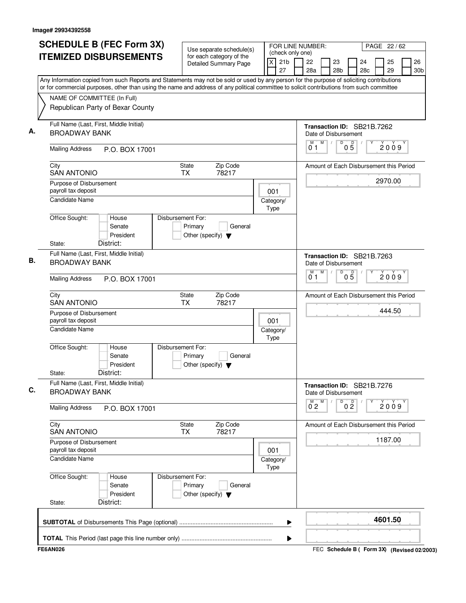| <b>SCHEDULE B (FEC Form 3X)</b>                                                                                                                                                                                                                                                        | Use separate schedule(s)                                                        | (check only one)           | FOR LINE NUMBER:<br>PAGE 22 / 62                           |                       |                                         |          |                                 |  |  |  |  |  |
|----------------------------------------------------------------------------------------------------------------------------------------------------------------------------------------------------------------------------------------------------------------------------------------|---------------------------------------------------------------------------------|----------------------------|------------------------------------------------------------|-----------------------|-----------------------------------------|----------|---------------------------------|--|--|--|--|--|
| <b>ITEMIZED DISBURSEMENTS</b>                                                                                                                                                                                                                                                          | for each category of the<br><b>Detailed Summary Page</b>                        | 21 <sub>b</sub><br>X<br>27 | 22<br>28a                                                  | 23<br>28 <sub>b</sub> | 24<br>28c                               | 25<br>29 | 26<br>30 <sub>b</sub>           |  |  |  |  |  |
| Any Information copied from such Reports and Statements may not be sold or used by any person for the purpose of soliciting contributions<br>or for commercial purposes, other than using the name and address of any political committee to solicit contributions from such committee |                                                                                 |                            |                                                            |                       |                                         |          |                                 |  |  |  |  |  |
| NAME OF COMMITTEE (In Full)<br>Republican Party of Bexar County                                                                                                                                                                                                                        |                                                                                 |                            |                                                            |                       |                                         |          |                                 |  |  |  |  |  |
| Full Name (Last, First, Middle Initial)<br>А.<br><b>BROADWAY BANK</b>                                                                                                                                                                                                                  |                                                                                 |                            |                                                            |                       |                                         |          |                                 |  |  |  |  |  |
| <b>Mailing Address</b><br>P.O. BOX 17001                                                                                                                                                                                                                                               |                                                                                 |                            | M<br>D<br>M<br>$0\overline{5}$<br>$\sqrt{ }$<br>2009<br>01 |                       |                                         |          |                                 |  |  |  |  |  |
| City<br><b>SAN ANTONIO</b>                                                                                                                                                                                                                                                             | <b>State</b><br>Zip Code<br><b>TX</b><br>78217                                  |                            | Amount of Each Disbursement this Period                    |                       |                                         |          |                                 |  |  |  |  |  |
| Purpose of Disbursement<br>payroll tax deposit                                                                                                                                                                                                                                         |                                                                                 | 001                        |                                                            |                       |                                         | 2970.00  |                                 |  |  |  |  |  |
| <b>Candidate Name</b>                                                                                                                                                                                                                                                                  |                                                                                 | Category/<br>Type          |                                                            |                       |                                         |          |                                 |  |  |  |  |  |
| Office Sought:<br>House<br>Senate<br>President<br>District:                                                                                                                                                                                                                            | Disbursement For:<br>Primary<br>General<br>Other (specify) $\blacktriangledown$ |                            |                                                            |                       |                                         |          |                                 |  |  |  |  |  |
| State:<br>Full Name (Last, First, Middle Initial)<br>В.<br><b>BROADWAY BANK</b>                                                                                                                                                                                                        |                                                                                 |                            |                                                            |                       |                                         |          | Transaction ID: SB21B.7263      |  |  |  |  |  |
| <b>Mailing Address</b>                                                                                                                                                                                                                                                                 | P.O. BOX 17001                                                                  |                            |                                                            |                       |                                         |          | M<br>M<br>D<br>05<br>2009<br>01 |  |  |  |  |  |
| City<br><b>SAN ANTONIO</b>                                                                                                                                                                                                                                                             | Zip Code<br><b>State</b><br><b>TX</b><br>78217                                  |                            |                                                            |                       | Amount of Each Disbursement this Period |          |                                 |  |  |  |  |  |
| Purpose of Disbursement<br>payroll tax deposit                                                                                                                                                                                                                                         |                                                                                 | 001                        |                                                            |                       |                                         | 444.50   |                                 |  |  |  |  |  |
| Candidate Name                                                                                                                                                                                                                                                                         |                                                                                 | Category/<br>Type          |                                                            |                       |                                         |          |                                 |  |  |  |  |  |
| Office Sought:<br>House<br>Senate<br>President<br>District:<br>State:                                                                                                                                                                                                                  | Disbursement For:<br>Primary<br>General<br>Other (specify) $\blacktriangledown$ |                            |                                                            |                       |                                         |          |                                 |  |  |  |  |  |
| Full Name (Last, First, Middle Initial)<br>C.<br><b>BROADWAY BANK</b>                                                                                                                                                                                                                  |                                                                                 |                            | Transaction ID: SB21B.7276<br>Date of Disbursement         |                       |                                         |          |                                 |  |  |  |  |  |
| <b>Mailing Address</b><br>P.O. BOX 17001                                                                                                                                                                                                                                               |                                                                                 |                            | М<br>$0^{M}$ <sub>2</sub>                                  | D<br>0 <sup>0</sup>   |                                         |          | 2009                            |  |  |  |  |  |
| City<br><b>SAN ANTONIO</b>                                                                                                                                                                                                                                                             | <b>State</b><br>Zip Code<br>78217<br>TX                                         |                            | Amount of Each Disbursement this Period                    |                       |                                         |          |                                 |  |  |  |  |  |
| Purpose of Disbursement<br>payroll tax deposit                                                                                                                                                                                                                                         |                                                                                 | 001                        |                                                            |                       |                                         | 1187.00  |                                 |  |  |  |  |  |
| <b>Candidate Name</b>                                                                                                                                                                                                                                                                  |                                                                                 | Category/<br>Type          |                                                            |                       |                                         |          |                                 |  |  |  |  |  |
| Office Sought:<br>House<br>Senate<br>President                                                                                                                                                                                                                                         | Disbursement For:<br>Primary<br>General<br>Other (specify) $\blacktriangledown$ |                            |                                                            |                       |                                         |          |                                 |  |  |  |  |  |
| District:<br>State:                                                                                                                                                                                                                                                                    |                                                                                 |                            |                                                            |                       |                                         |          |                                 |  |  |  |  |  |
|                                                                                                                                                                                                                                                                                        |                                                                                 |                            |                                                            |                       |                                         | 4601.50  |                                 |  |  |  |  |  |
|                                                                                                                                                                                                                                                                                        |                                                                                 |                            |                                                            |                       |                                         |          |                                 |  |  |  |  |  |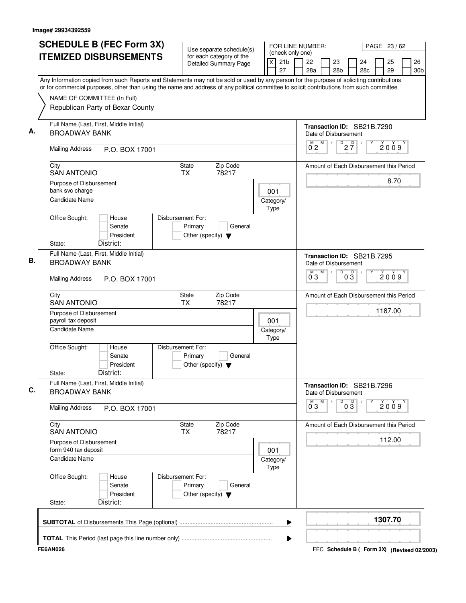| <b>SCHEDULE B (FEC Form 3X)</b>                                                                                                                                                                                                                                                        | Use separate schedule(s)                                                        | FOR LINE NUMBER:<br>PAGE 23/62<br>(check only one) |                                                    |                                             |  |                       |         |  |                       |
|----------------------------------------------------------------------------------------------------------------------------------------------------------------------------------------------------------------------------------------------------------------------------------------|---------------------------------------------------------------------------------|----------------------------------------------------|----------------------------------------------------|---------------------------------------------|--|-----------------------|---------|--|-----------------------|
| <b>ITEMIZED DISBURSEMENTS</b>                                                                                                                                                                                                                                                          | for each category of the<br>Detailed Summary Page                               | $\mathsf{X}$<br>21 <sub>b</sub><br>27              | 22<br>23<br>28a<br>28 <sub>b</sub>                 |                                             |  | 25<br>24<br>29<br>28c |         |  | 26<br>30 <sub>b</sub> |
| Any Information copied from such Reports and Statements may not be sold or used by any person for the purpose of soliciting contributions<br>or for commercial purposes, other than using the name and address of any political committee to solicit contributions from such committee |                                                                                 |                                                    |                                                    |                                             |  |                       |         |  |                       |
| NAME OF COMMITTEE (In Full)                                                                                                                                                                                                                                                            |                                                                                 |                                                    |                                                    |                                             |  |                       |         |  |                       |
| Republican Party of Bexar County                                                                                                                                                                                                                                                       |                                                                                 |                                                    |                                                    |                                             |  |                       |         |  |                       |
| Full Name (Last, First, Middle Initial)<br><b>BROADWAY BANK</b>                                                                                                                                                                                                                        |                                                                                 |                                                    | Transaction ID: SB21B.7290<br>Date of Disbursement |                                             |  |                       |         |  |                       |
| <b>Mailing Address</b><br>P.O. BOX 17001                                                                                                                                                                                                                                               |                                                                                 |                                                    | M<br>$0^{\degree}2$                                | $2\overline{7}$<br>D                        |  |                       | 2009    |  |                       |
| City<br><b>SAN ANTONIO</b>                                                                                                                                                                                                                                                             | Zip Code<br><b>State</b><br><b>TX</b><br>78217                                  |                                                    | Amount of Each Disbursement this Period            |                                             |  |                       |         |  |                       |
| Purpose of Disbursement<br>bank svc charge                                                                                                                                                                                                                                             |                                                                                 | 001                                                |                                                    |                                             |  |                       | 8.70    |  |                       |
| <b>Candidate Name</b>                                                                                                                                                                                                                                                                  |                                                                                 | Category/<br>Type                                  |                                                    |                                             |  |                       |         |  |                       |
| Office Sought:<br>House<br>Senate<br>President<br>District:<br>State:                                                                                                                                                                                                                  | Disbursement For:<br>Primary<br>General<br>Other (specify) $\blacktriangledown$ |                                                    |                                                    |                                             |  |                       |         |  |                       |
| Full Name (Last, First, Middle Initial)<br><b>BROADWAY BANK</b>                                                                                                                                                                                                                        |                                                                                 |                                                    | Transaction ID: SB21B.7295<br>Date of Disbursement |                                             |  |                       |         |  |                       |
| <b>Mailing Address</b><br>P.O. BOX 17001                                                                                                                                                                                                                                               |                                                                                 |                                                    | M<br>0.3                                           | D<br>$0\overline{3}$                        |  |                       | 2009    |  |                       |
| City<br><b>SAN ANTONIO</b>                                                                                                                                                                                                                                                             | Zip Code<br>State<br><b>TX</b><br>78217                                         |                                                    | Amount of Each Disbursement this Period            |                                             |  |                       |         |  |                       |
| Purpose of Disbursement<br>payroll tax deposit                                                                                                                                                                                                                                         | 001                                                                             |                                                    |                                                    |                                             |  |                       | 1187.00 |  |                       |
| Candidate Name                                                                                                                                                                                                                                                                         |                                                                                 | Category/<br>Type                                  |                                                    |                                             |  |                       |         |  |                       |
| Office Sought:<br>House<br>Senate<br>President<br>District:<br>State:                                                                                                                                                                                                                  | Disbursement For:<br>Primary<br>General<br>Other (specify) $\blacktriangledown$ |                                                    |                                                    |                                             |  |                       |         |  |                       |
| Full Name (Last, First, Middle Initial)<br><b>BROADWAY BANK</b>                                                                                                                                                                                                                        |                                                                                 |                                                    | Transaction ID: SB21B.7296<br>Date of Disbursement |                                             |  |                       |         |  |                       |
| <b>Mailing Address</b><br>P.O. BOX 17001                                                                                                                                                                                                                                               |                                                                                 |                                                    | M<br>$0^{\degree}3$                                | $0\overline{3}$<br>D                        |  |                       | 2009    |  |                       |
| City<br><b>SAN ANTONIO</b>                                                                                                                                                                                                                                                             | Zip Code<br><b>State</b><br>78217<br>TX                                         |                                                    | Amount of Each Disbursement this Period            |                                             |  |                       |         |  |                       |
| Purpose of Disbursement<br>form 940 tax deposit                                                                                                                                                                                                                                        | 001                                                                             |                                                    |                                                    |                                             |  |                       | 112.00  |  |                       |
| Candidate Name                                                                                                                                                                                                                                                                         |                                                                                 | Category/<br>Type                                  |                                                    |                                             |  |                       |         |  |                       |
| Office Sought:<br>House<br>Senate<br>President<br>District:<br>State:                                                                                                                                                                                                                  | Disbursement For:<br>Primary<br>General<br>Other (specify) $\blacktriangledown$ |                                                    |                                                    |                                             |  |                       |         |  |                       |
|                                                                                                                                                                                                                                                                                        |                                                                                 | ▶                                                  |                                                    |                                             |  |                       | 1307.70 |  |                       |
|                                                                                                                                                                                                                                                                                        |                                                                                 | ▶                                                  |                                                    |                                             |  |                       |         |  |                       |
| <b>FE6AN026</b>                                                                                                                                                                                                                                                                        |                                                                                 |                                                    |                                                    | FEC Schedule B ( Form 3X) (Revised 02/2003) |  |                       |         |  |                       |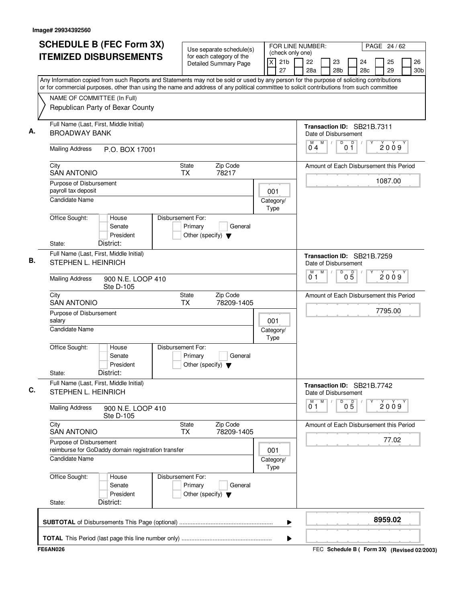| <b>SCHEDULE B (FEC Form 3X)</b><br><b>ITEMIZED DISBURSEMENTS</b>                                                                                                                                                                                                                       | Use separate schedule(s)<br>for each category of the                            | FOR LINE NUMBER:<br>PAGE 24 / 62<br>(check only one)<br>24 |                                                    |                        |     |          |           |
|----------------------------------------------------------------------------------------------------------------------------------------------------------------------------------------------------------------------------------------------------------------------------------------|---------------------------------------------------------------------------------|------------------------------------------------------------|----------------------------------------------------|------------------------|-----|----------|-----------|
|                                                                                                                                                                                                                                                                                        | <b>Detailed Summary Page</b>                                                    | 21 <sub>b</sub><br>$\times$<br>27                          | 22<br>23<br>28a<br>28 <sub>b</sub>                 |                        | 28c | 25<br>29 | 26<br>30b |
| Any Information copied from such Reports and Statements may not be sold or used by any person for the purpose of soliciting contributions<br>or for commercial purposes, other than using the name and address of any political committee to solicit contributions from such committee |                                                                                 |                                                            |                                                    |                        |     |          |           |
| NAME OF COMMITTEE (In Full)                                                                                                                                                                                                                                                            |                                                                                 |                                                            |                                                    |                        |     |          |           |
| Republican Party of Bexar County                                                                                                                                                                                                                                                       |                                                                                 |                                                            |                                                    |                        |     |          |           |
| Full Name (Last, First, Middle Initial)<br>А.<br><b>BROADWAY BANK</b>                                                                                                                                                                                                                  |                                                                                 |                                                            | Transaction ID: SB21B.7311<br>Date of Disbursement |                        |     |          |           |
| <b>Mailing Address</b><br>P.O. BOX 17001                                                                                                                                                                                                                                               |                                                                                 |                                                            | M<br>M<br>$\sqrt{2}$<br>04                         | D<br>$\mathsf D$<br>01 |     | 2009     |           |
| City<br><b>SAN ANTONIO</b>                                                                                                                                                                                                                                                             | State<br>Zip Code<br>TX<br>78217                                                |                                                            | Amount of Each Disbursement this Period            |                        |     |          |           |
| Purpose of Disbursement<br>payroll tax deposit                                                                                                                                                                                                                                         |                                                                                 | 001                                                        |                                                    |                        |     | 1087.00  |           |
| <b>Candidate Name</b>                                                                                                                                                                                                                                                                  |                                                                                 | Category/<br>Type                                          |                                                    |                        |     |          |           |
| Office Sought:<br>House<br>Senate<br>President<br>District:<br>State:                                                                                                                                                                                                                  | Disbursement For:<br>Primary<br>General<br>Other (specify) $\blacktriangledown$ |                                                            |                                                    |                        |     |          |           |
| Full Name (Last, First, Middle Initial)                                                                                                                                                                                                                                                |                                                                                 |                                                            | Transaction ID: SB21B.7259                         |                        |     |          |           |
| STEPHEN L. HEINRICH                                                                                                                                                                                                                                                                    |                                                                                 |                                                            | Date of Disbursement                               |                        |     |          |           |
| <b>Mailing Address</b><br>900 N.E. LOOP 410<br>Ste D-105                                                                                                                                                                                                                               |                                                                                 |                                                            | M<br>M<br>01                                       | D<br>$0\overline{5}$   |     | 2009     |           |
| City<br><b>SAN ANTONIO</b>                                                                                                                                                                                                                                                             | <b>State</b><br>Zip Code<br><b>TX</b><br>78209-1405                             |                                                            | Amount of Each Disbursement this Period            |                        |     |          |           |
| Purpose of Disbursement<br>salary                                                                                                                                                                                                                                                      |                                                                                 | 001                                                        |                                                    |                        |     | 7795.00  |           |
| <b>Candidate Name</b>                                                                                                                                                                                                                                                                  |                                                                                 | Category/<br>Type                                          |                                                    |                        |     |          |           |
| Office Sought:<br>House<br>Senate<br>President<br>District:<br>State:                                                                                                                                                                                                                  | Disbursement For:<br>Primary<br>General<br>Other (specify) $\blacktriangledown$ |                                                            |                                                    |                        |     |          |           |
| Full Name (Last, First, Middle Initial)                                                                                                                                                                                                                                                |                                                                                 |                                                            | Transaction ID: SB21B.7742                         |                        |     |          |           |
| STEPHEN L. HEINRICH                                                                                                                                                                                                                                                                    |                                                                                 |                                                            | Date of Disbursement                               |                        |     |          |           |
| <b>Mailing Address</b><br>900 N.E. LOOP 410<br>Ste D-105                                                                                                                                                                                                                               |                                                                                 |                                                            | M<br>M<br>01                                       | D<br>05                |     | 2009     |           |
| City<br><b>SAN ANTONIO</b>                                                                                                                                                                                                                                                             | <b>State</b><br>Zip Code<br>78209-1405<br>TX                                    |                                                            | Amount of Each Disbursement this Period            |                        |     |          |           |
| Purpose of Disbursement<br>reimburse for GoDaddy domain registration transfer                                                                                                                                                                                                          |                                                                                 | 001                                                        |                                                    |                        |     | 77.02    |           |
| <b>Candidate Name</b>                                                                                                                                                                                                                                                                  | Category/<br>Type                                                               |                                                            |                                                    |                        |     |          |           |
| Office Sought:<br>House<br>Senate<br>President                                                                                                                                                                                                                                         | Disbursement For:<br>Primary<br>General<br>Other (specify) $\blacktriangledown$ |                                                            |                                                    |                        |     |          |           |
| District:<br>State:                                                                                                                                                                                                                                                                    |                                                                                 |                                                            |                                                    |                        |     |          |           |
|                                                                                                                                                                                                                                                                                        |                                                                                 | ▶                                                          |                                                    |                        |     | 8959.02  |           |
|                                                                                                                                                                                                                                                                                        |                                                                                 |                                                            |                                                    |                        |     |          |           |
|                                                                                                                                                                                                                                                                                        |                                                                                 |                                                            |                                                    |                        |     |          |           |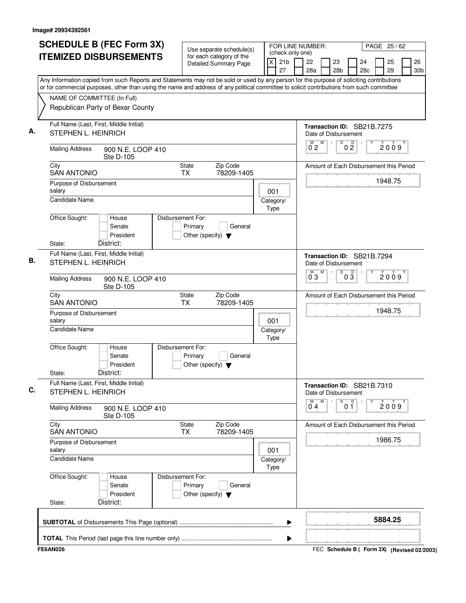| <b>ITEMIZED DISBURSEMENTS</b><br>Any Information copied from such Reports and Statements may not be sold or used by any person for the purpose of soliciting contributions<br>or for commercial purposes, other than using the name and address of any political committee to solicit contributions from such committee<br>NAME OF COMMITTEE (In Full)<br>Republican Party of Bexar County<br>Full Name (Last, First, Middle Initial)<br>STEPHEN L. HEINRICH<br><b>Mailing Address</b><br>900 N.E. LOOP 410<br>Ste D-105<br>City<br><b>SAN ANTONIO</b><br><b>TX</b><br>Purpose of Disbursement<br>salary<br><b>Candidate Name</b><br>Office Sought:<br>House<br>Disbursement For:<br>Senate<br>President<br>District:<br>State:<br>Full Name (Last, First, Middle Initial)<br>STEPHEN L. HEINRICH<br><b>Mailing Address</b><br>900 N.E. LOOP 410<br>Ste D-105<br>City<br><b>SAN ANTONIO</b><br><b>TX</b><br>Purpose of Disbursement<br>salary<br>Candidate Name | for each category of the<br>Detailed Summary Page<br>Zip Code<br>State<br>78209-1405<br>Primary<br>General | X<br>001<br>Category/<br>Type | 21 <sub>b</sub><br>27 | 22<br>28a<br>Transaction ID: SB21B.7275<br>Date of Disbursement<br>M<br>0 <sub>2</sub><br>Amount of Each Disbursement this Period | M<br>$\sqrt{2}$ | 23<br>28 <sub>b</sub><br>$\overline{D}$ | $0\frac{D}{2}$  | 24<br>28 <sub>c</sub> | 25<br>29<br>2009 | 26<br>30 <sub>b</sub> |
|-----------------------------------------------------------------------------------------------------------------------------------------------------------------------------------------------------------------------------------------------------------------------------------------------------------------------------------------------------------------------------------------------------------------------------------------------------------------------------------------------------------------------------------------------------------------------------------------------------------------------------------------------------------------------------------------------------------------------------------------------------------------------------------------------------------------------------------------------------------------------------------------------------------------------------------------------------------------|------------------------------------------------------------------------------------------------------------|-------------------------------|-----------------------|-----------------------------------------------------------------------------------------------------------------------------------|-----------------|-----------------------------------------|-----------------|-----------------------|------------------|-----------------------|
|                                                                                                                                                                                                                                                                                                                                                                                                                                                                                                                                                                                                                                                                                                                                                                                                                                                                                                                                                                 |                                                                                                            |                               |                       |                                                                                                                                   |                 |                                         |                 |                       |                  |                       |
|                                                                                                                                                                                                                                                                                                                                                                                                                                                                                                                                                                                                                                                                                                                                                                                                                                                                                                                                                                 |                                                                                                            |                               |                       |                                                                                                                                   |                 |                                         |                 |                       |                  |                       |
|                                                                                                                                                                                                                                                                                                                                                                                                                                                                                                                                                                                                                                                                                                                                                                                                                                                                                                                                                                 |                                                                                                            |                               |                       |                                                                                                                                   |                 |                                         |                 |                       |                  |                       |
|                                                                                                                                                                                                                                                                                                                                                                                                                                                                                                                                                                                                                                                                                                                                                                                                                                                                                                                                                                 |                                                                                                            |                               |                       |                                                                                                                                   |                 |                                         |                 |                       |                  |                       |
|                                                                                                                                                                                                                                                                                                                                                                                                                                                                                                                                                                                                                                                                                                                                                                                                                                                                                                                                                                 |                                                                                                            |                               |                       |                                                                                                                                   |                 |                                         |                 |                       |                  |                       |
|                                                                                                                                                                                                                                                                                                                                                                                                                                                                                                                                                                                                                                                                                                                                                                                                                                                                                                                                                                 |                                                                                                            |                               |                       |                                                                                                                                   |                 |                                         |                 |                       |                  |                       |
|                                                                                                                                                                                                                                                                                                                                                                                                                                                                                                                                                                                                                                                                                                                                                                                                                                                                                                                                                                 |                                                                                                            |                               |                       |                                                                                                                                   |                 |                                         |                 |                       | 1948.75          |                       |
|                                                                                                                                                                                                                                                                                                                                                                                                                                                                                                                                                                                                                                                                                                                                                                                                                                                                                                                                                                 |                                                                                                            |                               |                       |                                                                                                                                   |                 |                                         |                 |                       |                  |                       |
|                                                                                                                                                                                                                                                                                                                                                                                                                                                                                                                                                                                                                                                                                                                                                                                                                                                                                                                                                                 | Other (specify) $\blacktriangledown$                                                                       |                               |                       |                                                                                                                                   |                 |                                         |                 |                       |                  |                       |
|                                                                                                                                                                                                                                                                                                                                                                                                                                                                                                                                                                                                                                                                                                                                                                                                                                                                                                                                                                 |                                                                                                            |                               |                       | Transaction ID: SB21B.7294<br>Date of Disbursement                                                                                |                 |                                         |                 |                       |                  |                       |
|                                                                                                                                                                                                                                                                                                                                                                                                                                                                                                                                                                                                                                                                                                                                                                                                                                                                                                                                                                 |                                                                                                            |                               |                       | М<br>$0^{\degree}3$                                                                                                               | M               | $\overline{D}$                          | $0\overline{3}$ |                       | 2009             |                       |
|                                                                                                                                                                                                                                                                                                                                                                                                                                                                                                                                                                                                                                                                                                                                                                                                                                                                                                                                                                 | Zip Code<br>State<br>78209-1405                                                                            |                               |                       | Amount of Each Disbursement this Period                                                                                           |                 |                                         |                 |                       |                  |                       |
|                                                                                                                                                                                                                                                                                                                                                                                                                                                                                                                                                                                                                                                                                                                                                                                                                                                                                                                                                                 |                                                                                                            | 001<br>Category/              |                       |                                                                                                                                   |                 |                                         |                 |                       | 1948.75          |                       |
| Office Sought:<br>Disbursement For:<br>House<br>Senate<br>President<br>District:<br>State:                                                                                                                                                                                                                                                                                                                                                                                                                                                                                                                                                                                                                                                                                                                                                                                                                                                                      | Primary<br>General<br>Other (specify) $\blacktriangledown$                                                 | Type                          |                       |                                                                                                                                   |                 |                                         |                 |                       |                  |                       |
| Full Name (Last, First, Middle Initial)<br>STEPHEN L. HEINRICH                                                                                                                                                                                                                                                                                                                                                                                                                                                                                                                                                                                                                                                                                                                                                                                                                                                                                                  |                                                                                                            |                               |                       | Transaction ID: SB21B.7310<br>Date of Disbursement                                                                                |                 |                                         |                 |                       |                  |                       |
| <b>Mailing Address</b><br>900 N.E. LOOP 410<br>Ste D-105                                                                                                                                                                                                                                                                                                                                                                                                                                                                                                                                                                                                                                                                                                                                                                                                                                                                                                        |                                                                                                            |                               |                       | M<br>04                                                                                                                           | M               | D                                       | 0 <sup>0</sup>  |                       | 2009             |                       |
| City<br><b>SAN ANTONIO</b>                                                                                                                                                                                                                                                                                                                                                                                                                                                                                                                                                                                                                                                                                                                                                                                                                                                                                                                                      | State<br>Zip Code<br>78209-1405<br>TX                                                                      |                               |                       | Amount of Each Disbursement this Period                                                                                           |                 |                                         |                 |                       |                  |                       |
| Purpose of Disbursement<br>salary                                                                                                                                                                                                                                                                                                                                                                                                                                                                                                                                                                                                                                                                                                                                                                                                                                                                                                                               |                                                                                                            | 001                           |                       |                                                                                                                                   |                 |                                         |                 |                       | 1986.75          |                       |
| <b>Candidate Name</b>                                                                                                                                                                                                                                                                                                                                                                                                                                                                                                                                                                                                                                                                                                                                                                                                                                                                                                                                           |                                                                                                            | Category/<br>Type             |                       |                                                                                                                                   |                 |                                         |                 |                       |                  |                       |
| Office Sought:<br>Disbursement For:<br>House<br>Senate<br>President                                                                                                                                                                                                                                                                                                                                                                                                                                                                                                                                                                                                                                                                                                                                                                                                                                                                                             | Primary<br>General<br>Other (specify) $\blacktriangledown$                                                 |                               |                       |                                                                                                                                   |                 |                                         |                 |                       |                  |                       |
| District:<br>State:                                                                                                                                                                                                                                                                                                                                                                                                                                                                                                                                                                                                                                                                                                                                                                                                                                                                                                                                             |                                                                                                            |                               |                       |                                                                                                                                   |                 |                                         |                 |                       |                  |                       |
|                                                                                                                                                                                                                                                                                                                                                                                                                                                                                                                                                                                                                                                                                                                                                                                                                                                                                                                                                                 |                                                                                                            |                               | ▶                     |                                                                                                                                   |                 |                                         |                 |                       | 5884.25          |                       |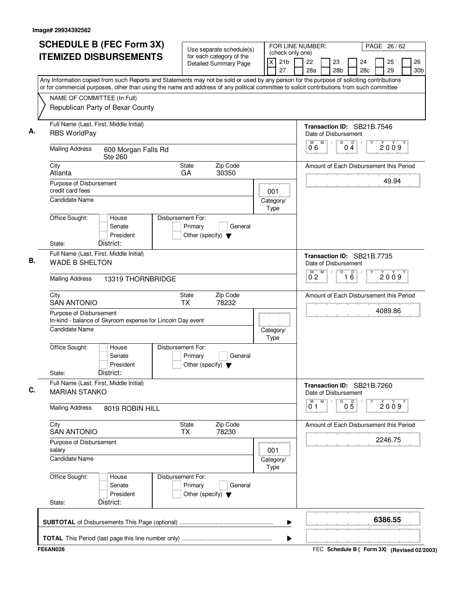|                                             | <b>ITEMIZED DISBURSEMENTS</b>                                                                                                                                                                                                                                                          |                              |                                                          |  | FOR LINE NUMBER:<br>PAGE 26/62<br>Use separate schedule(s)<br>(check only one) |                 |                      |   |                       |                      |                                         |  |          |                       |
|---------------------------------------------|----------------------------------------------------------------------------------------------------------------------------------------------------------------------------------------------------------------------------------------------------------------------------------------|------------------------------|----------------------------------------------------------|--|--------------------------------------------------------------------------------|-----------------|----------------------|---|-----------------------|----------------------|-----------------------------------------|--|----------|-----------------------|
|                                             |                                                                                                                                                                                                                                                                                        |                              | for each category of the<br><b>Detailed Summary Page</b> |  | $\overline{X}$<br>27                                                           | 21 <sub>b</sub> | 22<br>28a            |   | 23<br>28 <sub>b</sub> |                      | 24<br>28 <sub>c</sub>                   |  | 25<br>29 | 26<br>30 <sub>b</sub> |
|                                             | Any Information copied from such Reports and Statements may not be sold or used by any person for the purpose of soliciting contributions<br>or for commercial purposes, other than using the name and address of any political committee to solicit contributions from such committee |                              |                                                          |  |                                                                                |                 |                      |   |                       |                      |                                         |  |          |                       |
| NAME OF COMMITTEE (In Full)                 |                                                                                                                                                                                                                                                                                        |                              |                                                          |  |                                                                                |                 |                      |   |                       |                      |                                         |  |          |                       |
|                                             | Republican Party of Bexar County                                                                                                                                                                                                                                                       |                              |                                                          |  |                                                                                |                 |                      |   |                       |                      |                                         |  |          |                       |
| <b>RBS WorldPay</b>                         | Full Name (Last, First, Middle Initial)                                                                                                                                                                                                                                                |                              |                                                          |  |                                                                                |                 | Date of Disbursement |   |                       |                      | Transaction ID: SB21B.7546              |  |          |                       |
| <b>Mailing Address</b>                      | 600 Morgan Falls Rd<br><b>Ste 260</b>                                                                                                                                                                                                                                                  |                              |                                                          |  |                                                                                |                 | 06                   | M | $\sqrt{2}$            | D<br>04              | $\Box$                                  |  | 2009     |                       |
| City<br>Atlanta                             |                                                                                                                                                                                                                                                                                        | <b>State</b><br>GA           | Zip Code<br>30350                                        |  |                                                                                |                 |                      |   |                       |                      | Amount of Each Disbursement this Period |  |          |                       |
| Purpose of Disbursement<br>credit card fees |                                                                                                                                                                                                                                                                                        |                              |                                                          |  | 001                                                                            |                 |                      |   |                       |                      |                                         |  | 49.94    |                       |
| <b>Candidate Name</b>                       |                                                                                                                                                                                                                                                                                        |                              |                                                          |  | Category/<br>Type                                                              |                 |                      |   |                       |                      |                                         |  |          |                       |
| Office Sought:                              | House<br>Senate<br>President                                                                                                                                                                                                                                                           | Disbursement For:<br>Primary | General<br>Other (specify) $\blacktriangledown$          |  |                                                                                |                 |                      |   |                       |                      |                                         |  |          |                       |
| State:                                      | District:                                                                                                                                                                                                                                                                              |                              |                                                          |  |                                                                                |                 |                      |   |                       |                      |                                         |  |          |                       |
| <b>WADE B SHELTON</b>                       | Full Name (Last, First, Middle Initial)                                                                                                                                                                                                                                                |                              |                                                          |  |                                                                                |                 | Date of Disbursement |   |                       |                      | Transaction ID: SB21B.7735              |  |          |                       |
| <b>Mailing Address</b>                      | 13319 THORNBRIDGE                                                                                                                                                                                                                                                                      |                              |                                                          |  |                                                                                |                 | М<br>$0^{\degree}2$  | M |                       | D<br>$\overline{16}$ |                                         |  | 2009     |                       |
| City<br><b>SAN ANTONIO</b>                  |                                                                                                                                                                                                                                                                                        | State<br><b>TX</b>           | Zip Code<br>78232                                        |  |                                                                                |                 |                      |   |                       |                      | Amount of Each Disbursement this Period |  |          |                       |
| Purpose of Disbursement                     | In-kind - balance of Skyroom expense for Lincoln Day event                                                                                                                                                                                                                             |                              |                                                          |  |                                                                                |                 |                      |   |                       |                      |                                         |  | 4089.86  |                       |
| <b>Candidate Name</b>                       |                                                                                                                                                                                                                                                                                        |                              |                                                          |  | Category/<br>Type                                                              |                 |                      |   |                       |                      |                                         |  |          |                       |
| Office Sought:<br>State:                    | House<br>Senate<br>President<br>District:                                                                                                                                                                                                                                              | Disbursement For:<br>Primary | General<br>Other (specify) $\blacktriangledown$          |  |                                                                                |                 |                      |   |                       |                      |                                         |  |          |                       |
| <b>MARIAN STANKO</b>                        | Full Name (Last, First, Middle Initial)                                                                                                                                                                                                                                                |                              |                                                          |  |                                                                                |                 | Date of Disbursement |   |                       |                      | Transaction ID: SB21B.7260              |  |          |                       |
| <b>Mailing Address</b>                      | 8019 ROBIN HILL                                                                                                                                                                                                                                                                        |                              |                                                          |  |                                                                                |                 | M<br>01              | M |                       | D<br>05              |                                         |  | 2009     |                       |
| City<br><b>SAN ANTONIO</b>                  |                                                                                                                                                                                                                                                                                        | State<br><b>TX</b>           | Zip Code<br>78230                                        |  |                                                                                |                 |                      |   |                       |                      | Amount of Each Disbursement this Period |  |          |                       |
| Purpose of Disbursement<br>salary           |                                                                                                                                                                                                                                                                                        |                              |                                                          |  | 001                                                                            |                 |                      |   |                       | 2246.75              |                                         |  |          |                       |
| <b>Candidate Name</b>                       |                                                                                                                                                                                                                                                                                        |                              |                                                          |  | Category/<br>Type                                                              |                 |                      |   |                       |                      |                                         |  |          |                       |
| Office Sought:<br>State:                    | House<br>Senate<br>President<br>District:                                                                                                                                                                                                                                              | Disbursement For:<br>Primary | General<br>Other (specify) $\blacktriangledown$          |  |                                                                                |                 |                      |   |                       |                      |                                         |  |          |                       |
|                                             |                                                                                                                                                                                                                                                                                        |                              |                                                          |  |                                                                                |                 |                      |   |                       |                      |                                         |  |          |                       |
|                                             |                                                                                                                                                                                                                                                                                        |                              |                                                          |  |                                                                                | ▶               |                      |   |                       |                      |                                         |  | 6386.55  |                       |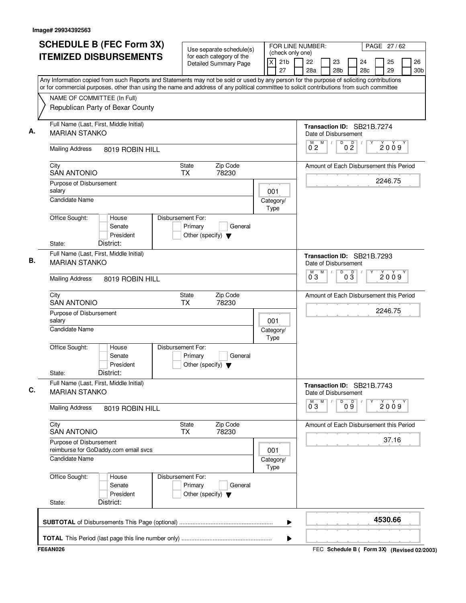| <b>SCHEDULE B (FEC Form 3X)</b>                                                                                                                                                                                                                                                        | Use separate schedule(s)                                                        | FOR LINE NUMBER:<br>PAGE 27/62<br>(check only one)      |                                                    |   |                 |                       |                                             |  |                       |
|----------------------------------------------------------------------------------------------------------------------------------------------------------------------------------------------------------------------------------------------------------------------------------------|---------------------------------------------------------------------------------|---------------------------------------------------------|----------------------------------------------------|---|-----------------|-----------------------|---------------------------------------------|--|-----------------------|
| <b>ITEMIZED DISBURSEMENTS</b>                                                                                                                                                                                                                                                          | for each category of the<br><b>Detailed Summary Page</b>                        | $\mathsf{X}$<br>21 <sub>b</sub><br>27                   | 22<br>23<br>28a<br>28 <sub>b</sub>                 |   |                 | 25<br>24<br>29<br>28c |                                             |  | 26<br>30 <sub>b</sub> |
| Any Information copied from such Reports and Statements may not be sold or used by any person for the purpose of soliciting contributions<br>or for commercial purposes, other than using the name and address of any political committee to solicit contributions from such committee |                                                                                 |                                                         |                                                    |   |                 |                       |                                             |  |                       |
| NAME OF COMMITTEE (In Full)                                                                                                                                                                                                                                                            |                                                                                 |                                                         |                                                    |   |                 |                       |                                             |  |                       |
| Republican Party of Bexar County                                                                                                                                                                                                                                                       |                                                                                 |                                                         |                                                    |   |                 |                       |                                             |  |                       |
| Full Name (Last, First, Middle Initial)<br><b>MARIAN STANKO</b>                                                                                                                                                                                                                        |                                                                                 |                                                         | Transaction ID: SB21B.7274<br>Date of Disbursement |   |                 |                       |                                             |  |                       |
| <b>Mailing Address</b><br>8019 ROBIN HILL                                                                                                                                                                                                                                              |                                                                                 |                                                         | M<br>$0^{\degree}2$                                | D | 0 <sup>0</sup>  |                       | 2009                                        |  |                       |
| City<br><b>SAN ANTONIO</b>                                                                                                                                                                                                                                                             | Zip Code<br><b>State</b><br><b>TX</b><br>78230                                  |                                                         | Amount of Each Disbursement this Period            |   |                 |                       |                                             |  |                       |
| Purpose of Disbursement<br>salary                                                                                                                                                                                                                                                      |                                                                                 | 001                                                     |                                                    |   |                 |                       | 2246.75                                     |  |                       |
| <b>Candidate Name</b>                                                                                                                                                                                                                                                                  |                                                                                 | Category/<br>Type                                       |                                                    |   |                 |                       |                                             |  |                       |
| Office Sought:<br>House<br>Senate<br>President                                                                                                                                                                                                                                         | Disbursement For:<br>Primary<br>General<br>Other (specify) $\blacktriangledown$ |                                                         |                                                    |   |                 |                       |                                             |  |                       |
| District:<br>State:                                                                                                                                                                                                                                                                    |                                                                                 |                                                         |                                                    |   |                 |                       |                                             |  |                       |
| Full Name (Last, First, Middle Initial)<br><b>MARIAN STANKO</b>                                                                                                                                                                                                                        |                                                                                 | Transaction ID: SB21B.7293<br>Date of Disbursement<br>M | D                                                  |   |                 |                       |                                             |  |                       |
| <b>Mailing Address</b><br>8019 ROBIN HILL                                                                                                                                                                                                                                              |                                                                                 |                                                         | $0^{\degree}3$                                     |   | $0\overline{3}$ |                       | 2009                                        |  |                       |
| City<br><b>SAN ANTONIO</b>                                                                                                                                                                                                                                                             | Zip Code<br>State<br><b>TX</b><br>78230                                         |                                                         | Amount of Each Disbursement this Period            |   |                 |                       |                                             |  |                       |
| Purpose of Disbursement<br>salary                                                                                                                                                                                                                                                      |                                                                                 | 001                                                     |                                                    |   |                 |                       | 2246.75                                     |  |                       |
| <b>Candidate Name</b>                                                                                                                                                                                                                                                                  |                                                                                 | Category/<br>Type                                       |                                                    |   |                 |                       |                                             |  |                       |
| Office Sought:<br>House<br>Senate<br>President<br>District:<br>State:                                                                                                                                                                                                                  | Disbursement For:<br>Primary<br>General<br>Other (specify) $\blacktriangledown$ |                                                         |                                                    |   |                 |                       |                                             |  |                       |
| Full Name (Last, First, Middle Initial)<br><b>MARIAN STANKO</b>                                                                                                                                                                                                                        |                                                                                 |                                                         | Transaction ID: SB21B.7743<br>Date of Disbursement |   |                 |                       |                                             |  |                       |
| <b>Mailing Address</b><br>8019 ROBIN HILL                                                                                                                                                                                                                                              |                                                                                 |                                                         | M<br>$0^{\degree}3$                                | D | 09              |                       | 2009                                        |  |                       |
| City<br><b>SAN ANTONIO</b>                                                                                                                                                                                                                                                             | Zip Code<br><b>State</b><br>78230<br>TX                                         |                                                         | Amount of Each Disbursement this Period            |   |                 |                       |                                             |  |                       |
| Purpose of Disbursement<br>reimburse for GoDaddy.com email svcs                                                                                                                                                                                                                        | 001                                                                             |                                                         |                                                    |   |                 | 37.16                 |                                             |  |                       |
| <b>Candidate Name</b>                                                                                                                                                                                                                                                                  |                                                                                 | Category/<br>Type                                       |                                                    |   |                 |                       |                                             |  |                       |
| Office Sought:<br>House<br>Senate<br>President<br>District:<br>State:                                                                                                                                                                                                                  | Disbursement For:<br>Primary<br>General<br>Other (specify) $\blacktriangledown$ |                                                         |                                                    |   |                 |                       |                                             |  |                       |
|                                                                                                                                                                                                                                                                                        |                                                                                 | ▶                                                       |                                                    |   |                 |                       | 4530.66                                     |  |                       |
|                                                                                                                                                                                                                                                                                        |                                                                                 | ▶                                                       |                                                    |   |                 |                       |                                             |  |                       |
| <b>FE6AN026</b>                                                                                                                                                                                                                                                                        |                                                                                 |                                                         |                                                    |   |                 |                       | FEC Schedule B ( Form 3X) (Revised 02/2003) |  |                       |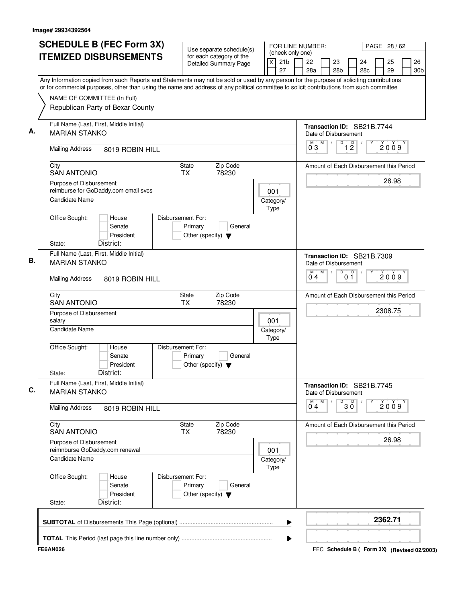| <b>SCHEDULE B (FEC Form 3X)</b>                                                                                                                                                                                                                                                        | Use separate schedule(s)                                                        | FOR LINE NUMBER:                                            |                                                    |                                                 |                       | PAGE 28 / 62 |                                             |
|----------------------------------------------------------------------------------------------------------------------------------------------------------------------------------------------------------------------------------------------------------------------------------------|---------------------------------------------------------------------------------|-------------------------------------------------------------|----------------------------------------------------|-------------------------------------------------|-----------------------|--------------|---------------------------------------------|
| <b>ITEMIZED DISBURSEMENTS</b>                                                                                                                                                                                                                                                          | for each category of the<br><b>Detailed Summary Page</b>                        | (check only one)<br>$\overline{x}$<br>21 <sub>b</sub><br>27 | 22<br>28a                                          | 23<br>28 <sub>b</sub>                           | 24<br>28 <sub>c</sub> | 25<br>29     | 26<br>30 <sub>b</sub>                       |
| Any Information copied from such Reports and Statements may not be sold or used by any person for the purpose of soliciting contributions<br>or for commercial purposes, other than using the name and address of any political committee to solicit contributions from such committee |                                                                                 |                                                             |                                                    |                                                 |                       |              |                                             |
| NAME OF COMMITTEE (In Full)<br>Republican Party of Bexar County                                                                                                                                                                                                                        |                                                                                 |                                                             |                                                    |                                                 |                       |              |                                             |
| Full Name (Last, First, Middle Initial)<br><b>MARIAN STANKO</b>                                                                                                                                                                                                                        |                                                                                 |                                                             | Transaction ID: SB21B.7744<br>Date of Disbursement |                                                 |                       |              |                                             |
| <b>Mailing Address</b><br>8019 ROBIN HILL                                                                                                                                                                                                                                              |                                                                                 |                                                             | M<br>M<br>03                                       | $\overline{D}$<br>$\overline{1}$ $\overline{2}$ |                       | 2009         |                                             |
| City<br><b>SAN ANTONIO</b>                                                                                                                                                                                                                                                             | Zip Code<br>State<br>78230<br><b>TX</b>                                         |                                                             | Amount of Each Disbursement this Period            |                                                 |                       |              |                                             |
| Purpose of Disbursement<br>reimburse for GoDaddy.com email svcs<br><b>Candidate Name</b>                                                                                                                                                                                               |                                                                                 | 001<br>Category/                                            |                                                    |                                                 |                       | 26.98        |                                             |
| Office Sought:<br>House<br>Senate<br>President<br>District:<br>State:                                                                                                                                                                                                                  | Disbursement For:<br>Primary<br>General<br>Other (specify) $\blacktriangledown$ | Type                                                        |                                                    |                                                 |                       |              |                                             |
| Full Name (Last, First, Middle Initial)<br><b>MARIAN STANKO</b>                                                                                                                                                                                                                        |                                                                                 |                                                             | Transaction ID: SB21B.7309<br>Date of Disbursement |                                                 |                       |              |                                             |
| <b>Mailing Address</b><br>8019 ROBIN HILL                                                                                                                                                                                                                                              |                                                                                 |                                                             | M<br>М<br>04                                       | D<br>01                                         | $\Box$                | 2009         |                                             |
| City<br><b>SAN ANTONIO</b>                                                                                                                                                                                                                                                             | Zip Code<br>State<br><b>TX</b><br>78230                                         |                                                             | Amount of Each Disbursement this Period            |                                                 |                       |              |                                             |
| Purpose of Disbursement<br>salary                                                                                                                                                                                                                                                      | 001                                                                             |                                                             |                                                    |                                                 |                       | 2308.75      |                                             |
| <b>Candidate Name</b>                                                                                                                                                                                                                                                                  |                                                                                 | Category/<br>Type                                           |                                                    |                                                 |                       |              |                                             |
| Office Sought:<br>House<br>Senate<br>President<br>District:<br>State:                                                                                                                                                                                                                  | Disbursement For:<br>Primary<br>General<br>Other (specify) $\blacktriangledown$ |                                                             |                                                    |                                                 |                       |              |                                             |
| Full Name (Last, First, Middle Initial)<br><b>MARIAN STANKO</b>                                                                                                                                                                                                                        |                                                                                 |                                                             | Transaction ID: SB21B.7745<br>Date of Disbursement |                                                 |                       |              |                                             |
| <b>Mailing Address</b><br>8019 ROBIN HILL                                                                                                                                                                                                                                              |                                                                                 |                                                             | М<br>M<br>04                                       | $30^{\circ}$<br>D                               |                       | 2009         |                                             |
| City<br><b>SAN ANTONIO</b>                                                                                                                                                                                                                                                             | Zip Code<br>State<br>78230<br>ТX                                                |                                                             | Amount of Each Disbursement this Period            |                                                 |                       |              |                                             |
| Purpose of Disbursement<br>reimnburse GoDaddy.com renewal                                                                                                                                                                                                                              | 001                                                                             |                                                             |                                                    |                                                 | 26.98                 |              |                                             |
| <b>Candidate Name</b>                                                                                                                                                                                                                                                                  |                                                                                 | Category/<br>Type                                           |                                                    |                                                 |                       |              |                                             |
| Office Sought:<br>House<br>Senate<br>President<br>District:<br>State:                                                                                                                                                                                                                  | Disbursement For:<br>Primary<br>General<br>Other (specify) $\blacktriangledown$ |                                                             |                                                    |                                                 |                       |              |                                             |
|                                                                                                                                                                                                                                                                                        |                                                                                 | ▶                                                           |                                                    |                                                 |                       | 2362.71      |                                             |
| <b>FE6AN026</b>                                                                                                                                                                                                                                                                        |                                                                                 | ▶                                                           |                                                    |                                                 |                       |              | FEC Schedule B ( Form 3X) (Revised 02/2003) |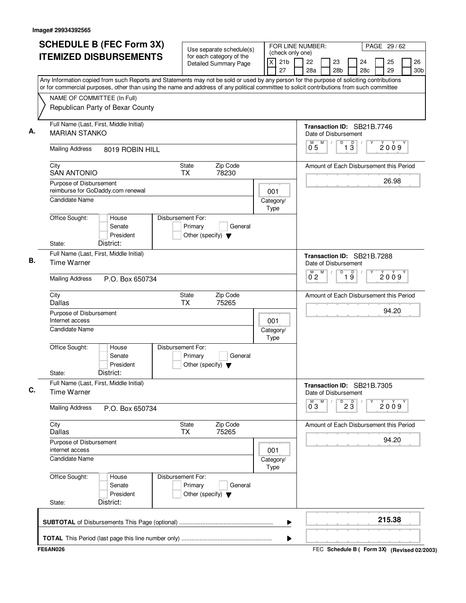| <b>SCHEDULE B (FEC Form 3X)</b>                                                                                                                                                                                                                                                        | Use separate schedule(s)                                                        | FOR LINE NUMBER:<br>(check only one) |                                                              |                                        | PAGE 29 / 62          |          |                       |  |
|----------------------------------------------------------------------------------------------------------------------------------------------------------------------------------------------------------------------------------------------------------------------------------------|---------------------------------------------------------------------------------|--------------------------------------|--------------------------------------------------------------|----------------------------------------|-----------------------|----------|-----------------------|--|
| <b>ITEMIZED DISBURSEMENTS</b>                                                                                                                                                                                                                                                          | for each category of the<br><b>Detailed Summary Page</b>                        | 21 <sub>b</sub><br>X<br>27           | 22<br>28a                                                    | 23<br>28 <sub>b</sub>                  | 24<br>28 <sub>c</sub> | 25<br>29 | 26<br>30 <sub>b</sub> |  |
| Any Information copied from such Reports and Statements may not be sold or used by any person for the purpose of soliciting contributions<br>or for commercial purposes, other than using the name and address of any political committee to solicit contributions from such committee |                                                                                 |                                      |                                                              |                                        |                       |          |                       |  |
| NAME OF COMMITTEE (In Full)                                                                                                                                                                                                                                                            |                                                                                 |                                      |                                                              |                                        |                       |          |                       |  |
| Republican Party of Bexar County                                                                                                                                                                                                                                                       |                                                                                 |                                      |                                                              |                                        |                       |          |                       |  |
| Full Name (Last, First, Middle Initial)<br><b>MARIAN STANKO</b>                                                                                                                                                                                                                        |                                                                                 |                                      | Transaction ID: SB21B.7746<br>Date of Disbursement           |                                        |                       |          |                       |  |
| <b>Mailing Address</b><br>8019 ROBIN HILL                                                                                                                                                                                                                                              |                                                                                 |                                      | M<br>$\sqrt{2}$<br>0.5                                       | D<br>$\overline{D}$<br>$1\overline{3}$ |                       | 2009     |                       |  |
| City<br><b>SAN ANTONIO</b>                                                                                                                                                                                                                                                             | State<br>Zip Code<br><b>TX</b><br>78230                                         |                                      | Amount of Each Disbursement this Period                      |                                        |                       |          |                       |  |
| Purpose of Disbursement<br>reimburse for GoDaddy.com renewal                                                                                                                                                                                                                           |                                                                                 | 001                                  |                                                              |                                        |                       | 26.98    |                       |  |
| Candidate Name                                                                                                                                                                                                                                                                         |                                                                                 | Category/<br>Type                    |                                                              |                                        |                       |          |                       |  |
| Office Sought:<br>House<br>Senate<br>President                                                                                                                                                                                                                                         | Disbursement For:<br>Primary<br>General<br>Other (specify) $\blacktriangledown$ |                                      |                                                              |                                        |                       |          |                       |  |
| District:<br>State:                                                                                                                                                                                                                                                                    |                                                                                 |                                      |                                                              |                                        |                       |          |                       |  |
| Full Name (Last, First, Middle Initial)<br><b>Time Warner</b>                                                                                                                                                                                                                          |                                                                                 |                                      | Transaction ID: SB21B.7288<br>Date of Disbursement           |                                        |                       |          |                       |  |
| <b>Mailing Address</b><br>P.O. Box 650734                                                                                                                                                                                                                                              |                                                                                 |                                      | M<br>М<br>$0^{\degree}2$                                     | D<br>$\overline{19}$                   |                       | 2009     |                       |  |
| City<br>Dallas                                                                                                                                                                                                                                                                         | State<br>Zip Code<br><b>TX</b><br>75265                                         |                                      | Amount of Each Disbursement this Period                      |                                        |                       |          |                       |  |
| Purpose of Disbursement<br>Internet access                                                                                                                                                                                                                                             |                                                                                 | 001                                  |                                                              |                                        |                       | 94.20    |                       |  |
| <b>Candidate Name</b>                                                                                                                                                                                                                                                                  |                                                                                 | Category/<br>Type                    |                                                              |                                        |                       |          |                       |  |
| Office Sought:<br>House<br>Senate<br>President<br>District:                                                                                                                                                                                                                            | Disbursement For:<br>Primary<br>General<br>Other (specify) $\blacktriangledown$ |                                      |                                                              |                                        |                       |          |                       |  |
| State:<br>Full Name (Last, First, Middle Initial)                                                                                                                                                                                                                                      |                                                                                 |                                      |                                                              |                                        |                       |          |                       |  |
| <b>Time Warner</b>                                                                                                                                                                                                                                                                     |                                                                                 |                                      | Transaction ID: SB21B.7305<br>Date of Disbursement<br>M<br>M |                                        |                       |          |                       |  |
| <b>Mailing Address</b><br>P.O. Box 650734                                                                                                                                                                                                                                              |                                                                                 |                                      | $0^{\degree}3$                                               | $\overline{P}$ 2 $\overline{3}$        |                       | 2009     |                       |  |
| City<br><b>Dallas</b>                                                                                                                                                                                                                                                                  | Zip Code<br>State<br><b>TX</b><br>75265                                         |                                      | Amount of Each Disbursement this Period                      |                                        |                       |          |                       |  |
| Purpose of Disbursement<br>internet access                                                                                                                                                                                                                                             |                                                                                 | 001                                  |                                                              |                                        |                       | 94.20    |                       |  |
| <b>Candidate Name</b>                                                                                                                                                                                                                                                                  |                                                                                 | Category/<br>Type                    |                                                              |                                        |                       |          |                       |  |
| Office Sought:<br>House<br>Senate<br>President                                                                                                                                                                                                                                         | Disbursement For:<br>Primary<br>General<br>Other (specify) $\blacktriangledown$ |                                      |                                                              |                                        |                       |          |                       |  |
| District:<br>State:                                                                                                                                                                                                                                                                    |                                                                                 |                                      |                                                              |                                        |                       |          |                       |  |
|                                                                                                                                                                                                                                                                                        |                                                                                 | ▶                                    |                                                              |                                        |                       | 215.38   |                       |  |
|                                                                                                                                                                                                                                                                                        |                                                                                 | Þ                                    |                                                              |                                        |                       |          |                       |  |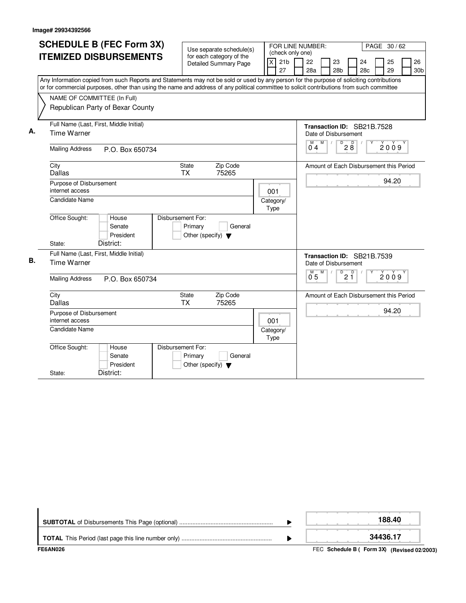|    | <b>SCHEDULE B (FEC Form 3X)</b>           |                                                          |                                                                                                                                           |
|----|-------------------------------------------|----------------------------------------------------------|-------------------------------------------------------------------------------------------------------------------------------------------|
|    |                                           | Use separate schedule(s)                                 | FOR LINE NUMBER:<br>PAGE 30/62<br>(check only one)                                                                                        |
|    | <b>ITEMIZED DISBURSEMENTS</b>             | for each category of the<br><b>Detailed Summary Page</b> | 21 <sub>b</sub><br>22<br>25<br>26<br>X<br>23<br>24                                                                                        |
|    |                                           |                                                          | 27<br>29<br>28a<br>28 <sub>b</sub><br>28c<br>30 <sub>b</sub>                                                                              |
|    |                                           |                                                          | Any Information copied from such Reports and Statements may not be sold or used by any person for the purpose of soliciting contributions |
|    |                                           |                                                          | or for commercial purposes, other than using the name and address of any political committee to solicit contributions from such committee |
|    | NAME OF COMMITTEE (In Full)               |                                                          |                                                                                                                                           |
|    | Republican Party of Bexar County          |                                                          |                                                                                                                                           |
|    |                                           |                                                          |                                                                                                                                           |
|    | Full Name (Last, First, Middle Initial)   |                                                          | Transaction ID: SB21B.7528                                                                                                                |
| А. | Time Warner                               |                                                          | Date of Disbursement                                                                                                                      |
|    |                                           |                                                          | M<br>D<br>$2\overset{D}{8}$<br>M<br>2009                                                                                                  |
|    | <b>Mailing Address</b><br>P.O. Box 650734 |                                                          | 04                                                                                                                                        |
|    | City                                      | Zip Code<br>State                                        | Amount of Each Disbursement this Period                                                                                                   |
|    | Dallas                                    | <b>TX</b><br>75265                                       |                                                                                                                                           |
|    | Purpose of Disbursement                   |                                                          | 94.20                                                                                                                                     |
|    | internet access                           |                                                          | 001                                                                                                                                       |
|    | <b>Candidate Name</b>                     |                                                          | Category/                                                                                                                                 |
|    |                                           |                                                          | Type                                                                                                                                      |
|    | Office Sought:<br>House                   | Disbursement For:                                        |                                                                                                                                           |
|    | Senate                                    | Primary<br>General                                       |                                                                                                                                           |
|    | President                                 | Other (specify) $\blacktriangledown$                     |                                                                                                                                           |
|    | District:<br>State:                       |                                                          |                                                                                                                                           |
|    | Full Name (Last, First, Middle Initial)   |                                                          | Transaction ID: SB21B.7539                                                                                                                |
| В. | <b>Time Warner</b>                        |                                                          | Date of Disbursement                                                                                                                      |
|    |                                           |                                                          | $\mathsf D$<br>M<br>D<br>M<br>2009<br>2 Ī<br>0 <sub>5</sub>                                                                               |
|    | <b>Mailing Address</b><br>P.O. Box 650734 |                                                          |                                                                                                                                           |
|    | City                                      | <b>State</b><br>Zip Code                                 | Amount of Each Disbursement this Period                                                                                                   |
|    | Dallas                                    | <b>TX</b><br>75265                                       |                                                                                                                                           |
|    | Purpose of Disbursement                   |                                                          | 94.20                                                                                                                                     |
|    | internet access                           |                                                          | 001                                                                                                                                       |
|    | Candidate Name                            |                                                          | Category/                                                                                                                                 |
|    |                                           |                                                          | Type                                                                                                                                      |
|    | Office Sought:<br>House                   | Disbursement For:                                        |                                                                                                                                           |
|    | Senate                                    | Primary<br>General                                       |                                                                                                                                           |
|    | President                                 | Other (specify) $\blacktriangledown$                     |                                                                                                                                           |
|    | District:<br>State:                       |                                                          |                                                                                                                                           |

| FE6AN026 | FEC Schedule B (Form 3X) (Revised 02/2003) |
|----------|--------------------------------------------|
|          | 34436.17                                   |
|          | 188.40                                     |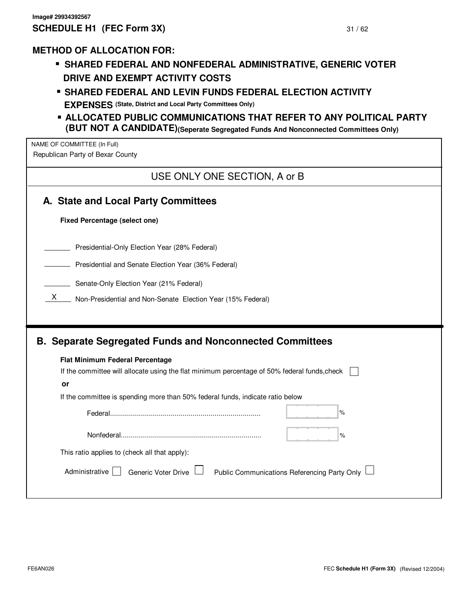# **METHOD OF ALLOCATION FOR:**

- HOD OF ALLOCATION FOR:<br>▪ SHARED FEDERAL AND NONFEDERAL ADMINISTRATIVE, GENERIC VOTER **DRIVE AND EXEMPT ACTIVITY COSTS**
- **DRIVE AND EXEMPT ACTIVITY COSTS<br>• SHARED FEDERAL AND LEVIN FUNDS FEDERAL ELECTION ACTIVITY EXPENSES (State, District and Local Party Committees Only)**
- . **ALLOCATED PUBLIC COMMUNICATIONS THAT REFER TO ANY POLITICAL PARTY (BUT NOT A CANDIDATE) (Seperate Segregated Funds And Nonconnected Committees Only)**

NAME OF COMMITTEE (In Full) Republican Party of Bexar County

| USE ONLY ONE SECTION, A or B                                                                       |  |  |  |  |  |  |  |
|----------------------------------------------------------------------------------------------------|--|--|--|--|--|--|--|
| A. State and Local Party Committees                                                                |  |  |  |  |  |  |  |
| <b>Fixed Percentage (select one)</b>                                                               |  |  |  |  |  |  |  |
| Presidential-Only Election Year (28% Federal)                                                      |  |  |  |  |  |  |  |
| Presidential and Senate Election Year (36% Federal)                                                |  |  |  |  |  |  |  |
| Senate-Only Election Year (21% Federal)                                                            |  |  |  |  |  |  |  |
| X<br>Non-Presidential and Non-Senate Election Year (15% Federal)                                   |  |  |  |  |  |  |  |
| Flat Minimum Federal Percentage                                                                    |  |  |  |  |  |  |  |
| <b>B. Separate Segregated Funds and Nonconnected Committees</b>                                    |  |  |  |  |  |  |  |
| If the committee will allocate using the flat minimum percentage of 50% federal funds, check<br>or |  |  |  |  |  |  |  |
| If the committee is spending more than 50% federal funds, indicate ratio below                     |  |  |  |  |  |  |  |
| $\%$                                                                                               |  |  |  |  |  |  |  |
| $\%$                                                                                               |  |  |  |  |  |  |  |
| This ratio applies to (check all that apply):                                                      |  |  |  |  |  |  |  |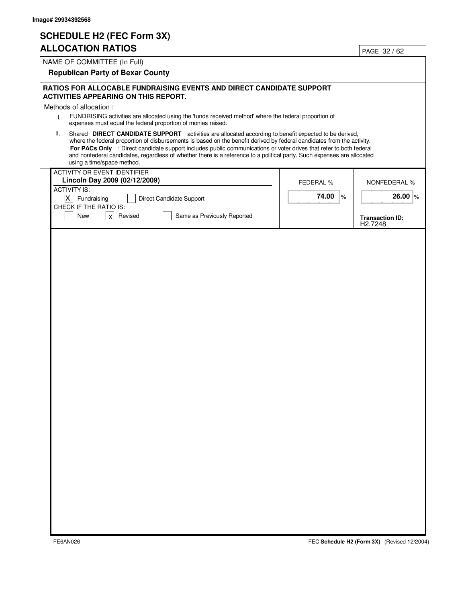# **SCHEDULE H2 (FEC Form 3X)**

# **ALLOCATION RATIOS**

| <b>ALLOCATION RATIOS</b>                                                                                                                                                                                                                                                                                                                                                                                                                                                                                             |                  | PAGE 32 / 62                                  |
|----------------------------------------------------------------------------------------------------------------------------------------------------------------------------------------------------------------------------------------------------------------------------------------------------------------------------------------------------------------------------------------------------------------------------------------------------------------------------------------------------------------------|------------------|-----------------------------------------------|
| NAME OF COMMITTEE (In Full)                                                                                                                                                                                                                                                                                                                                                                                                                                                                                          |                  |                                               |
| <b>Republican Party of Bexar County</b>                                                                                                                                                                                                                                                                                                                                                                                                                                                                              |                  |                                               |
| RATIOS FOR ALLOCABLE FUNDRAISING EVENTS AND DIRECT CANDIDATE SUPPORT<br><b>ACTIVITIES APPEARING ON THIS REPORT.</b>                                                                                                                                                                                                                                                                                                                                                                                                  |                  |                                               |
| Methods of allocation :                                                                                                                                                                                                                                                                                                                                                                                                                                                                                              |                  |                                               |
| FUNDRISING activities are allocated using the 'funds received method' where the federal proportion of<br>$\mathsf{L}$<br>expenses must equal the federal proportion of monies raised.                                                                                                                                                                                                                                                                                                                                |                  |                                               |
| Shared DIRECT CANDIDATE SUPPORT activities are allocated according to benefit expected to be derived,<br>Ш.<br>where the federal proportion of disbursements is based on the benefit derived by federal candidates from the activity.<br>For PACs Only : Direct candidate support includes public communications or voter drives that refer to both federal<br>and nonfederal candidates, regardless of whether there is a reference to a political party. Such expenses are allocated<br>using a time/space method. |                  |                                               |
| <b>ACTIVITY OR EVENT IDENTIFIER</b><br>Lincoln Day 2009 (02/12/2009)                                                                                                                                                                                                                                                                                                                                                                                                                                                 |                  |                                               |
| <b>ACTIVITY IS:</b>                                                                                                                                                                                                                                                                                                                                                                                                                                                                                                  | <b>FEDERAL %</b> | <b>NONFEDERAL %</b>                           |
| $X$ Fundraising<br>Direct Candidate Support<br>CHECK IF THE RATIO IS:                                                                                                                                                                                                                                                                                                                                                                                                                                                | 74.00<br>%       | 26.00 $\%$                                    |
| New<br>x<br>Revised<br>Same as Previously Reported                                                                                                                                                                                                                                                                                                                                                                                                                                                                   |                  | <b>Transaction ID:</b><br>H <sub>2.7248</sub> |
|                                                                                                                                                                                                                                                                                                                                                                                                                                                                                                                      |                  |                                               |
|                                                                                                                                                                                                                                                                                                                                                                                                                                                                                                                      |                  |                                               |
|                                                                                                                                                                                                                                                                                                                                                                                                                                                                                                                      |                  |                                               |
|                                                                                                                                                                                                                                                                                                                                                                                                                                                                                                                      |                  |                                               |
|                                                                                                                                                                                                                                                                                                                                                                                                                                                                                                                      |                  |                                               |
|                                                                                                                                                                                                                                                                                                                                                                                                                                                                                                                      |                  |                                               |
|                                                                                                                                                                                                                                                                                                                                                                                                                                                                                                                      |                  |                                               |
|                                                                                                                                                                                                                                                                                                                                                                                                                                                                                                                      |                  |                                               |
|                                                                                                                                                                                                                                                                                                                                                                                                                                                                                                                      |                  |                                               |
|                                                                                                                                                                                                                                                                                                                                                                                                                                                                                                                      |                  |                                               |
|                                                                                                                                                                                                                                                                                                                                                                                                                                                                                                                      |                  |                                               |
|                                                                                                                                                                                                                                                                                                                                                                                                                                                                                                                      |                  |                                               |
|                                                                                                                                                                                                                                                                                                                                                                                                                                                                                                                      |                  |                                               |
|                                                                                                                                                                                                                                                                                                                                                                                                                                                                                                                      |                  |                                               |
|                                                                                                                                                                                                                                                                                                                                                                                                                                                                                                                      |                  |                                               |
|                                                                                                                                                                                                                                                                                                                                                                                                                                                                                                                      |                  |                                               |
|                                                                                                                                                                                                                                                                                                                                                                                                                                                                                                                      |                  |                                               |
|                                                                                                                                                                                                                                                                                                                                                                                                                                                                                                                      |                  |                                               |
|                                                                                                                                                                                                                                                                                                                                                                                                                                                                                                                      |                  |                                               |
|                                                                                                                                                                                                                                                                                                                                                                                                                                                                                                                      |                  |                                               |
|                                                                                                                                                                                                                                                                                                                                                                                                                                                                                                                      |                  |                                               |
|                                                                                                                                                                                                                                                                                                                                                                                                                                                                                                                      |                  |                                               |
|                                                                                                                                                                                                                                                                                                                                                                                                                                                                                                                      |                  |                                               |
|                                                                                                                                                                                                                                                                                                                                                                                                                                                                                                                      |                  |                                               |
|                                                                                                                                                                                                                                                                                                                                                                                                                                                                                                                      |                  |                                               |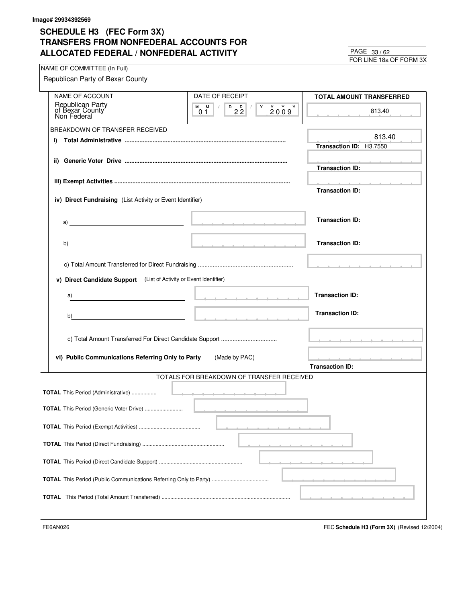FOR LINE 18a OF FORM 3X 33 / 62

| NAME OF COMMITTEE (In Full)                                        |                                                                                             |                                                                                                                 |
|--------------------------------------------------------------------|---------------------------------------------------------------------------------------------|-----------------------------------------------------------------------------------------------------------------|
| Republican Party of Bexar County                                   |                                                                                             |                                                                                                                 |
| NAME OF ACCOUNT                                                    | DATE OF RECEIPT                                                                             | <b>TOTAL AMOUNT TRANSFERRED</b>                                                                                 |
| Republican Party<br>of Bexar County                                | $M$ $M$ /<br>$\begin{array}{c} \n 0 \\ 22\n \end{array}$<br>$Y$ $Y$ $Y$<br>Y.<br>2009<br>01 | 813.40                                                                                                          |
| BREAKDOWN OF TRANSFER RECEIVED                                     |                                                                                             |                                                                                                                 |
| i)                                                                 |                                                                                             | 813.40<br>Transaction ID: H3.7550                                                                               |
|                                                                    |                                                                                             |                                                                                                                 |
|                                                                    |                                                                                             | <b>Transaction ID:</b>                                                                                          |
|                                                                    |                                                                                             | the contract of the contract of the con-                                                                        |
|                                                                    |                                                                                             | <b>Transaction ID:</b>                                                                                          |
| iv) Direct Fundraising (List Activity or Event Identifier)         |                                                                                             |                                                                                                                 |
|                                                                    |                                                                                             | <b>Transaction ID:</b>                                                                                          |
| a) $\overline{\phantom{a}}$                                        |                                                                                             |                                                                                                                 |
|                                                                    |                                                                                             | <b>Transaction ID:</b>                                                                                          |
|                                                                    |                                                                                             |                                                                                                                 |
|                                                                    |                                                                                             |                                                                                                                 |
| v) Direct Candidate Support (List of Activity or Event Identifier) |                                                                                             |                                                                                                                 |
|                                                                    |                                                                                             | <b>Transaction ID:</b>                                                                                          |
| a)                                                                 |                                                                                             |                                                                                                                 |
| b)                                                                 |                                                                                             | <b>Transaction ID:</b>                                                                                          |
|                                                                    |                                                                                             |                                                                                                                 |
|                                                                    |                                                                                             | the contract of the contract of the contract of the contract of the contract of the contract of the contract of |
| vi) Public Communications Referring Only to Party                  | (Made by PAC)                                                                               | the contract of the contract of the contract of the contract of the contract of the contract of the contract of |
|                                                                    |                                                                                             | <b>Transaction ID:</b>                                                                                          |
|                                                                    | TOTALS FOR BREAKDOWN OF TRANSFER RECEIVED                                                   |                                                                                                                 |
| <b>TOTAL</b> This Period (Administrative)                          |                                                                                             |                                                                                                                 |
|                                                                    |                                                                                             |                                                                                                                 |
| TOTAL This Period (Generic Voter Drive)                            |                                                                                             |                                                                                                                 |
|                                                                    |                                                                                             |                                                                                                                 |
|                                                                    |                                                                                             |                                                                                                                 |
|                                                                    |                                                                                             |                                                                                                                 |
|                                                                    |                                                                                             |                                                                                                                 |
|                                                                    |                                                                                             |                                                                                                                 |
|                                                                    |                                                                                             |                                                                                                                 |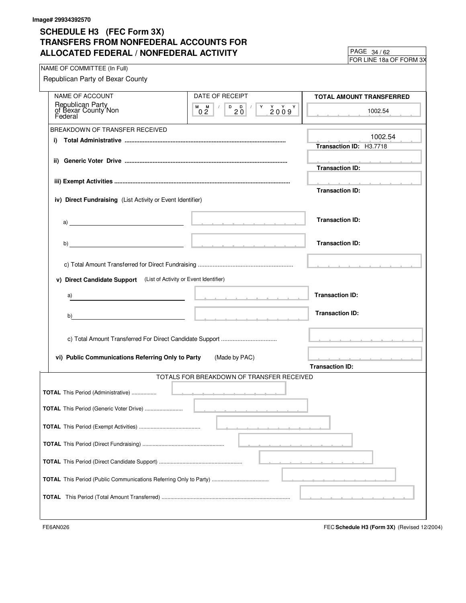FOR LINE 18a OF FORM 3X  $PAGE$  34/62

| NAME OF COMMITTEE (In Full)                                        |                                                                                             |                                                                                                                 |
|--------------------------------------------------------------------|---------------------------------------------------------------------------------------------|-----------------------------------------------------------------------------------------------------------------|
| Republican Party of Bexar County                                   |                                                                                             |                                                                                                                 |
| NAME OF ACCOUNT                                                    | DATE OF RECEIPT                                                                             | <b>TOTAL AMOUNT TRANSFERRED</b>                                                                                 |
| Republican Party<br>of Bexar County Non<br>Federal                 | $M$ $M$ /<br>$\begin{array}{c} \n 0 \\ 20\n \end{array}$<br>$Y$ $Y$ $Y$<br>Y.<br>2009<br>02 | 1002.54                                                                                                         |
| BREAKDOWN OF TRANSFER RECEIVED                                     |                                                                                             |                                                                                                                 |
| i)                                                                 |                                                                                             | 1002.54                                                                                                         |
|                                                                    |                                                                                             | Transaction ID: H3.7718                                                                                         |
|                                                                    |                                                                                             | <u> 2000 - 2000 - 2000 - 2000 - 200</u><br><b>Transaction ID:</b>                                               |
|                                                                    |                                                                                             | the contract of the contract of the con-                                                                        |
|                                                                    |                                                                                             | <b>Transaction ID:</b>                                                                                          |
| iv) Direct Fundraising (List Activity or Event Identifier)         |                                                                                             |                                                                                                                 |
|                                                                    |                                                                                             |                                                                                                                 |
|                                                                    |                                                                                             | <b>Transaction ID:</b>                                                                                          |
|                                                                    |                                                                                             |                                                                                                                 |
|                                                                    |                                                                                             | <b>Transaction ID:</b>                                                                                          |
|                                                                    |                                                                                             |                                                                                                                 |
|                                                                    |                                                                                             |                                                                                                                 |
| v) Direct Candidate Support (List of Activity or Event Identifier) |                                                                                             |                                                                                                                 |
| a)                                                                 |                                                                                             | <b>Transaction ID:</b>                                                                                          |
| b)                                                                 |                                                                                             | <b>Transaction ID:</b>                                                                                          |
|                                                                    |                                                                                             |                                                                                                                 |
|                                                                    |                                                                                             | the contract of the contract of the contract of the contract of the contract of the contract of the contract of |
| vi) Public Communications Referring Only to Party                  | (Made by PAC)                                                                               | and a state of the state of the state of the state of the state of the state of the state of the state of the   |
|                                                                    |                                                                                             | <b>Transaction ID:</b>                                                                                          |
|                                                                    | TOTALS FOR BREAKDOWN OF TRANSFER RECEIVED                                                   |                                                                                                                 |
| <b>TOTAL</b> This Period (Administrative)                          | <u> 1989 - Andrea Maria Alemania de Arabel</u>                                              |                                                                                                                 |
|                                                                    |                                                                                             |                                                                                                                 |
| TOTAL This Period (Generic Voter Drive)                            |                                                                                             |                                                                                                                 |
|                                                                    |                                                                                             |                                                                                                                 |
|                                                                    |                                                                                             |                                                                                                                 |
|                                                                    |                                                                                             |                                                                                                                 |
|                                                                    |                                                                                             |                                                                                                                 |
|                                                                    |                                                                                             |                                                                                                                 |
|                                                                    |                                                                                             |                                                                                                                 |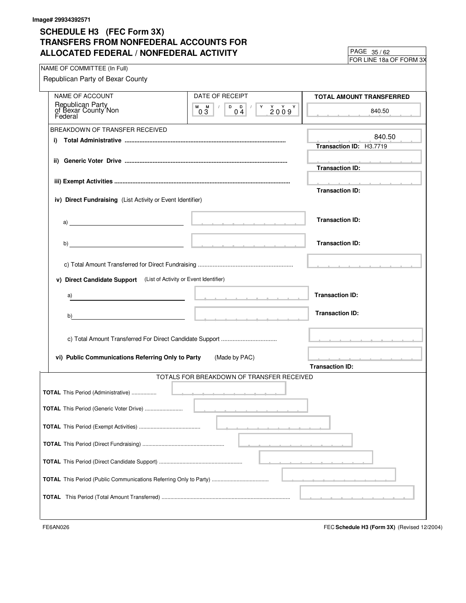FOR LINE 18a OF FORM 3X 35 / 62

| NAME OF COMMITTEE (In Full)                                                                                                                                                                                                                                                                        |                                                                                                                                                                                                                                                          | $O(1.1)$ $O(1.1)$                                                                                                                                                                                                                    |
|----------------------------------------------------------------------------------------------------------------------------------------------------------------------------------------------------------------------------------------------------------------------------------------------------|----------------------------------------------------------------------------------------------------------------------------------------------------------------------------------------------------------------------------------------------------------|--------------------------------------------------------------------------------------------------------------------------------------------------------------------------------------------------------------------------------------|
| Republican Party of Bexar County                                                                                                                                                                                                                                                                   |                                                                                                                                                                                                                                                          |                                                                                                                                                                                                                                      |
| NAME OF ACCOUNT                                                                                                                                                                                                                                                                                    | DATE OF RECEIPT                                                                                                                                                                                                                                          | TOTAL AMOUNT TRANSFERRED                                                                                                                                                                                                             |
| Republican Party<br>of Bexar County Non<br>Federal                                                                                                                                                                                                                                                 | $M$ $M$ $/$<br>$\begin{array}{c c c c c c} \hline \texttt{D} & \texttt{D} & \texttt{I} & \texttt{Y} & \texttt{Y} & \texttt{Y} & \texttt{Y} \\ \hline \texttt{0} & \texttt{4} & & & \texttt{2} & \texttt{0} & \texttt{9} & \texttt{Y} \end{array}$<br>0.3 | 840.50                                                                                                                                                                                                                               |
| BREAKDOWN OF TRANSFER RECEIVED                                                                                                                                                                                                                                                                     |                                                                                                                                                                                                                                                          |                                                                                                                                                                                                                                      |
| i)                                                                                                                                                                                                                                                                                                 |                                                                                                                                                                                                                                                          | 840.50<br>Transaction ID: H3.7719                                                                                                                                                                                                    |
|                                                                                                                                                                                                                                                                                                    |                                                                                                                                                                                                                                                          | the contract of the contract of the<br><b>Transaction ID:</b>                                                                                                                                                                        |
|                                                                                                                                                                                                                                                                                                    |                                                                                                                                                                                                                                                          | the contract of the contract of<br><b>Transaction ID:</b>                                                                                                                                                                            |
| iv) Direct Fundraising (List Activity or Event Identifier)                                                                                                                                                                                                                                         |                                                                                                                                                                                                                                                          |                                                                                                                                                                                                                                      |
| a) and the contract of the contract of $\mathcal{L}$ and $\mathcal{L}$ and $\mathcal{L}$ and $\mathcal{L}$ and $\mathcal{L}$ and $\mathcal{L}$ and $\mathcal{L}$ and $\mathcal{L}$ and $\mathcal{L}$ and $\mathcal{L}$ and $\mathcal{L}$ and $\mathcal{L}$ and $\mathcal{L}$ and $\mathcal{L}$ and |                                                                                                                                                                                                                                                          | <b>Transaction ID:</b>                                                                                                                                                                                                               |
|                                                                                                                                                                                                                                                                                                    |                                                                                                                                                                                                                                                          | <b>Transaction ID:</b>                                                                                                                                                                                                               |
|                                                                                                                                                                                                                                                                                                    |                                                                                                                                                                                                                                                          |                                                                                                                                                                                                                                      |
| v) Direct Candidate Support (List of Activity or Event Identifier)                                                                                                                                                                                                                                 |                                                                                                                                                                                                                                                          |                                                                                                                                                                                                                                      |
| a)                                                                                                                                                                                                                                                                                                 | the contract of the contract and contract of                                                                                                                                                                                                             | <b>Transaction ID:</b>                                                                                                                                                                                                               |
| b)<br><u> 2000 - 2000 - 2000 - 2000 - 2000 - 2000 - 2000 - 2000 - 2000 - 2000 - 2000 - 2000 - 2000 - 2000 - 2000 - 200</u>                                                                                                                                                                         |                                                                                                                                                                                                                                                          | <b>Transaction ID:</b>                                                                                                                                                                                                               |
|                                                                                                                                                                                                                                                                                                    |                                                                                                                                                                                                                                                          | <u>In the contract of the contract of the contract of the contract of the contract of the contract of the contract of the contract of the contract of the contract of the contract of the contract of the contract of the contra</u> |
| vi) Public Communications Referring Only to Party                                                                                                                                                                                                                                                  | (Made by PAC)                                                                                                                                                                                                                                            | and a series of the company of the company of<br><b>Transaction ID:</b>                                                                                                                                                              |
|                                                                                                                                                                                                                                                                                                    | TOTALS FOR BREAKDOWN OF TRANSFER RECEIVED                                                                                                                                                                                                                |                                                                                                                                                                                                                                      |
|                                                                                                                                                                                                                                                                                                    |                                                                                                                                                                                                                                                          |                                                                                                                                                                                                                                      |
| <b>TOTAL</b> This Period (Administrative)                                                                                                                                                                                                                                                          |                                                                                                                                                                                                                                                          |                                                                                                                                                                                                                                      |
| <b>TOTAL</b> This Period (Generic Voter Drive)                                                                                                                                                                                                                                                     |                                                                                                                                                                                                                                                          |                                                                                                                                                                                                                                      |
|                                                                                                                                                                                                                                                                                                    |                                                                                                                                                                                                                                                          |                                                                                                                                                                                                                                      |
|                                                                                                                                                                                                                                                                                                    |                                                                                                                                                                                                                                                          |                                                                                                                                                                                                                                      |
|                                                                                                                                                                                                                                                                                                    |                                                                                                                                                                                                                                                          |                                                                                                                                                                                                                                      |
|                                                                                                                                                                                                                                                                                                    |                                                                                                                                                                                                                                                          |                                                                                                                                                                                                                                      |
|                                                                                                                                                                                                                                                                                                    |                                                                                                                                                                                                                                                          |                                                                                                                                                                                                                                      |
|                                                                                                                                                                                                                                                                                                    |                                                                                                                                                                                                                                                          |                                                                                                                                                                                                                                      |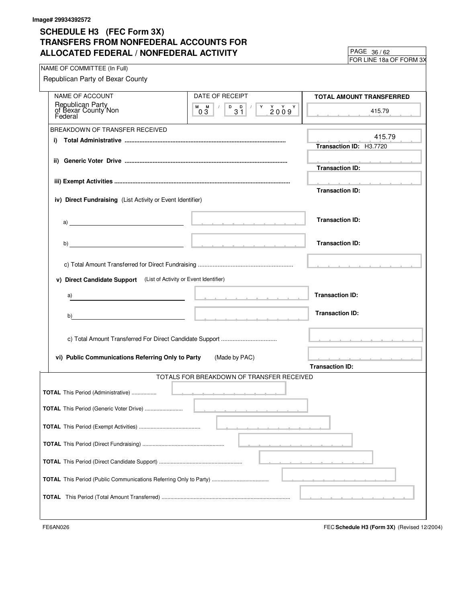FOR LINE 18a OF FORM 3X 36 / 62

| NAME OF COMMITTEE (In Full)                                                                            |                                                                                                                                                                                                                               |                                                                         |
|--------------------------------------------------------------------------------------------------------|-------------------------------------------------------------------------------------------------------------------------------------------------------------------------------------------------------------------------------|-------------------------------------------------------------------------|
| Republican Party of Bexar County                                                                       |                                                                                                                                                                                                                               |                                                                         |
| NAME OF ACCOUNT                                                                                        | DATE OF RECEIPT                                                                                                                                                                                                               | TOTAL AMOUNT TRANSFERRED                                                |
| Republican Party<br>of Bexar County Non<br>Federal                                                     | $M$ $M$ $/$<br>$\begin{array}{c c c c c} \hline \text{p} & \text{p} & \text{y} & \text{y} & \text{y} & \text{y} \\ \hline \text{31} & & \text{2009} & \text{y} & \text{y} \end{array}$<br>0.3                                 | 415.79                                                                  |
| BREAKDOWN OF TRANSFER RECEIVED                                                                         |                                                                                                                                                                                                                               |                                                                         |
| i)                                                                                                     |                                                                                                                                                                                                                               | 415.79<br>Transaction ID: H3.7720                                       |
|                                                                                                        |                                                                                                                                                                                                                               | the contract of the contract of the<br><b>Transaction ID:</b>           |
|                                                                                                        |                                                                                                                                                                                                                               | and a strain and a strain and a                                         |
| iv) Direct Fundraising (List Activity or Event Identifier)                                             |                                                                                                                                                                                                                               | <b>Transaction ID:</b>                                                  |
| a) and the contract of the contract of $\mathbb{R}^n$ . The contract of the contract of $\mathbb{R}^n$ |                                                                                                                                                                                                                               | <b>Transaction ID:</b>                                                  |
|                                                                                                        |                                                                                                                                                                                                                               | <b>Transaction ID:</b>                                                  |
|                                                                                                        |                                                                                                                                                                                                                               |                                                                         |
| v) Direct Candidate Support (List of Activity or Event Identifier)                                     |                                                                                                                                                                                                                               |                                                                         |
|                                                                                                        |                                                                                                                                                                                                                               | <b>Transaction ID:</b>                                                  |
| a)                                                                                                     | the company of the company of the company of the company of the company of the company of the company of the company of the company of the company of the company of the company of the company of the company of the company |                                                                         |
| b)                                                                                                     |                                                                                                                                                                                                                               | <b>Transaction ID:</b>                                                  |
|                                                                                                        |                                                                                                                                                                                                                               |                                                                         |
| vi) Public Communications Referring Only to Party                                                      | (Made by PAC)                                                                                                                                                                                                                 | and a series of the company of the company of<br><b>Transaction ID:</b> |
|                                                                                                        | TOTALS FOR BREAKDOWN OF TRANSFER RECEIVED                                                                                                                                                                                     |                                                                         |
| <b>TOTAL</b> This Period (Administrative)                                                              |                                                                                                                                                                                                                               |                                                                         |
|                                                                                                        |                                                                                                                                                                                                                               |                                                                         |
| <b>TOTAL</b> This Period (Generic Voter Drive)                                                         |                                                                                                                                                                                                                               |                                                                         |
|                                                                                                        |                                                                                                                                                                                                                               |                                                                         |
|                                                                                                        |                                                                                                                                                                                                                               |                                                                         |
|                                                                                                        |                                                                                                                                                                                                                               |                                                                         |
|                                                                                                        |                                                                                                                                                                                                                               |                                                                         |
|                                                                                                        |                                                                                                                                                                                                                               |                                                                         |
|                                                                                                        |                                                                                                                                                                                                                               |                                                                         |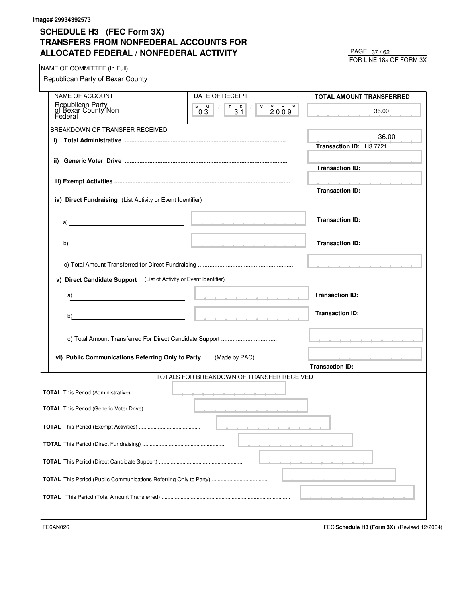FOR LINE 18a OF FORM 3X 37 / 62

| NAME OF COMMITTEE (In Full)                                        |                                           | $\mu$ UN LINL TOA UL TUNIVI JA                                                                                                                                                                                                       |
|--------------------------------------------------------------------|-------------------------------------------|--------------------------------------------------------------------------------------------------------------------------------------------------------------------------------------------------------------------------------------|
| Republican Party of Bexar County                                   |                                           |                                                                                                                                                                                                                                      |
|                                                                    |                                           |                                                                                                                                                                                                                                      |
| NAME OF ACCOUNT                                                    | DATE OF RECEIPT                           | TOTAL AMOUNT TRANSFERRED                                                                                                                                                                                                             |
| Republican Party<br>of Bexar County Non                            | $M$ $M$ $/$<br>03                         | 36.00<br>and a state of the state of                                                                                                                                                                                                 |
| BREAKDOWN OF TRANSFER RECEIVED                                     |                                           |                                                                                                                                                                                                                                      |
| i)                                                                 |                                           | 36.00                                                                                                                                                                                                                                |
|                                                                    |                                           | Transaction ID: H3.7721                                                                                                                                                                                                              |
|                                                                    |                                           | the contract of the contract of                                                                                                                                                                                                      |
|                                                                    |                                           | <b>Transaction ID:</b>                                                                                                                                                                                                               |
|                                                                    |                                           | the company of the company of the company of the company of the company of the company of the company of the company of the company of the company of the company of the company of the company of the company of the company        |
|                                                                    |                                           | <b>Transaction ID:</b>                                                                                                                                                                                                               |
| iv) Direct Fundraising (List Activity or Event Identifier)         |                                           |                                                                                                                                                                                                                                      |
|                                                                    |                                           |                                                                                                                                                                                                                                      |
|                                                                    |                                           | <b>Transaction ID:</b>                                                                                                                                                                                                               |
|                                                                    |                                           |                                                                                                                                                                                                                                      |
|                                                                    |                                           | <b>Transaction ID:</b>                                                                                                                                                                                                               |
|                                                                    |                                           |                                                                                                                                                                                                                                      |
|                                                                    |                                           |                                                                                                                                                                                                                                      |
| v) Direct Candidate Support (List of Activity or Event Identifier) |                                           |                                                                                                                                                                                                                                      |
|                                                                    |                                           |                                                                                                                                                                                                                                      |
| a)                                                                 |                                           | <b>Transaction ID:</b>                                                                                                                                                                                                               |
|                                                                    |                                           | <b>Transaction ID:</b>                                                                                                                                                                                                               |
| b)                                                                 |                                           |                                                                                                                                                                                                                                      |
|                                                                    |                                           |                                                                                                                                                                                                                                      |
|                                                                    |                                           | <u>In the company of the company of the company of the company of the company of the company of the company of the company of the company of the company of the company of the company of the company of the company of the comp</u> |
| vi) Public Communications Referring Only to Party                  | (Made by PAC)                             | contract and a state of the                                                                                                                                                                                                          |
|                                                                    |                                           | <b>Transaction ID:</b>                                                                                                                                                                                                               |
|                                                                    | TOTALS FOR BREAKDOWN OF TRANSFER RECEIVED |                                                                                                                                                                                                                                      |
|                                                                    |                                           |                                                                                                                                                                                                                                      |
|                                                                    |                                           |                                                                                                                                                                                                                                      |
| <b>TOTAL</b> This Period (Generic Voter Drive)                     |                                           |                                                                                                                                                                                                                                      |
|                                                                    |                                           |                                                                                                                                                                                                                                      |
|                                                                    |                                           |                                                                                                                                                                                                                                      |
|                                                                    |                                           |                                                                                                                                                                                                                                      |
|                                                                    |                                           |                                                                                                                                                                                                                                      |
|                                                                    |                                           |                                                                                                                                                                                                                                      |
|                                                                    |                                           |                                                                                                                                                                                                                                      |
|                                                                    |                                           |                                                                                                                                                                                                                                      |
|                                                                    |                                           |                                                                                                                                                                                                                                      |
|                                                                    |                                           |                                                                                                                                                                                                                                      |
|                                                                    |                                           |                                                                                                                                                                                                                                      |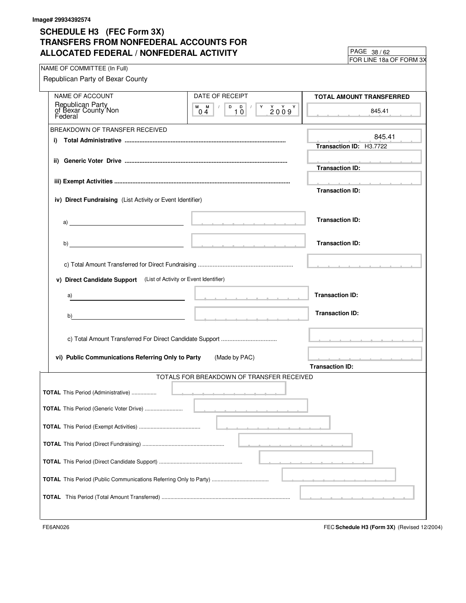FOR LINE 18a OF FORM 3X 38 / 62

| NAME OF COMMITTEE (In Full)                                                                                                                                                                                                        |                                           |                                                                                                                                                                                                                               |
|------------------------------------------------------------------------------------------------------------------------------------------------------------------------------------------------------------------------------------|-------------------------------------------|-------------------------------------------------------------------------------------------------------------------------------------------------------------------------------------------------------------------------------|
| Republican Party of Bexar County                                                                                                                                                                                                   |                                           |                                                                                                                                                                                                                               |
|                                                                                                                                                                                                                                    |                                           |                                                                                                                                                                                                                               |
| <b>NAME OF ACCOUNT</b>                                                                                                                                                                                                             | DATE OF RECEIPT                           | TOTAL AMOUNT TRANSFERRED                                                                                                                                                                                                      |
| Republican Party<br>of Bexar County Non<br>Federal                                                                                                                                                                                 | $M$ $M$ $/$<br>04                         | 845.41                                                                                                                                                                                                                        |
|                                                                                                                                                                                                                                    |                                           |                                                                                                                                                                                                                               |
| BREAKDOWN OF TRANSFER RECEIVED                                                                                                                                                                                                     |                                           |                                                                                                                                                                                                                               |
| i)                                                                                                                                                                                                                                 |                                           | 845.41                                                                                                                                                                                                                        |
|                                                                                                                                                                                                                                    |                                           | Transaction ID: H3.7722                                                                                                                                                                                                       |
|                                                                                                                                                                                                                                    |                                           |                                                                                                                                                                                                                               |
|                                                                                                                                                                                                                                    |                                           | <b>Contract Administration</b><br><b>Transaction ID:</b>                                                                                                                                                                      |
|                                                                                                                                                                                                                                    |                                           |                                                                                                                                                                                                                               |
|                                                                                                                                                                                                                                    |                                           | the contract of the contract of the contract of the contract of the contract of the contract of the contract of                                                                                                               |
|                                                                                                                                                                                                                                    |                                           | <b>Transaction ID:</b>                                                                                                                                                                                                        |
| iv) Direct Fundraising (List Activity or Event Identifier)                                                                                                                                                                         |                                           |                                                                                                                                                                                                                               |
|                                                                                                                                                                                                                                    |                                           |                                                                                                                                                                                                                               |
| $a)$ <u>and</u> $a$ is the contract of the contract of the contract of the contract of the contract of the contract of the contract of the contract of the contract of the contract of the contract of the contract of the contrac |                                           | <b>Transaction ID:</b>                                                                                                                                                                                                        |
|                                                                                                                                                                                                                                    |                                           |                                                                                                                                                                                                                               |
|                                                                                                                                                                                                                                    |                                           |                                                                                                                                                                                                                               |
|                                                                                                                                                                                                                                    |                                           | <b>Transaction ID:</b>                                                                                                                                                                                                        |
|                                                                                                                                                                                                                                    |                                           |                                                                                                                                                                                                                               |
|                                                                                                                                                                                                                                    |                                           |                                                                                                                                                                                                                               |
| v) Direct Candidate Support (List of Activity or Event Identifier)                                                                                                                                                                 |                                           |                                                                                                                                                                                                                               |
|                                                                                                                                                                                                                                    |                                           |                                                                                                                                                                                                                               |
| a)                                                                                                                                                                                                                                 | the contract of the contract of the con-  | <b>Transaction ID:</b>                                                                                                                                                                                                        |
|                                                                                                                                                                                                                                    |                                           |                                                                                                                                                                                                                               |
| b)                                                                                                                                                                                                                                 |                                           | <b>Transaction ID:</b>                                                                                                                                                                                                        |
|                                                                                                                                                                                                                                    |                                           |                                                                                                                                                                                                                               |
|                                                                                                                                                                                                                                    |                                           |                                                                                                                                                                                                                               |
|                                                                                                                                                                                                                                    |                                           | the contract of the contract of the contract of the contract of the contract of the contract of the contract of                                                                                                               |
|                                                                                                                                                                                                                                    |                                           |                                                                                                                                                                                                                               |
| vi) Public Communications Referring Only to Party                                                                                                                                                                                  | (Made by PAC)                             | a construction of the construction of the construction of the construction of the construction of the construction of the construction of the construction of the construction of the construction of the construction of the |
|                                                                                                                                                                                                                                    |                                           | <b>Transaction ID:</b>                                                                                                                                                                                                        |
|                                                                                                                                                                                                                                    | TOTALS FOR BREAKDOWN OF TRANSFER RECEIVED |                                                                                                                                                                                                                               |
| <b>TOTAL</b> This Period (Administrative)                                                                                                                                                                                          |                                           |                                                                                                                                                                                                                               |
|                                                                                                                                                                                                                                    |                                           |                                                                                                                                                                                                                               |
| TOTAL This Period (Generic Voter Drive)                                                                                                                                                                                            |                                           |                                                                                                                                                                                                                               |
|                                                                                                                                                                                                                                    |                                           |                                                                                                                                                                                                                               |
|                                                                                                                                                                                                                                    |                                           |                                                                                                                                                                                                                               |
|                                                                                                                                                                                                                                    |                                           |                                                                                                                                                                                                                               |
|                                                                                                                                                                                                                                    |                                           |                                                                                                                                                                                                                               |
|                                                                                                                                                                                                                                    |                                           |                                                                                                                                                                                                                               |
|                                                                                                                                                                                                                                    |                                           |                                                                                                                                                                                                                               |
|                                                                                                                                                                                                                                    |                                           |                                                                                                                                                                                                                               |
|                                                                                                                                                                                                                                    |                                           |                                                                                                                                                                                                                               |
|                                                                                                                                                                                                                                    |                                           |                                                                                                                                                                                                                               |
|                                                                                                                                                                                                                                    |                                           |                                                                                                                                                                                                                               |
|                                                                                                                                                                                                                                    |                                           |                                                                                                                                                                                                                               |
|                                                                                                                                                                                                                                    |                                           |                                                                                                                                                                                                                               |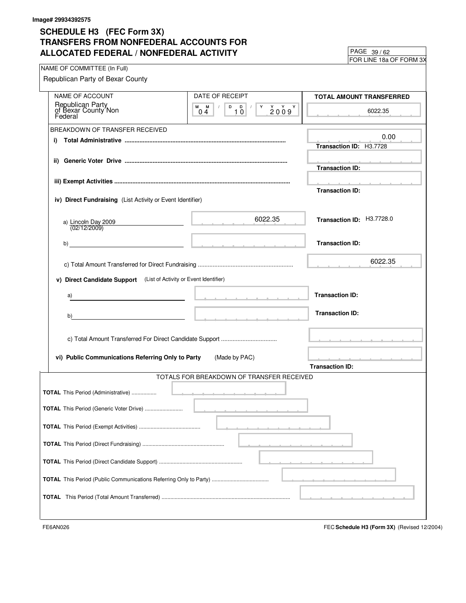FOR LINE 18a OF FORM 3X 39 / 62

| NAME OF COMMITTEE (In Full)                                        |                                                                                                                                                                             | <b>FUR LINE TOG UF FURIVE 37</b>         |
|--------------------------------------------------------------------|-----------------------------------------------------------------------------------------------------------------------------------------------------------------------------|------------------------------------------|
| Republican Party of Bexar County                                   |                                                                                                                                                                             |                                          |
|                                                                    |                                                                                                                                                                             |                                          |
| NAME OF ACCOUNT                                                    | DATE OF RECEIPT                                                                                                                                                             | <b>TOTAL AMOUNT TRANSFERRED</b>          |
| Republican Party<br>of Bexar County Non<br>Federal                 | $\begin{array}{c c c c c} \hline \textbf{D} & \textbf{D} & \textbf{I} & \textbf{Y} \\ \hline \textbf{10} & & & \end{array}$<br>M M<br>$2009$ <sup>Y</sup><br>0 <sub>4</sub> | 6022.35                                  |
| BREAKDOWN OF TRANSFER RECEIVED                                     |                                                                                                                                                                             |                                          |
| i)                                                                 |                                                                                                                                                                             | 0.00                                     |
|                                                                    |                                                                                                                                                                             | Transaction ID: H3.7728                  |
|                                                                    |                                                                                                                                                                             | <b>Transaction ID:</b>                   |
|                                                                    |                                                                                                                                                                             |                                          |
|                                                                    |                                                                                                                                                                             | the contract of the contract of the con- |
| iv) Direct Fundraising (List Activity or Event Identifier)         |                                                                                                                                                                             | <b>Transaction ID:</b>                   |
|                                                                    |                                                                                                                                                                             |                                          |
| a) Lincoln Day 2009<br>(02/12/2009)                                | 6022.35<br>the contract of the contract of                                                                                                                                  | Transaction ID: H3.7728.0                |
|                                                                    |                                                                                                                                                                             |                                          |
|                                                                    |                                                                                                                                                                             | <b>Transaction ID:</b>                   |
|                                                                    |                                                                                                                                                                             | 6022.35                                  |
|                                                                    |                                                                                                                                                                             |                                          |
| v) Direct Candidate Support (List of Activity or Event Identifier) |                                                                                                                                                                             |                                          |
| a)                                                                 |                                                                                                                                                                             | <b>Transaction ID:</b>                   |
|                                                                    |                                                                                                                                                                             |                                          |
| b)                                                                 |                                                                                                                                                                             | <b>Transaction ID:</b>                   |
|                                                                    |                                                                                                                                                                             |                                          |
|                                                                    |                                                                                                                                                                             |                                          |
|                                                                    |                                                                                                                                                                             |                                          |
| vi) Public Communications Referring Only to Party                  | (Made by PAC)                                                                                                                                                               | and a state of the state of the          |
|                                                                    |                                                                                                                                                                             | <b>Transaction ID:</b>                   |
|                                                                    | TOTALS FOR BREAKDOWN OF TRANSFER RECEIVED                                                                                                                                   |                                          |
|                                                                    |                                                                                                                                                                             |                                          |
|                                                                    |                                                                                                                                                                             |                                          |
| <b>TOTAL</b> This Period (Generic Voter Drive)                     |                                                                                                                                                                             |                                          |
|                                                                    |                                                                                                                                                                             |                                          |
|                                                                    |                                                                                                                                                                             |                                          |
|                                                                    |                                                                                                                                                                             |                                          |
|                                                                    |                                                                                                                                                                             |                                          |
|                                                                    |                                                                                                                                                                             |                                          |
|                                                                    |                                                                                                                                                                             |                                          |
|                                                                    |                                                                                                                                                                             |                                          |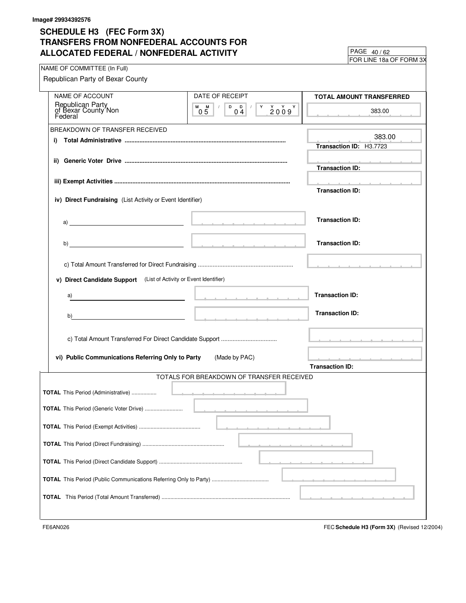FOR LINE 18a OF FORM 3X 40 / 62

| NAME OF COMMITTEE (In Full)                                                                                                                                                                                                        |                                                                                                                                                                                                                                                      |                                                                                                                                                                                                                                      |
|------------------------------------------------------------------------------------------------------------------------------------------------------------------------------------------------------------------------------------|------------------------------------------------------------------------------------------------------------------------------------------------------------------------------------------------------------------------------------------------------|--------------------------------------------------------------------------------------------------------------------------------------------------------------------------------------------------------------------------------------|
| Republican Party of Bexar County                                                                                                                                                                                                   |                                                                                                                                                                                                                                                      |                                                                                                                                                                                                                                      |
|                                                                                                                                                                                                                                    |                                                                                                                                                                                                                                                      |                                                                                                                                                                                                                                      |
| <b>NAME OF ACCOUNT</b>                                                                                                                                                                                                             | DATE OF RECEIPT                                                                                                                                                                                                                                      | TOTAL AMOUNT TRANSFERRED                                                                                                                                                                                                             |
| Republican Party<br>of Bexar County Non<br>Federal                                                                                                                                                                                 | M M<br>$\vert$ / $\vert$<br>$\begin{array}{c c c c c c c c} \hline \texttt{D} & \texttt{D} & \texttt{I} & \texttt{Y} & \texttt{Y} & \texttt{Y} \\ \hline \texttt{0.4} & \texttt{2.0.0.9} & \texttt{Y} & \texttt{Y} & \texttt{Y} \end{array}$<br>2009 | 383.00                                                                                                                                                                                                                               |
|                                                                                                                                                                                                                                    | 04<br>05                                                                                                                                                                                                                                             |                                                                                                                                                                                                                                      |
| BREAKDOWN OF TRANSFER RECEIVED                                                                                                                                                                                                     |                                                                                                                                                                                                                                                      |                                                                                                                                                                                                                                      |
|                                                                                                                                                                                                                                    |                                                                                                                                                                                                                                                      | 383.00                                                                                                                                                                                                                               |
| i)                                                                                                                                                                                                                                 |                                                                                                                                                                                                                                                      | Transaction ID: H3.7723                                                                                                                                                                                                              |
|                                                                                                                                                                                                                                    |                                                                                                                                                                                                                                                      |                                                                                                                                                                                                                                      |
|                                                                                                                                                                                                                                    |                                                                                                                                                                                                                                                      | contract and a state of the                                                                                                                                                                                                          |
|                                                                                                                                                                                                                                    |                                                                                                                                                                                                                                                      | <b>Transaction ID:</b>                                                                                                                                                                                                               |
|                                                                                                                                                                                                                                    |                                                                                                                                                                                                                                                      | <u>and the second control of the second control of the second control of the second control of the second control of the second control of the second control of the second control of the second control of the second control </u> |
|                                                                                                                                                                                                                                    |                                                                                                                                                                                                                                                      | <b>Transaction ID:</b>                                                                                                                                                                                                               |
| iv) Direct Fundraising (List Activity or Event Identifier)                                                                                                                                                                         |                                                                                                                                                                                                                                                      |                                                                                                                                                                                                                                      |
|                                                                                                                                                                                                                                    |                                                                                                                                                                                                                                                      |                                                                                                                                                                                                                                      |
|                                                                                                                                                                                                                                    |                                                                                                                                                                                                                                                      |                                                                                                                                                                                                                                      |
| $\mathsf{a})$ , and the contract of the contract of the contract of the contract of the contract of the contract of the contract of the contract of the contract of the contract of the contract of the contract of the contract o |                                                                                                                                                                                                                                                      | <b>Transaction ID:</b>                                                                                                                                                                                                               |
|                                                                                                                                                                                                                                    |                                                                                                                                                                                                                                                      |                                                                                                                                                                                                                                      |
|                                                                                                                                                                                                                                    |                                                                                                                                                                                                                                                      | <b>Transaction ID:</b>                                                                                                                                                                                                               |
|                                                                                                                                                                                                                                    |                                                                                                                                                                                                                                                      |                                                                                                                                                                                                                                      |
|                                                                                                                                                                                                                                    |                                                                                                                                                                                                                                                      |                                                                                                                                                                                                                                      |
|                                                                                                                                                                                                                                    |                                                                                                                                                                                                                                                      |                                                                                                                                                                                                                                      |
| v) Direct Candidate Support (List of Activity or Event Identifier)                                                                                                                                                                 |                                                                                                                                                                                                                                                      |                                                                                                                                                                                                                                      |
|                                                                                                                                                                                                                                    |                                                                                                                                                                                                                                                      |                                                                                                                                                                                                                                      |
| a)                                                                                                                                                                                                                                 | the contract of the contract of the con-                                                                                                                                                                                                             | <b>Transaction ID:</b>                                                                                                                                                                                                               |
|                                                                                                                                                                                                                                    |                                                                                                                                                                                                                                                      |                                                                                                                                                                                                                                      |
|                                                                                                                                                                                                                                    |                                                                                                                                                                                                                                                      | <b>Transaction ID:</b>                                                                                                                                                                                                               |
| b)                                                                                                                                                                                                                                 |                                                                                                                                                                                                                                                      |                                                                                                                                                                                                                                      |
|                                                                                                                                                                                                                                    |                                                                                                                                                                                                                                                      |                                                                                                                                                                                                                                      |
|                                                                                                                                                                                                                                    |                                                                                                                                                                                                                                                      | the contract of the contract of the contract of the contract of the contract of the contract of the contract of                                                                                                                      |
|                                                                                                                                                                                                                                    |                                                                                                                                                                                                                                                      |                                                                                                                                                                                                                                      |
| vi) Public Communications Referring Only to Party                                                                                                                                                                                  | (Made by PAC)                                                                                                                                                                                                                                        | and a series of the company of the company of the company of the company of the company of the company of the                                                                                                                        |
|                                                                                                                                                                                                                                    |                                                                                                                                                                                                                                                      | <b>Transaction ID:</b>                                                                                                                                                                                                               |
|                                                                                                                                                                                                                                    | TOTALS FOR BREAKDOWN OF TRANSFER RECEIVED                                                                                                                                                                                                            |                                                                                                                                                                                                                                      |
|                                                                                                                                                                                                                                    |                                                                                                                                                                                                                                                      |                                                                                                                                                                                                                                      |
| <b>TOTAL</b> This Period (Administrative)                                                                                                                                                                                          | <u>.</u>                                                                                                                                                                                                                                             |                                                                                                                                                                                                                                      |
|                                                                                                                                                                                                                                    |                                                                                                                                                                                                                                                      |                                                                                                                                                                                                                                      |
| TOTAL This Period (Generic Voter Drive)                                                                                                                                                                                            |                                                                                                                                                                                                                                                      |                                                                                                                                                                                                                                      |
|                                                                                                                                                                                                                                    |                                                                                                                                                                                                                                                      |                                                                                                                                                                                                                                      |
|                                                                                                                                                                                                                                    |                                                                                                                                                                                                                                                      |                                                                                                                                                                                                                                      |
|                                                                                                                                                                                                                                    |                                                                                                                                                                                                                                                      |                                                                                                                                                                                                                                      |
|                                                                                                                                                                                                                                    |                                                                                                                                                                                                                                                      |                                                                                                                                                                                                                                      |
|                                                                                                                                                                                                                                    |                                                                                                                                                                                                                                                      |                                                                                                                                                                                                                                      |
|                                                                                                                                                                                                                                    |                                                                                                                                                                                                                                                      |                                                                                                                                                                                                                                      |
|                                                                                                                                                                                                                                    |                                                                                                                                                                                                                                                      |                                                                                                                                                                                                                                      |
|                                                                                                                                                                                                                                    |                                                                                                                                                                                                                                                      |                                                                                                                                                                                                                                      |
|                                                                                                                                                                                                                                    |                                                                                                                                                                                                                                                      |                                                                                                                                                                                                                                      |
|                                                                                                                                                                                                                                    |                                                                                                                                                                                                                                                      |                                                                                                                                                                                                                                      |
|                                                                                                                                                                                                                                    |                                                                                                                                                                                                                                                      |                                                                                                                                                                                                                                      |
|                                                                                                                                                                                                                                    |                                                                                                                                                                                                                                                      |                                                                                                                                                                                                                                      |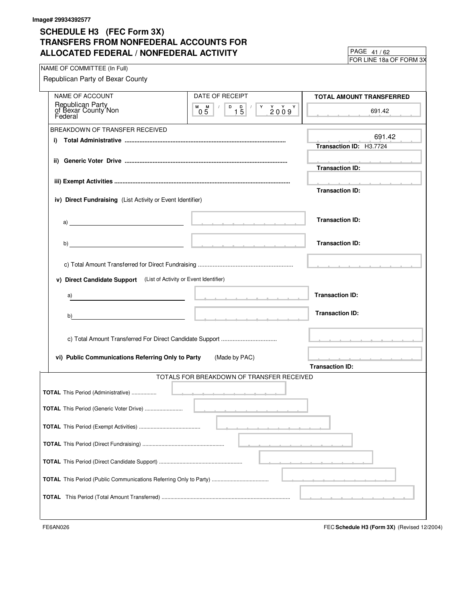FOR LINE 18a OF FORM 3X 41 / 62

| NAME OF COMMITTEE (In Full)                                                                                                                                                                                                        |                                              |                                                                                                                                                                                                                                      |
|------------------------------------------------------------------------------------------------------------------------------------------------------------------------------------------------------------------------------------|----------------------------------------------|--------------------------------------------------------------------------------------------------------------------------------------------------------------------------------------------------------------------------------------|
| Republican Party of Bexar County                                                                                                                                                                                                   |                                              |                                                                                                                                                                                                                                      |
|                                                                                                                                                                                                                                    |                                              |                                                                                                                                                                                                                                      |
| <b>NAME OF ACCOUNT</b>                                                                                                                                                                                                             | DATE OF RECEIPT                              | TOTAL AMOUNT TRANSFERRED                                                                                                                                                                                                             |
| Republican Party<br>of Bexar County Non<br>Federal                                                                                                                                                                                 | $M$ $M$ $/$<br>$Y$ $Y$ $Y$ $Y$<br>2009<br>05 | 691.42                                                                                                                                                                                                                               |
|                                                                                                                                                                                                                                    |                                              |                                                                                                                                                                                                                                      |
| BREAKDOWN OF TRANSFER RECEIVED                                                                                                                                                                                                     |                                              |                                                                                                                                                                                                                                      |
| i)                                                                                                                                                                                                                                 |                                              | 691.42                                                                                                                                                                                                                               |
|                                                                                                                                                                                                                                    |                                              | Transaction ID: H3.7724                                                                                                                                                                                                              |
|                                                                                                                                                                                                                                    |                                              |                                                                                                                                                                                                                                      |
|                                                                                                                                                                                                                                    |                                              | <b>Contract Administration</b><br><b>Transaction ID:</b>                                                                                                                                                                             |
|                                                                                                                                                                                                                                    |                                              |                                                                                                                                                                                                                                      |
|                                                                                                                                                                                                                                    |                                              | <u>and the second contract of the second contract of the second contract of the second contract of the second contract of the second contract of the second contract of the second contract of the second contract of the second</u> |
|                                                                                                                                                                                                                                    |                                              | <b>Transaction ID:</b>                                                                                                                                                                                                               |
| iv) Direct Fundraising (List Activity or Event Identifier)                                                                                                                                                                         |                                              |                                                                                                                                                                                                                                      |
|                                                                                                                                                                                                                                    |                                              |                                                                                                                                                                                                                                      |
| $a)$ <u>and</u> $a$ is the contract of the contract of the contract of the contract of the contract of the contract of the contract of the contract of the contract of the contract of the contract of the contract of the contrac |                                              | <b>Transaction ID:</b>                                                                                                                                                                                                               |
|                                                                                                                                                                                                                                    |                                              |                                                                                                                                                                                                                                      |
|                                                                                                                                                                                                                                    |                                              |                                                                                                                                                                                                                                      |
|                                                                                                                                                                                                                                    |                                              | <b>Transaction ID:</b>                                                                                                                                                                                                               |
|                                                                                                                                                                                                                                    |                                              |                                                                                                                                                                                                                                      |
|                                                                                                                                                                                                                                    |                                              |                                                                                                                                                                                                                                      |
| v) Direct Candidate Support (List of Activity or Event Identifier)                                                                                                                                                                 |                                              |                                                                                                                                                                                                                                      |
|                                                                                                                                                                                                                                    |                                              |                                                                                                                                                                                                                                      |
| a)                                                                                                                                                                                                                                 | the contract of the contract of the con-     | <b>Transaction ID:</b>                                                                                                                                                                                                               |
|                                                                                                                                                                                                                                    |                                              |                                                                                                                                                                                                                                      |
| b)<br>the contract of the contract of the contract of the contract of the                                                                                                                                                          |                                              | <b>Transaction ID:</b>                                                                                                                                                                                                               |
|                                                                                                                                                                                                                                    |                                              |                                                                                                                                                                                                                                      |
|                                                                                                                                                                                                                                    |                                              |                                                                                                                                                                                                                                      |
|                                                                                                                                                                                                                                    |                                              | the contract of the contract of the contract of the contract of the contract of the contract of the contract of                                                                                                                      |
|                                                                                                                                                                                                                                    |                                              |                                                                                                                                                                                                                                      |
| vi) Public Communications Referring Only to Party                                                                                                                                                                                  | (Made by PAC)                                | and a series of the contract of the con-                                                                                                                                                                                             |
|                                                                                                                                                                                                                                    |                                              | <b>Transaction ID:</b>                                                                                                                                                                                                               |
|                                                                                                                                                                                                                                    | TOTALS FOR BREAKDOWN OF TRANSFER RECEIVED    |                                                                                                                                                                                                                                      |
| <b>TOTAL</b> This Period (Administrative)                                                                                                                                                                                          |                                              |                                                                                                                                                                                                                                      |
|                                                                                                                                                                                                                                    |                                              |                                                                                                                                                                                                                                      |
| TOTAL This Period (Generic Voter Drive)                                                                                                                                                                                            |                                              |                                                                                                                                                                                                                                      |
|                                                                                                                                                                                                                                    |                                              |                                                                                                                                                                                                                                      |
|                                                                                                                                                                                                                                    |                                              |                                                                                                                                                                                                                                      |
|                                                                                                                                                                                                                                    |                                              |                                                                                                                                                                                                                                      |
|                                                                                                                                                                                                                                    |                                              |                                                                                                                                                                                                                                      |
|                                                                                                                                                                                                                                    |                                              |                                                                                                                                                                                                                                      |
|                                                                                                                                                                                                                                    |                                              |                                                                                                                                                                                                                                      |
|                                                                                                                                                                                                                                    |                                              |                                                                                                                                                                                                                                      |
|                                                                                                                                                                                                                                    |                                              |                                                                                                                                                                                                                                      |
|                                                                                                                                                                                                                                    |                                              |                                                                                                                                                                                                                                      |
|                                                                                                                                                                                                                                    |                                              |                                                                                                                                                                                                                                      |
|                                                                                                                                                                                                                                    |                                              |                                                                                                                                                                                                                                      |
|                                                                                                                                                                                                                                    |                                              |                                                                                                                                                                                                                                      |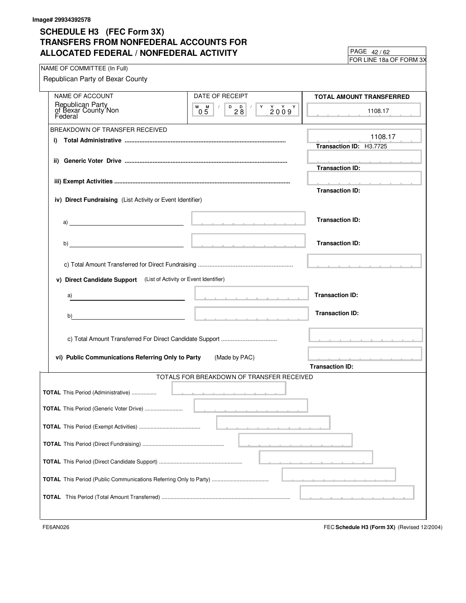FOR LINE 18a OF FORM 3X  $PAGE$   $42/62$ 

| NAME OF COMMITTEE (In Full)                                        |                                                                                             |                                                                                                                 |
|--------------------------------------------------------------------|---------------------------------------------------------------------------------------------|-----------------------------------------------------------------------------------------------------------------|
| Republican Party of Bexar County                                   |                                                                                             |                                                                                                                 |
| NAME OF ACCOUNT                                                    | DATE OF RECEIPT                                                                             | <b>TOTAL AMOUNT TRANSFERRED</b>                                                                                 |
| Republican Party<br>of Bexar County Non<br>Federal                 | $M$ $M$ /<br>$\begin{array}{c} \n 0 \\ 28\n \end{array}$<br>$Y$ $Y$ $Y$<br>Y.<br>2009<br>05 | 1108.17                                                                                                         |
| BREAKDOWN OF TRANSFER RECEIVED                                     |                                                                                             |                                                                                                                 |
| i)                                                                 |                                                                                             | 1108.17<br>Transaction ID: H3.7725                                                                              |
|                                                                    |                                                                                             |                                                                                                                 |
|                                                                    |                                                                                             | <u> 2000 - 2000 - 2000 - 2000 - 200</u><br><b>Transaction ID:</b>                                               |
|                                                                    |                                                                                             | the contract of the contract of the con-                                                                        |
|                                                                    |                                                                                             | <b>Transaction ID:</b>                                                                                          |
| iv) Direct Fundraising (List Activity or Event Identifier)         |                                                                                             |                                                                                                                 |
|                                                                    |                                                                                             | <b>Transaction ID:</b>                                                                                          |
|                                                                    |                                                                                             |                                                                                                                 |
|                                                                    |                                                                                             | <b>Transaction ID:</b>                                                                                          |
|                                                                    |                                                                                             |                                                                                                                 |
|                                                                    |                                                                                             |                                                                                                                 |
| v) Direct Candidate Support (List of Activity or Event Identifier) |                                                                                             |                                                                                                                 |
| a)                                                                 |                                                                                             | <b>Transaction ID:</b>                                                                                          |
| b)                                                                 |                                                                                             | <b>Transaction ID:</b>                                                                                          |
|                                                                    |                                                                                             | the contract of the contract of the contract of the contract of the contract of the contract of the contract of |
| vi) Public Communications Referring Only to Party                  | (Made by PAC)                                                                               | and a state of the state of the state of the state of the state of the state of the state of the state of the   |
|                                                                    |                                                                                             | <b>Transaction ID:</b>                                                                                          |
|                                                                    | TOTALS FOR BREAKDOWN OF TRANSFER RECEIVED                                                   |                                                                                                                 |
| <b>TOTAL</b> This Period (Administrative)                          | <u> 1989 - Andrea Maria Alemania de Arabel</u>                                              |                                                                                                                 |
| TOTAL This Period (Generic Voter Drive)                            |                                                                                             |                                                                                                                 |
|                                                                    |                                                                                             |                                                                                                                 |
|                                                                    |                                                                                             |                                                                                                                 |
|                                                                    |                                                                                             |                                                                                                                 |
|                                                                    |                                                                                             |                                                                                                                 |
|                                                                    |                                                                                             |                                                                                                                 |
|                                                                    |                                                                                             |                                                                                                                 |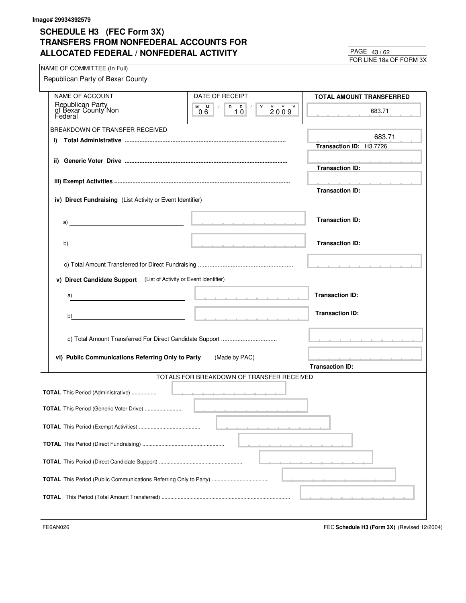FOR LINE 18a OF FORM 3X 43 / 62

| NAME OF COMMITTEE (In Full)                                                                                                                                                                                                        |                                           |                                                                                                                 |
|------------------------------------------------------------------------------------------------------------------------------------------------------------------------------------------------------------------------------------|-------------------------------------------|-----------------------------------------------------------------------------------------------------------------|
| Republican Party of Bexar County                                                                                                                                                                                                   |                                           |                                                                                                                 |
| <b>NAME OF ACCOUNT</b>                                                                                                                                                                                                             | DATE OF RECEIPT                           | TOTAL AMOUNT TRANSFERRED                                                                                        |
|                                                                                                                                                                                                                                    | $M$ $M$ $/$                               |                                                                                                                 |
| Republican Party<br>of Bexar County Non<br>Federal                                                                                                                                                                                 | 06                                        | 683.71                                                                                                          |
| BREAKDOWN OF TRANSFER RECEIVED                                                                                                                                                                                                     |                                           |                                                                                                                 |
| i)                                                                                                                                                                                                                                 |                                           | 683.71                                                                                                          |
|                                                                                                                                                                                                                                    |                                           | Transaction ID: H3.7726                                                                                         |
|                                                                                                                                                                                                                                    |                                           | <b>Contract Administration</b>                                                                                  |
|                                                                                                                                                                                                                                    |                                           | <b>Transaction ID:</b>                                                                                          |
|                                                                                                                                                                                                                                    |                                           | the contract of the contract of the con-                                                                        |
|                                                                                                                                                                                                                                    |                                           | <b>Transaction ID:</b>                                                                                          |
| iv) Direct Fundraising (List Activity or Event Identifier)                                                                                                                                                                         |                                           |                                                                                                                 |
|                                                                                                                                                                                                                                    |                                           |                                                                                                                 |
| $\mathsf{a})$ , and the contract of the contract of the contract of the contract of the contract of the contract of the contract of the contract of the contract of the contract of the contract of the contract of the contract o |                                           | <b>Transaction ID:</b>                                                                                          |
|                                                                                                                                                                                                                                    |                                           |                                                                                                                 |
|                                                                                                                                                                                                                                    |                                           |                                                                                                                 |
|                                                                                                                                                                                                                                    |                                           | <b>Transaction ID:</b>                                                                                          |
|                                                                                                                                                                                                                                    |                                           |                                                                                                                 |
|                                                                                                                                                                                                                                    |                                           |                                                                                                                 |
| v) Direct Candidate Support (List of Activity or Event Identifier)                                                                                                                                                                 |                                           |                                                                                                                 |
|                                                                                                                                                                                                                                    |                                           |                                                                                                                 |
| a)                                                                                                                                                                                                                                 | the contract of the contract of the con-  | <b>Transaction ID:</b>                                                                                          |
|                                                                                                                                                                                                                                    |                                           |                                                                                                                 |
| b)<br>the contract of the contract of the contract of the contract of the                                                                                                                                                          |                                           | <b>Transaction ID:</b>                                                                                          |
|                                                                                                                                                                                                                                    |                                           |                                                                                                                 |
|                                                                                                                                                                                                                                    |                                           | the contract of the contract of the contract of the contract of the contract of the contract of the contract of |
|                                                                                                                                                                                                                                    |                                           |                                                                                                                 |
| vi) Public Communications Referring Only to Party                                                                                                                                                                                  | (Made by PAC)                             | and a series of the company of the company of the company of the company of the company of the company of the   |
|                                                                                                                                                                                                                                    |                                           | <b>Transaction ID:</b>                                                                                          |
|                                                                                                                                                                                                                                    | TOTALS FOR BREAKDOWN OF TRANSFER RECEIVED |                                                                                                                 |
|                                                                                                                                                                                                                                    |                                           |                                                                                                                 |
| <b>TOTAL</b> This Period (Administrative)                                                                                                                                                                                          |                                           |                                                                                                                 |
|                                                                                                                                                                                                                                    |                                           |                                                                                                                 |
| TOTAL This Period (Generic Voter Drive)                                                                                                                                                                                            |                                           |                                                                                                                 |
|                                                                                                                                                                                                                                    |                                           |                                                                                                                 |
|                                                                                                                                                                                                                                    |                                           |                                                                                                                 |
|                                                                                                                                                                                                                                    |                                           |                                                                                                                 |
|                                                                                                                                                                                                                                    |                                           |                                                                                                                 |
|                                                                                                                                                                                                                                    |                                           |                                                                                                                 |
|                                                                                                                                                                                                                                    |                                           |                                                                                                                 |
|                                                                                                                                                                                                                                    |                                           |                                                                                                                 |
|                                                                                                                                                                                                                                    |                                           |                                                                                                                 |
|                                                                                                                                                                                                                                    |                                           |                                                                                                                 |
|                                                                                                                                                                                                                                    |                                           |                                                                                                                 |
|                                                                                                                                                                                                                                    |                                           |                                                                                                                 |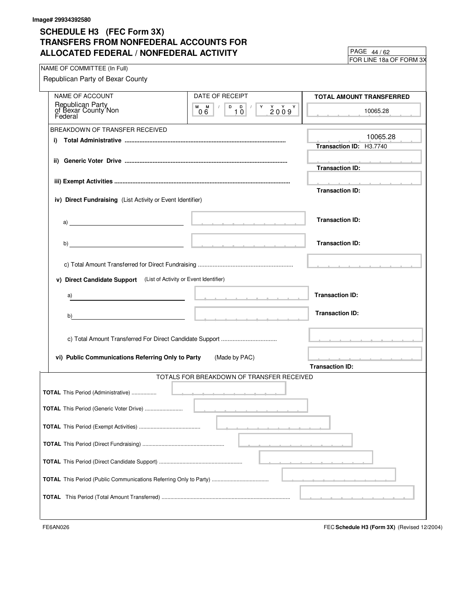FOR LINE 18a OF FORM 3X 44 / 62

| NAME OF COMMITTEE (In Full)                                                                            |                                                                                                                                                                                                                                |                                                                         |
|--------------------------------------------------------------------------------------------------------|--------------------------------------------------------------------------------------------------------------------------------------------------------------------------------------------------------------------------------|-------------------------------------------------------------------------|
| Republican Party of Bexar County                                                                       |                                                                                                                                                                                                                                |                                                                         |
| NAME OF ACCOUNT                                                                                        | DATE OF RECEIPT                                                                                                                                                                                                                | TOTAL AMOUNT TRANSFERRED                                                |
| Republican Party<br>of Bexar County Non<br>Federal                                                     | $M$ $M$ $/$<br>06                                                                                                                                                                                                              | 10065.28                                                                |
| BREAKDOWN OF TRANSFER RECEIVED                                                                         |                                                                                                                                                                                                                                |                                                                         |
| i)                                                                                                     |                                                                                                                                                                                                                                | 10065.28<br>Transaction ID: H3.7740                                     |
|                                                                                                        |                                                                                                                                                                                                                                | the contract of the contract of the<br><b>Transaction ID:</b>           |
|                                                                                                        |                                                                                                                                                                                                                                | and a strain and a strain and a                                         |
| iv) Direct Fundraising (List Activity or Event Identifier)                                             |                                                                                                                                                                                                                                | <b>Transaction ID:</b>                                                  |
| a) and the contract of the contract of $\mathbb{R}^n$ . The contract of the contract of $\mathbb{R}^n$ |                                                                                                                                                                                                                                | <b>Transaction ID:</b>                                                  |
|                                                                                                        |                                                                                                                                                                                                                                | <b>Transaction ID:</b>                                                  |
|                                                                                                        |                                                                                                                                                                                                                                |                                                                         |
| v) Direct Candidate Support (List of Activity or Event Identifier)                                     |                                                                                                                                                                                                                                |                                                                         |
| a)                                                                                                     | the companies of the companies of the companies of the companies of the companies of the companies of the companies of the companies of the companies of the companies of the companies of the companies of the companies of t | <b>Transaction ID:</b>                                                  |
| b)                                                                                                     | <u> 2000 - 2000 - 2000 - 2000 - 2000 - 2000 - 2000 - 2000 - 2000 - 2000 - 2000 - 2000 - 2000 - 2000 - 2000 - 200</u>                                                                                                           | <b>Transaction ID:</b>                                                  |
|                                                                                                        |                                                                                                                                                                                                                                |                                                                         |
| vi) Public Communications Referring Only to Party                                                      | (Made by PAC)                                                                                                                                                                                                                  | and a series of the company of the company of<br><b>Transaction ID:</b> |
|                                                                                                        | TOTALS FOR BREAKDOWN OF TRANSFER RECEIVED                                                                                                                                                                                      |                                                                         |
| <b>TOTAL</b> This Period (Administrative)                                                              |                                                                                                                                                                                                                                |                                                                         |
|                                                                                                        |                                                                                                                                                                                                                                |                                                                         |
| <b>TOTAL</b> This Period (Generic Voter Drive)                                                         |                                                                                                                                                                                                                                |                                                                         |
|                                                                                                        |                                                                                                                                                                                                                                |                                                                         |
|                                                                                                        |                                                                                                                                                                                                                                |                                                                         |
|                                                                                                        |                                                                                                                                                                                                                                |                                                                         |
|                                                                                                        |                                                                                                                                                                                                                                |                                                                         |
|                                                                                                        |                                                                                                                                                                                                                                |                                                                         |
|                                                                                                        |                                                                                                                                                                                                                                |                                                                         |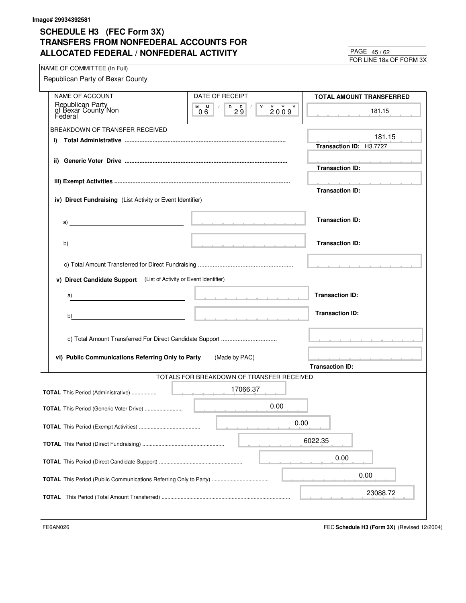FOR LINE 18a OF FORM 3X 45 / 62

| NAME OF COMMITTEE (In Full)                                                                                                                                                                                                                                                                                                         |                                                                                                                                                                                                                               | <b>I</b> OILEINE TOG OF TOTIM OA                                   |
|-------------------------------------------------------------------------------------------------------------------------------------------------------------------------------------------------------------------------------------------------------------------------------------------------------------------------------------|-------------------------------------------------------------------------------------------------------------------------------------------------------------------------------------------------------------------------------|--------------------------------------------------------------------|
| Republican Party of Bexar County                                                                                                                                                                                                                                                                                                    |                                                                                                                                                                                                                               |                                                                    |
| NAME OF ACCOUNT                                                                                                                                                                                                                                                                                                                     | DATE OF RECEIPT                                                                                                                                                                                                               | TOTAL AMOUNT TRANSFERRED                                           |
| Republican Party<br>of Bexar County Non<br>Federal                                                                                                                                                                                                                                                                                  | D D / Y Y Y Y<br>$M$ $M$ $/$<br>$\begin{array}{c} \begin{array}{c} \end{array} \end{array}$<br>2009<br>06                                                                                                                     | 181.15                                                             |
| BREAKDOWN OF TRANSFER RECEIVED                                                                                                                                                                                                                                                                                                      |                                                                                                                                                                                                                               |                                                                    |
| i)                                                                                                                                                                                                                                                                                                                                  |                                                                                                                                                                                                                               | 181.15<br>Transaction ID: H3.7727                                  |
|                                                                                                                                                                                                                                                                                                                                     |                                                                                                                                                                                                                               | and a state of the state of the<br><b>Transaction ID:</b>          |
|                                                                                                                                                                                                                                                                                                                                     |                                                                                                                                                                                                                               | the contract of the contract of the con-<br><b>Transaction ID:</b> |
| iv) Direct Fundraising (List Activity or Event Identifier)                                                                                                                                                                                                                                                                          |                                                                                                                                                                                                                               |                                                                    |
|                                                                                                                                                                                                                                                                                                                                     |                                                                                                                                                                                                                               | <b>Transaction ID:</b>                                             |
| b) $\overline{a}$ and $\overline{b}$ and $\overline{b}$ and $\overline{b}$ and $\overline{b}$ and $\overline{b}$ and $\overline{b}$ and $\overline{b}$ and $\overline{b}$ and $\overline{b}$ and $\overline{b}$ and $\overline{b}$ and $\overline{b}$ and $\overline{b}$ and $\overline{b}$ and $\overline{b}$ and $\overline{b}$ a |                                                                                                                                                                                                                               | <b>Transaction ID:</b>                                             |
|                                                                                                                                                                                                                                                                                                                                     |                                                                                                                                                                                                                               |                                                                    |
| v) Direct Candidate Support (List of Activity or Event Identifier)                                                                                                                                                                                                                                                                  |                                                                                                                                                                                                                               |                                                                    |
| a)                                                                                                                                                                                                                                                                                                                                  | the company of the company of the company of the company of the company of the company of the company of the company of the company of the company of the company of the company of the company of the company of the company | <b>Transaction ID:</b>                                             |
| b)                                                                                                                                                                                                                                                                                                                                  | the contract of the contract of the con-                                                                                                                                                                                      | <b>Transaction ID:</b>                                             |
|                                                                                                                                                                                                                                                                                                                                     |                                                                                                                                                                                                                               | <u>.</u>                                                           |
| vi) Public Communications Referring Only to Party                                                                                                                                                                                                                                                                                   | (Made by PAC)                                                                                                                                                                                                                 | the contract of the contract of the con-<br><b>Transaction ID:</b> |
|                                                                                                                                                                                                                                                                                                                                     | TOTALS FOR BREAKDOWN OF TRANSFER RECEIVED                                                                                                                                                                                     |                                                                    |
|                                                                                                                                                                                                                                                                                                                                     |                                                                                                                                                                                                                               |                                                                    |
|                                                                                                                                                                                                                                                                                                                                     | 17066.37                                                                                                                                                                                                                      |                                                                    |
| <b>TOTAL</b> This Period (Generic Voter Drive)                                                                                                                                                                                                                                                                                      | 0.00                                                                                                                                                                                                                          |                                                                    |
|                                                                                                                                                                                                                                                                                                                                     | 0.00                                                                                                                                                                                                                          |                                                                    |
|                                                                                                                                                                                                                                                                                                                                     |                                                                                                                                                                                                                               | 6022.35                                                            |
|                                                                                                                                                                                                                                                                                                                                     |                                                                                                                                                                                                                               | 0.00                                                               |
|                                                                                                                                                                                                                                                                                                                                     |                                                                                                                                                                                                                               | 0.00                                                               |
|                                                                                                                                                                                                                                                                                                                                     |                                                                                                                                                                                                                               | 23088.72                                                           |
|                                                                                                                                                                                                                                                                                                                                     |                                                                                                                                                                                                                               |                                                                    |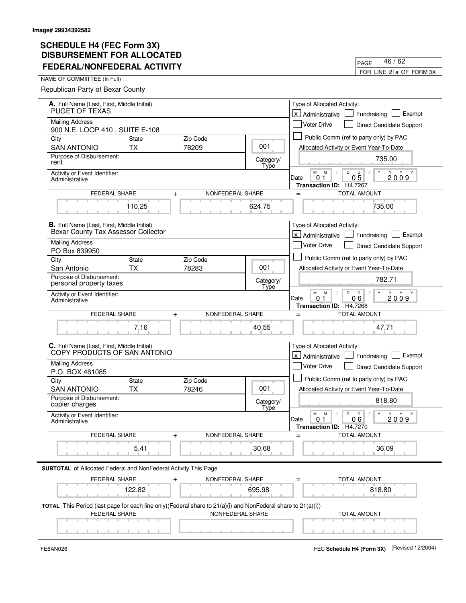| DIJDUNJEMENI I VILALLU<br><b>FEDERAL/NONFEDERAL ACTIVITY</b>                                                                                      |                   | 46 / 62<br>PAGE                                                                                         |
|---------------------------------------------------------------------------------------------------------------------------------------------------|-------------------|---------------------------------------------------------------------------------------------------------|
| NAME OF COMMIITTEE (In Full)                                                                                                                      |                   | FOR LINE 21a OF FORM 3X                                                                                 |
| Republican Party of Bexar County                                                                                                                  |                   |                                                                                                         |
|                                                                                                                                                   |                   |                                                                                                         |
| A. Full Name (Last, First, Middle Initial)<br>PUGET OF TEXAS                                                                                      |                   | Type of Allocated Activity:<br>kJ<br>Exempt<br>Fundraising<br>Administrative                            |
| <b>Mailing Address</b>                                                                                                                            |                   | <b>Voter Drive</b><br>Direct Candidate Support                                                          |
| 900 N.E. LOOP 410, SUITE E-108                                                                                                                    |                   |                                                                                                         |
| Zip Code<br>City<br><b>State</b>                                                                                                                  |                   | Public Comm (ref to party only) by PAC                                                                  |
| 78209<br><b>SAN ANTONIO</b><br>ТX                                                                                                                 | 001               | Allocated Activity or Event Year-To-Date                                                                |
| Purpose of Disbursement:<br>rent                                                                                                                  | Category/<br>Type | 735.00                                                                                                  |
| Activity or Event Identifier:<br>Administrative                                                                                                   |                   | М<br>M<br>D<br>D<br>$0\bar{5}$<br>2009<br>Date<br>0 1<br>Transaction ID: H4.7267                        |
| FEDERAL SHARE<br>NONFEDERAL SHARE<br>$\ddot{}$                                                                                                    |                   | <b>TOTAL AMOUNT</b><br>$=$                                                                              |
| 110.25                                                                                                                                            | 624.75            | 735.00                                                                                                  |
| <b>B.</b> Full Name (Last, First, Middle Initial)<br>Bexar County Tax Assessor Collector                                                          |                   | Type of Allocated Activity:<br><b>X</b> Administrative<br>Exempt<br>Fundraising                         |
| <b>Mailing Address</b>                                                                                                                            |                   | <b>Voter Drive</b><br>Direct Candidate Support                                                          |
| PO Box 839950                                                                                                                                     |                   |                                                                                                         |
| <b>State</b><br>Zip Code<br>City                                                                                                                  |                   | Public Comm (ref to party only) by PAC                                                                  |
| ТX<br>78283<br>San Antonio                                                                                                                        | 001               | Allocated Activity or Event Year-To-Date                                                                |
| Purpose of Disbursement:<br>personal property taxes                                                                                               | Category/<br>Type | 782.71                                                                                                  |
| Activity or Event Identifier:<br>Administrative                                                                                                   |                   | М<br>M<br>D<br>D<br>Y<br>Y<br>06<br>2009<br>0 <sub>1</sub><br>Date<br>H4.7268<br><b>Transaction ID:</b> |
| <b>FEDERAL SHARE</b><br>NONFEDERAL SHARE<br>$\ddot{}$                                                                                             |                   | <b>TOTAL AMOUNT</b><br>$=$                                                                              |
| 7.16                                                                                                                                              | 40.55             | 47.71                                                                                                   |
| C. Full Name (Last, First, Middle Initial)<br>COPY PRODUCTS OF SAN ANTONIO                                                                        |                   | Type of Allocated Activity:<br>X Administrative<br>Exempt<br>Fundraising                                |
| <b>Mailing Address</b><br>P.O. BOX 461085                                                                                                         |                   | Voter Drive<br>Direct Candidate Support                                                                 |
| City<br><b>State</b><br>Zip Code                                                                                                                  |                   | Public Comm (ref to party only) by PAC                                                                  |
| ТX<br>78246<br><b>SAN ANTONIO</b>                                                                                                                 | 001               | Allocated Activity or Event Year-To-Date                                                                |
| Purpose of Disbursement:<br>copier charges                                                                                                        | Category/         | 818.80                                                                                                  |
| Activity or Event Identifier:<br>Administrative                                                                                                   | Type              | М<br>M<br>D<br>D<br>Y<br>Y Y<br>2009<br>Date<br>0.1<br>06<br>Transaction ID: H4.7270                    |
| FEDERAL SHARE<br>NONFEDERAL SHARE<br>$\ddot{}$                                                                                                    |                   | <b>TOTAL AMOUNT</b>                                                                                     |
| 5.41                                                                                                                                              | 30.68             | 36.09                                                                                                   |
|                                                                                                                                                   |                   |                                                                                                         |
| SUBTOTAL of Allocated Federal and NonFederal Activity This Page                                                                                   |                   |                                                                                                         |
| <b>FEDERAL SHARE</b><br>NONFEDERAL SHARE                                                                                                          |                   | TOTAL AMOUNT                                                                                            |
| 122.82                                                                                                                                            | 695.98            | 818.80                                                                                                  |
| TOTAL This Period (last page for each line only)(Federal share to 21(a)(i) and NonFederal share to 21(a)(i))<br>FEDERAL SHARE<br>NONFEDERAL SHARE |                   | <b>TOTAL AMOUNT</b>                                                                                     |
|                                                                                                                                                   |                   |                                                                                                         |

 $\blacksquare$ 

FE6AN026 FEC **Schedule H4 (Form 3X)** (Revised 12/2004)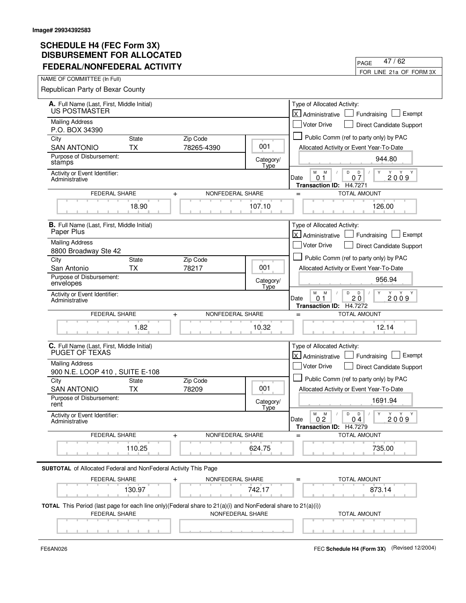| FEDERAL/NONFEDERAL ACTIVITY                                                                                                          |                   | FOR LINE 21a OF FORM 3X                                                                                                    |
|--------------------------------------------------------------------------------------------------------------------------------------|-------------------|----------------------------------------------------------------------------------------------------------------------------|
| NAME OF COMMIITTEE (In Full)                                                                                                         |                   |                                                                                                                            |
| Republican Party of Bexar County                                                                                                     |                   |                                                                                                                            |
| A. Full Name (Last, First, Middle Initial)                                                                                           |                   | Type of Allocated Activity:                                                                                                |
| US POSTMASTER                                                                                                                        |                   | lx.<br>Exempt<br>Fundraising<br>Administrative                                                                             |
| <b>Mailing Address</b><br>P.O. BOX 34390                                                                                             |                   | <b>Voter Drive</b><br>Direct Candidate Support                                                                             |
| <b>State</b><br>Zip Code<br>City                                                                                                     |                   | Public Comm (ref to party only) by PAC                                                                                     |
| 78265-4390<br><b>SAN ANTONIO</b><br><b>TX</b>                                                                                        | 001               | Allocated Activity or Event Year-To-Date                                                                                   |
| Purpose of Disbursement:<br>stamps                                                                                                   | Category/<br>Type | 944.80                                                                                                                     |
| Activity or Event Identifier:<br>Administrative                                                                                      |                   | М<br>M<br>D<br>$0\frac{D}{7}$<br>Y<br>2009<br>0 <sub>1</sub><br>Date<br>H4.7271<br><b>Transaction ID:</b>                  |
| FEDERAL SHARE<br>$\ddot{}$                                                                                                           | NONFEDERAL SHARE  | <b>TOTAL AMOUNT</b><br>$=$                                                                                                 |
| 18.90                                                                                                                                | 107.10            | 126.00                                                                                                                     |
| <b>B.</b> Full Name (Last, First, Middle Initial)<br>Paper Plus                                                                      |                   | Type of Allocated Activity:<br><b>X</b> Administrative<br>Exempt<br>Fundraising                                            |
| <b>Mailing Address</b>                                                                                                               |                   | Voter Drive<br>Direct Candidate Support                                                                                    |
| 8800 Broadway Ste 42                                                                                                                 |                   |                                                                                                                            |
| Zip Code<br>City<br><b>State</b>                                                                                                     |                   | Public Comm (ref to party only) by PAC                                                                                     |
| <b>TX</b><br>78217<br>San Antonio<br>Purpose of Disbursement:                                                                        | 001               | Allocated Activity or Event Year-To-Date                                                                                   |
| envelopes                                                                                                                            | Category/<br>Type | 956.94                                                                                                                     |
| Activity or Event Identifier:<br>Administrative                                                                                      |                   | M<br>M<br>D<br>D<br>Y<br>Y<br>Y<br>Y<br>20<br>Date<br>2009<br>0.1<br>H4.7272<br><b>Transaction ID:</b>                     |
| <b>FEDERAL SHARE</b><br>$\ddot{}$                                                                                                    | NONFEDERAL SHARE  | <b>TOTAL AMOUNT</b><br>$=$                                                                                                 |
| 1.82                                                                                                                                 | 10.32             | 12.14                                                                                                                      |
| C. Full Name (Last, First, Middle Initial)<br>PUGET OF TEXAS                                                                         |                   | Type of Allocated Activity:<br>lx l<br>Exempt<br>Administrative<br>Fundraising                                             |
| <b>Mailing Address</b>                                                                                                               |                   | Voter Drive<br>Direct Candidate Support                                                                                    |
| 900 N.E. LOOP 410, SUITE E-108                                                                                                       |                   |                                                                                                                            |
| City<br>State<br>Zip Code                                                                                                            |                   | Public Comm (ref to party only) by PAC                                                                                     |
| <b>SAN ANTONIO</b><br><b>TX</b><br>78209<br>Purpose of Disbursement:                                                                 | 001               | Allocated Activity or Event Year-To-Date                                                                                   |
| rent                                                                                                                                 | Category/<br>Tyne | 1691.94                                                                                                                    |
| Activity or Event Identifier:<br>Administrative                                                                                      |                   | $\mathsf D$<br>М<br>M<br>D<br>Y<br>Y Y Y<br>$\prime$<br>$\sqrt{2}$<br>Date<br>0.2<br>04<br>2009<br>Transaction ID: H4.7279 |
| FEDERAL SHARE<br>$\ddot{}$                                                                                                           | NONFEDERAL SHARE  | <b>TOTAL AMOUNT</b><br>$=$                                                                                                 |
| 110.25                                                                                                                               | 624.75            | 735.00                                                                                                                     |
|                                                                                                                                      |                   |                                                                                                                            |
| <b>SUBTOTAL</b> of Allocated Federal and NonFederal Activity This Page                                                               |                   |                                                                                                                            |
| FEDERAL SHARE<br>NONFEDERAL SHARE<br>$\ddag$                                                                                         |                   | TOTAL AMOUNT                                                                                                               |
| 130.97                                                                                                                               | 742.17            | 873.14                                                                                                                     |
| TOTAL This Period (last page for each line only)(Federal share to 21(a)(i) and NonFederal share to 21(a)(i))<br><b>FEDERAL SHARE</b> | NONFEDERAL SHARE  | <b>TOTAL AMOUNT</b>                                                                                                        |
|                                                                                                                                      |                   |                                                                                                                            |
|                                                                                                                                      |                   |                                                                                                                            |

 $\overline{\phantom{0}}$ 

PAGE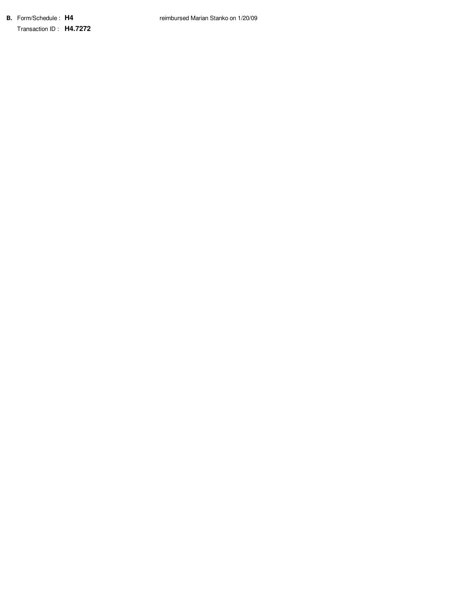**B.** Form/Schedule : **H4** Transaction ID : **H4.7272**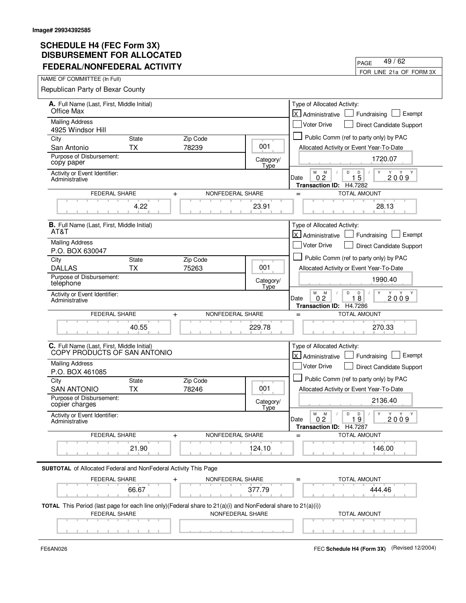| FEDERAL/NONFEDERAL ACTIVITY                                                                                                                        | 49 / 62<br>PAGE         |                                                                                                                |
|----------------------------------------------------------------------------------------------------------------------------------------------------|-------------------------|----------------------------------------------------------------------------------------------------------------|
|                                                                                                                                                    | FOR LINE 21a OF FORM 3X |                                                                                                                |
| NAME OF COMMIITTEE (In Full)                                                                                                                       |                         |                                                                                                                |
| Republican Party of Bexar County                                                                                                                   |                         |                                                                                                                |
| A. Full Name (Last, First, Middle Initial)<br>Office Max                                                                                           |                         | Type of Allocated Activity:<br>lx.<br>Exempt<br>Fundraising<br>Administrative                                  |
| <b>Mailing Address</b>                                                                                                                             |                         | <b>Voter Drive</b><br>Direct Candidate Support                                                                 |
| 4925 Windsor Hill                                                                                                                                  |                         | Public Comm (ref to party only) by PAC                                                                         |
| <b>State</b><br>Zip Code<br>City<br>78239<br><b>TX</b><br>San Antonio                                                                              | 001                     | Allocated Activity or Event Year-To-Date                                                                       |
| Purpose of Disbursement:                                                                                                                           |                         |                                                                                                                |
| copy paper                                                                                                                                         | Category/<br>Type       | 1720.07                                                                                                        |
| Activity or Event Identifier:<br>Administrative                                                                                                    |                         | М<br>M<br>D<br>$1\overline{5}$<br>Y Y<br>0.2<br>2009<br>Date<br>H4.7282<br><b>Transaction ID:</b>              |
| FEDERAL SHARE<br>NONFEDERAL SHARE<br>$\ddot{}$                                                                                                     |                         | <b>TOTAL AMOUNT</b><br>$=$                                                                                     |
| 4.22                                                                                                                                               | 23.91                   | 28.13                                                                                                          |
| <b>B.</b> Full Name (Last, First, Middle Initial)                                                                                                  |                         | Type of Allocated Activity:                                                                                    |
| AT&T                                                                                                                                               |                         | <b>X</b> Administrative<br>Exempt<br>Fundraising                                                               |
| <b>Mailing Address</b><br>P.O. BOX 630047                                                                                                          |                         | <b>Voter Drive</b><br>Direct Candidate Support                                                                 |
| <b>State</b><br>Zip Code<br>City                                                                                                                   |                         | Public Comm (ref to party only) by PAC                                                                         |
| <b>DALLAS</b><br><b>TX</b><br>75263                                                                                                                | 001                     | Allocated Activity or Event Year-To-Date                                                                       |
| Purpose of Disbursement:<br>telephone                                                                                                              | Category/<br>Type       | 1990.40                                                                                                        |
| Activity or Event Identifier:<br>Administrative                                                                                                    |                         | M<br>M<br>D<br>D<br>Υ<br>Y<br>Y Y<br>18<br>Date<br>0 <sub>2</sub><br>2009<br>H4.7286<br><b>Transaction ID:</b> |
| <b>FEDERAL SHARE</b><br>NONFEDERAL SHARE<br>$\ddot{}$                                                                                              |                         | <b>TOTAL AMOUNT</b><br>$=$                                                                                     |
| 40.55                                                                                                                                              | 229.78                  | 270.33                                                                                                         |
| C. Full Name (Last, First, Middle Initial)<br>COPY PRODUCTS OF SAN ANTONIO                                                                         |                         | Type of Allocated Activity:<br>lx l<br>Exempt<br>Administrative<br>Fundraising                                 |
| <b>Mailing Address</b><br>P.O. BOX 461085                                                                                                          |                         | Voter Drive<br>Direct Candidate Support                                                                        |
| City<br><b>State</b><br>Zip Code                                                                                                                   |                         | Public Comm (ref to party only) by PAC                                                                         |
| <b>TX</b><br>78246<br><b>SAN ANTONIO</b>                                                                                                           | 001                     | Allocated Activity or Event Year-To-Date                                                                       |
| Purnose of Disbursement:<br>copier charges                                                                                                         | Category/<br>Type       | 2136.40                                                                                                        |
| Activity or Event Identifier:<br>Administrative                                                                                                    |                         | D<br>М<br>M<br>D<br>Y<br>Y<br>Y Y<br>19<br>0.2<br>2009<br>Date<br><b>Transaction ID:</b><br>H4.7287            |
| NONFEDERAL SHARE<br>FEDERAL SHARE<br>$+$                                                                                                           |                         | <b>TOTAL AMOUNT</b>                                                                                            |
| 21.90                                                                                                                                              | 124.10                  | 146.00                                                                                                         |
| <b>SUBTOTAL</b> of Allocated Federal and NonFederal Activity This Page                                                                             |                         |                                                                                                                |
| FEDERAL SHARE<br>NONFEDERAL SHARE<br>$\ddag$                                                                                                       |                         | TOTAL AMOUNT                                                                                                   |
| 66.67<br>377.79                                                                                                                                    |                         | 444.46                                                                                                         |
| TOTAL This Period (last page for each line only) (Federal share to 21(a)(i) and NonFederal share to 21(a)(i))<br>FEDERAL SHARE<br>NONFEDERAL SHARE |                         | <b>TOTAL AMOUNT</b>                                                                                            |
|                                                                                                                                                    |                         |                                                                                                                |

 $\blacksquare$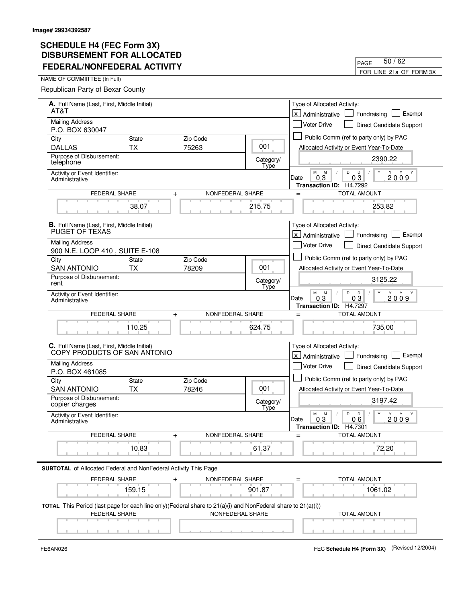| FEDERAL/NONFEDERAL ACTIVITY<br>FOR LINE 21a OF FORM 3X                                                       |                           |                   |                   |                                                                                                          |
|--------------------------------------------------------------------------------------------------------------|---------------------------|-------------------|-------------------|----------------------------------------------------------------------------------------------------------|
| NAME OF COMMIITTEE (In Full)                                                                                 |                           |                   |                   |                                                                                                          |
| Republican Party of Bexar County                                                                             |                           |                   |                   |                                                                                                          |
| A. Full Name (Last, First, Middle Initial)                                                                   |                           |                   |                   | Type of Allocated Activity:                                                                              |
| AT&T                                                                                                         |                           |                   |                   | lx l<br>Exempt<br>Fundraising<br>Administrative                                                          |
| <b>Mailing Address</b>                                                                                       |                           |                   |                   | <b>Voter Drive</b><br>Direct Candidate Support                                                           |
| P.O. BOX 630047<br>City                                                                                      | <b>State</b>              | Zip Code          |                   | Public Comm (ref to party only) by PAC                                                                   |
| <b>DALLAS</b>                                                                                                | <b>TX</b>                 | 75263             | 001               | Allocated Activity or Event Year-To-Date                                                                 |
| Purpose of Disbursement:<br>telephone                                                                        |                           |                   | Category/         | 2390.22                                                                                                  |
| Activity or Event Identifier:<br>Administrative                                                              |                           |                   | Type              | M<br>M<br>D<br>D<br>Y<br>Y Y<br>$0\bar{3}$<br>2009<br>0 <sub>3</sub><br>Date<br>H4.7292                  |
| FEDERAL SHARE                                                                                                | $\ddot{}$                 | NONFEDERAL SHARE  |                   | <b>Transaction ID:</b><br><b>TOTAL AMOUNT</b><br>$=$                                                     |
|                                                                                                              | 38.07                     |                   | 215.75            | 253.82                                                                                                   |
| B. Full Name (Last, First, Middle Initial)<br>PUGET OF TEXAS                                                 |                           |                   |                   | Type of Allocated Activity:<br><b>X</b> Administrative<br>Exempt<br>Fundraising L                        |
| <b>Mailing Address</b>                                                                                       |                           |                   |                   | <b>Voter Drive</b><br>Direct Candidate Support                                                           |
| 900 N.E. LOOP 410, SUITE E-108<br>City                                                                       | <b>State</b>              | Zip Code          |                   | Public Comm (ref to party only) by PAC                                                                   |
| <b>SAN ANTONIO</b>                                                                                           | <b>TX</b>                 | 78209             | 001               | Allocated Activity or Event Year-To-Date                                                                 |
| Purpose of Disbursement:<br>rent                                                                             |                           |                   | Category/<br>Type | 3125.22                                                                                                  |
| Activity or Event Identifier:<br>Administrative                                                              |                           |                   |                   | M<br>M<br>D<br>Y<br>D<br>Y<br>Y<br>Y<br>2009<br>03<br>03<br>Date<br>Transaction ID: H4.7297              |
| FEDERAL SHARE                                                                                                | $\ddot{}$                 | NONFEDERAL SHARE  |                   | <b>TOTAL AMOUNT</b><br>$=$                                                                               |
|                                                                                                              | 110.25                    |                   | 624.75            | 735.00                                                                                                   |
| C. Full Name (Last, First, Middle Initial)<br>COPY PRODUCTS OF SAN ANTONIO                                   |                           |                   |                   | Type of Allocated Activity:<br><b>X</b> Administrative<br>Fundraising   Exempt                           |
| <b>Mailing Address</b>                                                                                       |                           |                   |                   | Voter Drive<br>Direct Candidate Support                                                                  |
| P.O. BOX 461085                                                                                              |                           |                   |                   | Public Comm (ref to party only) by PAC                                                                   |
| City<br><b>SAN ANTONIO</b>                                                                                   | <b>State</b><br><b>TX</b> | Zip Code<br>78246 | 001               | Allocated Activity or Event Year-To-Date                                                                 |
| Purpose of Disbursement:<br>copier charges                                                                   |                           |                   | Category/         | 3197.42                                                                                                  |
| Activity or Event Identifier:<br>Administrative                                                              |                           |                   | Tyne              | М<br>Y<br>Y<br>M<br>D<br>$\mathsf{D}$<br>$\sqrt{2}$<br>Y<br>Y<br>$\sqrt{2}$<br>2009<br>Date<br>0.3<br>06 |
|                                                                                                              |                           |                   |                   | Transaction ID: H4.7301                                                                                  |
| <b>FEDERAL SHARE</b>                                                                                         | $\ddot{}$                 | NONFEDERAL SHARE  |                   | <b>TOTAL AMOUNT</b><br>$=$                                                                               |
|                                                                                                              | 10.83                     |                   | 61.37             | 72.20                                                                                                    |
| <b>SUBTOTAL</b> of Allocated Federal and NonFederal Activity This Page                                       |                           |                   |                   |                                                                                                          |
| FEDERAL SHARE                                                                                                | $\ddot{}$                 | NONFEDERAL SHARE  |                   | TOTAL AMOUNT                                                                                             |
|                                                                                                              | 159.15                    |                   | 901.87            | 1061.02                                                                                                  |
| TOTAL This Period (last page for each line only)(Federal share to 21(a)(i) and NonFederal share to 21(a)(i)) |                           |                   |                   |                                                                                                          |
| FEDERAL SHARE                                                                                                |                           | NONFEDERAL SHARE  |                   | <b>TOTAL AMOUNT</b>                                                                                      |
|                                                                                                              |                           |                   |                   |                                                                                                          |

FE6AN026 FEC **Schedule H4 (Form 3X)** (Revised 12/2004)

PAGE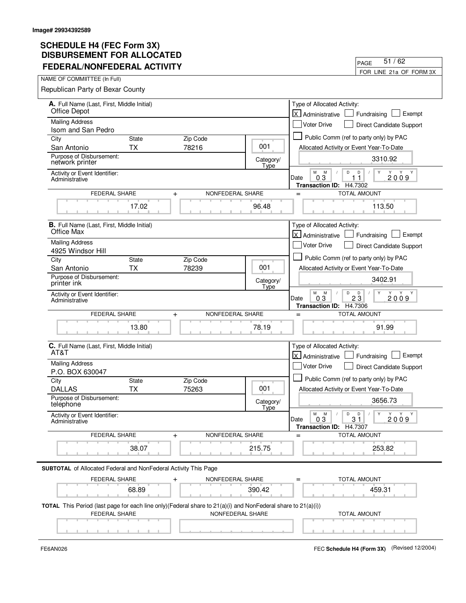| <b>FEDERAL/NONFEDERAL ACTIVITY</b>                                                                                                                        | 51/62<br>PAGE           |                                                                                                  |
|-----------------------------------------------------------------------------------------------------------------------------------------------------------|-------------------------|--------------------------------------------------------------------------------------------------|
|                                                                                                                                                           | FOR LINE 21a OF FORM 3X |                                                                                                  |
| NAME OF COMMIITTEE (In Full)                                                                                                                              |                         |                                                                                                  |
| Republican Party of Bexar County                                                                                                                          |                         |                                                                                                  |
| A. Full Name (Last, First, Middle Initial)<br>Office Depot                                                                                                |                         | Type of Allocated Activity:<br>lx.<br>Exempt<br>Fundraising<br>Administrative                    |
| <b>Mailing Address</b>                                                                                                                                    |                         | Voter Drive<br>Direct Candidate Support                                                          |
| Isom and San Pedro                                                                                                                                        |                         |                                                                                                  |
| City<br>Zip Code<br><b>State</b>                                                                                                                          | 001                     | Public Comm (ref to party only) by PAC                                                           |
| 78216<br>San Antonio<br>ТX<br>Purpose of Disbursement:                                                                                                    |                         | Allocated Activity or Event Year-To-Date                                                         |
| network printer                                                                                                                                           | Category/<br>Type       | 3310.92                                                                                          |
| Activity or Event Identifier:<br>Administrative                                                                                                           |                         | M<br>M<br>D<br>D<br>Y<br>0.3<br>2009<br>Date<br>11<br>H4.7302<br><b>Transaction ID:</b>          |
| <b>FEDERAL SHARE</b><br>NONFEDERAL SHARE<br>$\ddot{}$                                                                                                     |                         | <b>TOTAL AMOUNT</b><br>$=$                                                                       |
| 17.02                                                                                                                                                     | 96.48                   | 113.50                                                                                           |
| <b>B.</b> Full Name (Last, First, Middle Initial)                                                                                                         |                         | Type of Allocated Activity:                                                                      |
| Office Max                                                                                                                                                |                         | X Administrative<br>Exempt<br>Fundraising                                                        |
| <b>Mailing Address</b>                                                                                                                                    |                         | Voter Drive<br>Direct Candidate Support                                                          |
| 4925 Windsor Hill<br>Zip Code<br>City<br><b>State</b>                                                                                                     |                         | Public Comm (ref to party only) by PAC                                                           |
| ТX<br>78239<br>San Antonio                                                                                                                                | 001                     | Allocated Activity or Event Year-To-Date                                                         |
| Purpose of Disbursement:<br>printer ink                                                                                                                   | Category/<br>Type       | 3402.91                                                                                          |
| Activity or Event Identifier:<br>Administrative                                                                                                           |                         | M<br>M<br>D<br>D<br>Y<br>Y<br>Y Y<br>$2\bar{3}$<br>Date<br>03<br>2009<br>Transaction ID: H4.7306 |
| NONFEDERAL SHARE<br>FEDERAL SHARE<br>$\ddot{}$                                                                                                            |                         | <b>TOTAL AMOUNT</b><br>$=$                                                                       |
| 13.80                                                                                                                                                     | 78.19                   | 91.99                                                                                            |
| C. Full Name (Last, First, Middle Initial)<br>AT&T                                                                                                        |                         | Type of Allocated Activity:<br>lx l<br>Exempt<br>Administrative<br>Fundraising                   |
| <b>Mailing Address</b>                                                                                                                                    |                         | Voter Drive<br>Direct Candidate Support                                                          |
| P.O. BOX 630047                                                                                                                                           |                         | Public Comm (ref to party only) by PAC                                                           |
| City<br><b>State</b><br>Zip Code<br><b>DALLAS</b><br><b>TX</b><br>75263                                                                                   | 001                     | Allocated Activity or Event Year-To-Date                                                         |
| Purpose of Disbursement:                                                                                                                                  |                         | 3656.73                                                                                          |
| telephone                                                                                                                                                 | Category/<br>Type       |                                                                                                  |
| Activity or Event Identifier:<br>Administrative                                                                                                           |                         | D<br>М<br>M<br>D<br>Y<br>Y<br>Y<br>Y<br>31<br>0.3<br>2009<br>Date<br>Transaction ID: H4.7307     |
| FEDERAL SHARE<br>NONFEDERAL SHARE<br>$\ddot{}$                                                                                                            |                         | <b>TOTAL AMOUNT</b>                                                                              |
| 38.07                                                                                                                                                     | 215.75                  | 253.82                                                                                           |
| <b>SUBTOTAL</b> of Allocated Federal and NonFederal Activity This Page                                                                                    |                         |                                                                                                  |
| FEDERAL SHARE<br>NONFEDERAL SHARE                                                                                                                         |                         | <b>TOTAL AMOUNT</b>                                                                              |
| 68.89                                                                                                                                                     | 390.42                  | 459.31                                                                                           |
| TOTAL This Period (last page for each line only) (Federal share to 21(a)(i) and NonFederal share to 21(a)(i))<br><b>FEDERAL SHARE</b><br>NONFEDERAL SHARE |                         | <b>TOTAL AMOUNT</b>                                                                              |
|                                                                                                                                                           |                         |                                                                                                  |

 $\blacksquare$ 

FE6AN026 FEC **Schedule H4 (Form 3X)** (Revised 12/2004)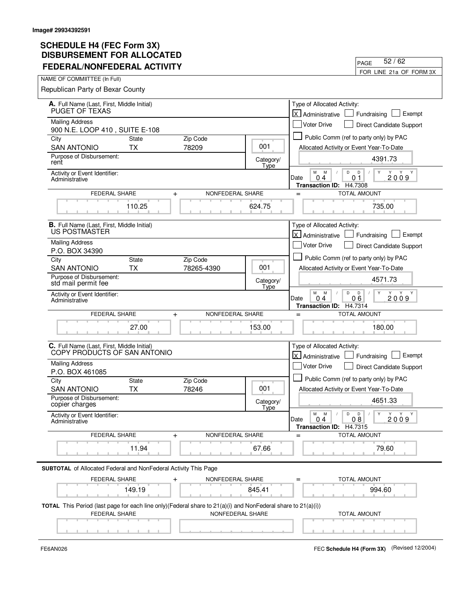| טשבבת ויט ו ואבושבטושט<br><b>FEDERAL/NONFEDERAL ACTIVITY</b>                                                                                      |                         | 52/62<br>PAGE                                                                               |
|---------------------------------------------------------------------------------------------------------------------------------------------------|-------------------------|---------------------------------------------------------------------------------------------|
| NAME OF COMMIITTEE (In Full)                                                                                                                      | FOR LINE 21a OF FORM 3X |                                                                                             |
| Republican Party of Bexar County                                                                                                                  |                         |                                                                                             |
| A. Full Name (Last, First, Middle Initial)                                                                                                        |                         | Type of Allocated Activity:                                                                 |
| PUGET OF TEXAS                                                                                                                                    |                         | للا<br>Exempt<br>Fundraising<br>Administrative                                              |
| <b>Mailing Address</b><br>900 N.E. LOOP 410, SUITE E-108                                                                                          |                         | <b>Voter Drive</b><br>Direct Candidate Support                                              |
| Zip Code<br>City<br><b>State</b>                                                                                                                  |                         | Public Comm (ref to party only) by PAC                                                      |
| 78209<br><b>SAN ANTONIO</b><br>ТX                                                                                                                 | 001                     | Allocated Activity or Event Year-To-Date                                                    |
| Purpose of Disbursement:<br>rent                                                                                                                  | Category/<br>Type       | 4391.73                                                                                     |
| Activity or Event Identifier:<br>Administrative                                                                                                   |                         | М<br>M<br>D<br>D<br>Y Y Y<br>2009<br>01<br>Date<br>04<br>Transaction ID: H4.7308            |
| FEDERAL SHARE<br>NONFEDERAL SHARE<br>$\ddot{}$                                                                                                    |                         | <b>TOTAL AMOUNT</b><br>$=$                                                                  |
| 110.25                                                                                                                                            | 624.75                  | 735.00                                                                                      |
| <b>B.</b> Full Name (Last, First, Middle Initial)<br>US POSTMASTER                                                                                |                         | Type of Allocated Activity:<br><b>X</b> Administrative<br>Exempt<br>Fundraising             |
| <b>Mailing Address</b>                                                                                                                            |                         | <b>Voter Drive</b><br>Direct Candidate Support                                              |
| P.O. BOX 34390                                                                                                                                    |                         |                                                                                             |
| <b>State</b><br>Zip Code<br>City                                                                                                                  | 001                     | Public Comm (ref to party only) by PAC                                                      |
| <b>SAN ANTONIO</b><br>ТX<br>78265-4390<br>Purpose of Disbursement:                                                                                |                         | Allocated Activity or Event Year-To-Date                                                    |
| std mail permit fee                                                                                                                               | Category/<br>Type       | 4571.73                                                                                     |
| Activity or Event Identifier:<br>Administrative                                                                                                   |                         | М<br>D<br>M<br>D<br>Y<br>Y<br>06<br>2009<br>04<br>Date<br>H4.7314<br><b>Transaction ID:</b> |
| NONFEDERAL SHARE<br><b>FEDERAL SHARE</b><br>$\ddot{}$                                                                                             |                         | <b>TOTAL AMOUNT</b><br>$=$                                                                  |
| 27.00                                                                                                                                             | 153.00                  | 180.00                                                                                      |
| C. Full Name (Last, First, Middle Initial)<br>COPY PRODUCTS OF SAN ANTONIO                                                                        |                         | Type of Allocated Activity:<br>X Administrative<br>Exempt<br>Fundraising                    |
| <b>Mailing Address</b><br>P.O. BOX 461085                                                                                                         |                         | Voter Drive<br>Direct Candidate Support                                                     |
| City<br><b>State</b><br>Zip Code                                                                                                                  |                         | Public Comm (ref to party only) by PAC                                                      |
| ТX<br>78246<br><b>SAN ANTONIO</b>                                                                                                                 | 001                     | Allocated Activity or Event Year-To-Date                                                    |
| Purpose of Disbursement:<br>copier charges                                                                                                        | Category/<br>Type       | 4651.33                                                                                     |
| Activity or Event Identifier:<br>Administrative                                                                                                   |                         | М<br>M<br>D<br>D<br>Y<br>Y Y<br>2009<br>Date<br>0.4<br>08<br>Transaction ID: H4.7315        |
| FEDERAL SHARE<br>NONFEDERAL SHARE<br>$\ddot{}$                                                                                                    |                         | <b>TOTAL AMOUNT</b>                                                                         |
| 11.94                                                                                                                                             | 67.66                   | 79.60                                                                                       |
| SUBTOTAL of Allocated Federal and NonFederal Activity This Page                                                                                   |                         |                                                                                             |
| <b>FEDERAL SHARE</b><br>NONFEDERAL SHARE                                                                                                          |                         | TOTAL AMOUNT                                                                                |
| 149.19                                                                                                                                            | 845.41                  | 994.60                                                                                      |
| TOTAL This Period (last page for each line only)(Federal share to 21(a)(i) and NonFederal share to 21(a)(i))<br>FEDERAL SHARE<br>NONFEDERAL SHARE |                         | <b>TOTAL AMOUNT</b>                                                                         |
|                                                                                                                                                   |                         |                                                                                             |

 $\blacksquare$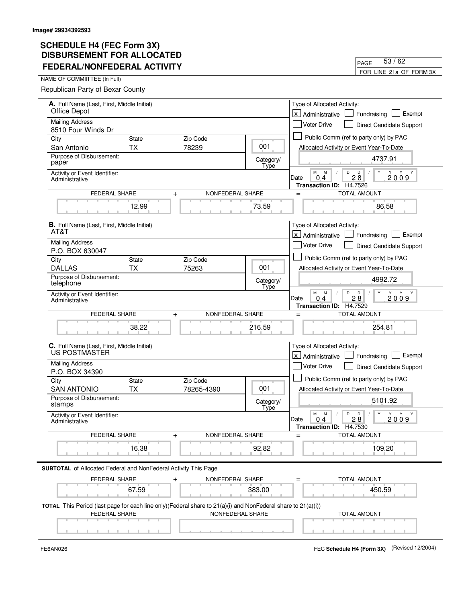| PIJDUIJEMENI I VII ALLUU<br><b>FEDERAL/NONFEDERAL ACTIVITY</b>                                                                                               |                          | 53/62<br>PAGE                                                                                       |
|--------------------------------------------------------------------------------------------------------------------------------------------------------------|--------------------------|-----------------------------------------------------------------------------------------------------|
| NAME OF COMMIITTEE (In Full)                                                                                                                                 |                          | FOR LINE 21a OF FORM 3X                                                                             |
| Republican Party of Bexar County                                                                                                                             |                          |                                                                                                     |
| A. Full Name (Last, First, Middle Initial)                                                                                                                   |                          | Type of Allocated Activity:                                                                         |
| Office Depot                                                                                                                                                 |                          | Exempt<br>$\mathsf{\times}$<br>Fundraising<br>Administrative                                        |
| <b>Mailing Address</b><br>8510 Four Winds Dr                                                                                                                 |                          | <b>Voter Drive</b><br>Direct Candidate Support                                                      |
| City<br>Zip Code<br><b>State</b>                                                                                                                             |                          | Public Comm (ref to party only) by PAC                                                              |
| <b>TX</b><br>78239<br>San Antonio                                                                                                                            | 001                      | Allocated Activity or Event Year-To-Date                                                            |
| Purpose of Disbursement:<br>paper                                                                                                                            | Category/<br>Type        | 4737.91                                                                                             |
| Activity or Event Identifier:<br>Administrative                                                                                                              |                          | М<br>M<br>D<br>Y<br>D<br>2009<br>$2\bar{8}$<br>Date<br>04<br>H4.7526<br><b>Transaction ID:</b>      |
| FEDERAL SHARE<br>NONFEDERAL SHARE<br>$\ddot{}$                                                                                                               |                          | TOTAL AMOUNT<br>$=$                                                                                 |
| 12.99                                                                                                                                                        | 73.59                    | 86.58                                                                                               |
| <b>B.</b> Full Name (Last, First, Middle Initial)<br>AT&T                                                                                                    |                          | Type of Allocated Activity:                                                                         |
| <b>Mailing Address</b>                                                                                                                                       |                          | <b>X</b> Administrative<br>Exempt<br>Fundraising                                                    |
| P.O. BOX 630047                                                                                                                                              |                          | <b>Voter Drive</b><br><b>Direct Candidate Support</b>                                               |
| <b>State</b><br>Zip Code<br>City                                                                                                                             |                          | Public Comm (ref to party only) by PAC                                                              |
| <b>TX</b><br>75263<br><b>DALLAS</b>                                                                                                                          | 001                      | Allocated Activity or Event Year-To-Date                                                            |
| Purpose of Disbursement:<br>telephone                                                                                                                        | Category/<br><b>Type</b> | 4992.72                                                                                             |
| Activity or Event Identifier:<br>Administrative                                                                                                              |                          | М<br>D<br>M<br>D<br>Y<br>Y<br>28<br>2009<br>04<br>Date<br>H4.7529<br><b>Transaction ID:</b>         |
| NONFEDERAL SHARE<br>FEDERAL SHARE<br>$\ddot{}$                                                                                                               |                          | <b>TOTAL AMOUNT</b><br>$=$                                                                          |
| 38.22                                                                                                                                                        | 216.59                   | 254.81                                                                                              |
| C. Full Name (Last, First, Middle Initial)<br>US POSTMASTER                                                                                                  |                          | Type of Allocated Activity:<br>lx I<br>Exempt<br>Administrative<br>Fundraising                      |
| <b>Mailing Address</b><br>P.O. BOX 34390                                                                                                                     |                          | <b>Voter Drive</b><br>Direct Candidate Support                                                      |
| City<br><b>State</b><br>Zip Code                                                                                                                             |                          | Public Comm (ref to party only) by PAC                                                              |
| <b>TX</b><br>78265-4390<br><b>SAN ANTONIO</b>                                                                                                                | 001                      | Allocated Activity or Event Year-To-Date                                                            |
| Purpose of Disbursement:<br>stamps                                                                                                                           | Category/<br>Type        | 5101.92                                                                                             |
| Activity or Event Identifier:<br>Administrative                                                                                                              |                          | М<br>M<br>D<br>Y<br>D<br>Y<br>Y Y<br>28<br>2009<br>Date<br>0.4<br><b>Transaction ID:</b><br>H4.7530 |
| FEDERAL SHARE<br>NONFEDERAL SHARE<br>$\ddot{}$                                                                                                               |                          | <b>TOTAL AMOUNT</b><br>$=$                                                                          |
| 16.38                                                                                                                                                        | 92.82                    | 109.20                                                                                              |
| SUBTOTAL of Allocated Federal and NonFederal Activity This Page                                                                                              |                          |                                                                                                     |
| FEDERAL SHARE<br>NONFEDERAL SHARE                                                                                                                            |                          | TOTAL AMOUNT                                                                                        |
| 67.59                                                                                                                                                        | 383.00                   | 450.59                                                                                              |
| <b>TOTAL</b> This Period (last page for each line only)(Federal share to $21(a)(i)$ and NonFederal share to $21(a)(i))$<br>FEDERAL SHARE<br>NONFEDERAL SHARE |                          | TOTAL AMOUNT                                                                                        |
|                                                                                                                                                              |                          |                                                                                                     |

 $\blacksquare$ 

FE6AN026 FEC **Schedule H4 (Form 3X)** (Revised 12/2004)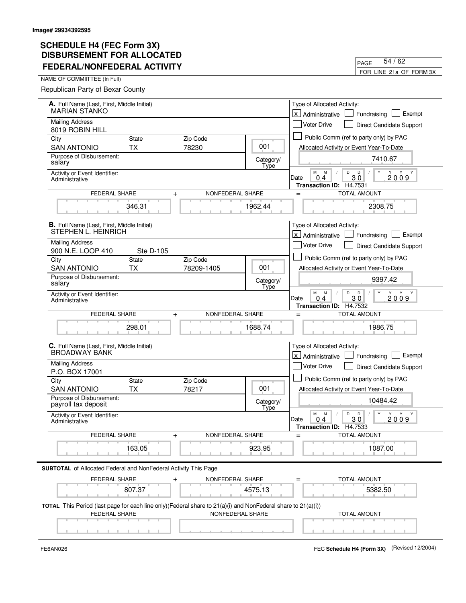| FEDERAL/NONFEDERAL AGTIVILI                                                                                  |                   | FOR LINE 21a OF FORM 3X                                                                                           |
|--------------------------------------------------------------------------------------------------------------|-------------------|-------------------------------------------------------------------------------------------------------------------|
| NAME OF COMMIITTEE (In Full)                                                                                 |                   |                                                                                                                   |
| Republican Party of Bexar County                                                                             |                   |                                                                                                                   |
| A. Full Name (Last, First, Middle Initial)                                                                   |                   | Type of Allocated Activity:                                                                                       |
| <b>MARIAN STANKO</b>                                                                                         |                   | $\mathsf{X}$<br>Exempt<br>Administrative<br>Fundraising                                                           |
| <b>Mailing Address</b><br>8019 ROBIN HILL                                                                    |                   | <b>Voter Drive</b><br>Direct Candidate Support                                                                    |
| City<br><b>State</b><br>Zip Code                                                                             |                   | Public Comm (ref to party only) by PAC                                                                            |
| 78230<br><b>SAN ANTONIO</b><br><b>TX</b>                                                                     | 001               | Allocated Activity or Event Year-To-Date                                                                          |
| Purpose of Disbursement:<br>salary                                                                           | Category/<br>Type | 7410.67                                                                                                           |
| Activity or Event Identifier:<br>Administrative                                                              |                   | M<br>${\sf M}$<br>D<br>D<br>Y<br>Υ<br>Y<br>Y<br>30<br>2009<br>0.4<br>Date<br><b>Transaction ID:</b><br>H4.7531    |
| FEDERAL SHARE<br>$\ddot{}$                                                                                   | NONFEDERAL SHARE  | <b>TOTAL AMOUNT</b><br>$=$                                                                                        |
| 346.31                                                                                                       | 1962.44           | 2308.75                                                                                                           |
| B. Full Name (Last, First, Middle Initial)<br>STEPHEN L. HEINRICH                                            |                   | Type of Allocated Activity:                                                                                       |
| <b>Mailing Address</b>                                                                                       |                   | kJ<br>Exempt<br>Administrative<br>Fundraising                                                                     |
| 900 N.E. LOOP 410<br>Ste D-105                                                                               |                   | <b>Voter Drive</b><br>Direct Candidate Support                                                                    |
| City<br><b>State</b><br>Zip Code                                                                             |                   | Public Comm (ref to party only) by PAC                                                                            |
| <b>TX</b><br><b>SAN ANTONIO</b><br>78209-1405                                                                | 001               | Allocated Activity or Event Year-To-Date                                                                          |
| Purpose of Disbursement:<br>salary                                                                           | Category/<br>Type | 9397.42                                                                                                           |
| Activity or Event Identifier:<br>Administrative                                                              |                   | М<br>M<br>D<br>Y<br>D<br>Y Y Y<br>$3\overline{0}$<br>2009<br>Date<br>04<br>Transaction ID: H4.7532                |
| FEDERAL SHARE<br>$\ddag$                                                                                     | NONFEDERAL SHARE  | <b>TOTAL AMOUNT</b><br>$=$                                                                                        |
| 298.01                                                                                                       | 1688.74           | 1986.75                                                                                                           |
| C. Full Name (Last, First, Middle Initial)<br><b>BROADWAY BANK</b>                                           |                   | Type of Allocated Activity:<br><b>X</b> Administrative<br>Exempt<br>Fundraising                                   |
| <b>Mailing Address</b>                                                                                       |                   | Voter Drive                                                                                                       |
| P.O. BOX 17001                                                                                               |                   | Direct Candidate Support                                                                                          |
| City<br><b>State</b><br>Zip Code                                                                             |                   | Public Comm (ref to party only) by PAC                                                                            |
| <b>SAN ANTONIO</b><br><b>TX</b><br>78217                                                                     | 001               | Allocated Activity or Event Year-To-Date                                                                          |
| Purpose of Disbursement:<br>payroll tax deposit                                                              | Category/<br>Type | 10484.42                                                                                                          |
| Activity or Event Identifier:<br>Administrative                                                              |                   | М<br>M<br>$\mathsf D$<br>D<br>Y<br>Y Y<br>Y<br>$\sqrt{2}$<br>30<br>Date<br>0.4<br>2009<br>Transaction ID: H4.7533 |
| FEDERAL SHARE<br>$\ddag$                                                                                     | NONFEDERAL SHARE  | <b>TOTAL AMOUNT</b>                                                                                               |
|                                                                                                              |                   |                                                                                                                   |
| 163.05                                                                                                       | 923.95            | 1087.00                                                                                                           |
| <b>SUBTOTAL</b> of Allocated Federal and NonFederal Activity This Page                                       |                   |                                                                                                                   |
| FEDERAL SHARE                                                                                                | NONFEDERAL SHARE  | <b>TOTAL AMOUNT</b>                                                                                               |
| 807.37                                                                                                       | 4575.13           | 5382.50                                                                                                           |
| TOTAL This Period (last page for each line only)(Federal share to 21(a)(i) and NonFederal share to 21(a)(i)) |                   |                                                                                                                   |
| FEDERAL SHARE                                                                                                | NONFEDERAL SHARE  | <b>TOTAL AMOUNT</b>                                                                                               |
|                                                                                                              |                   |                                                                                                                   |

 $\blacksquare$ 

FE6AN026 FEC **Schedule H4 (Form 3X)** (Revised 12/2004)

PAGE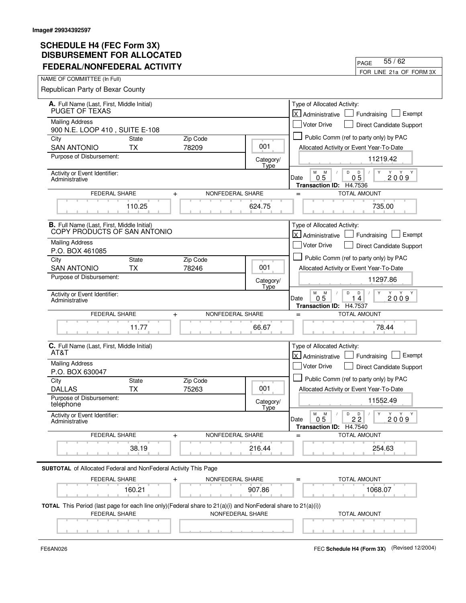| טשבבת ויט ו ואבושבטושט<br><b>FEDERAL/NONFEDERAL ACTIVITY</b>                                                                                      |                          | 55/62<br>PAGE                                                                                              |
|---------------------------------------------------------------------------------------------------------------------------------------------------|--------------------------|------------------------------------------------------------------------------------------------------------|
| NAME OF COMMIITTEE (In Full)                                                                                                                      | FOR LINE 21a OF FORM 3X  |                                                                                                            |
| Republican Party of Bexar County                                                                                                                  |                          |                                                                                                            |
| A. Full Name (Last, First, Middle Initial)                                                                                                        |                          | Type of Allocated Activity:                                                                                |
| PUGET OF TEXAS                                                                                                                                    |                          | $\mathsf{\times}$<br>Exempt<br>Fundraising<br>Administrative                                               |
| <b>Mailing Address</b><br>900 N.E. LOOP 410, SUITE E-108                                                                                          |                          | <b>Voter Drive</b><br>Direct Candidate Support                                                             |
| Zip Code<br>City<br>State                                                                                                                         |                          | Public Comm (ref to party only) by PAC                                                                     |
| 78209<br><b>SAN ANTONIO</b><br><b>TX</b>                                                                                                          | 001                      | Allocated Activity or Event Year-To-Date                                                                   |
| Purpose of Disbursement:                                                                                                                          | Category/<br>Type        | 11219.42                                                                                                   |
| Activity or Event Identifier:<br>Administrative                                                                                                   |                          | М<br>M<br>D<br>Y<br>D<br>2009<br>$0\bar{5}$<br>0 <sub>5</sub><br>Date<br>H4.7536<br><b>Transaction ID:</b> |
| FEDERAL SHARE<br>NONFEDERAL SHARE<br>$\ddot{}$                                                                                                    |                          | <b>TOTAL AMOUNT</b><br>$=$                                                                                 |
| 110.25                                                                                                                                            | 624.75                   | 735.00                                                                                                     |
| <b>B.</b> Full Name (Last, First, Middle Initial)<br>COPY PRODUCTS OF SAN ANTONIO                                                                 |                          | Type of Allocated Activity:<br><b>X</b> Administrative<br>Exempt<br>Fundraising                            |
| <b>Mailing Address</b>                                                                                                                            |                          | <b>Voter Drive</b><br>Direct Candidate Support                                                             |
| P.O. BOX 461085<br><b>State</b><br>Zip Code<br>City                                                                                               |                          | Public Comm (ref to party only) by PAC                                                                     |
| <b>TX</b><br><b>SAN ANTONIO</b><br>78246                                                                                                          | 001                      | Allocated Activity or Event Year-To-Date                                                                   |
| Purpose of Disbursement:                                                                                                                          | Category/<br><b>Type</b> | 11297.86                                                                                                   |
| Activity or Event Identifier:<br>Administrative                                                                                                   |                          | М<br>M<br>D<br>D<br>Y<br>Y<br>0.5<br>2009<br>14<br>Date<br>H4.7537<br><b>Transaction ID:</b>               |
| NONFEDERAL SHARE<br>FEDERAL SHARE<br>$\ddot{}$                                                                                                    |                          | <b>TOTAL AMOUNT</b><br>$=$                                                                                 |
| 11.77                                                                                                                                             | 66.67                    | 78.44                                                                                                      |
| C. Full Name (Last, First, Middle Initial)<br>AT&T                                                                                                |                          | Type of Allocated Activity:<br>lx I<br>Exempt<br>Administrative<br>Fundraising                             |
| <b>Mailing Address</b><br>P.O. BOX 630047                                                                                                         |                          | <b>Voter Drive</b><br>Direct Candidate Support                                                             |
| City<br><b>State</b><br>Zip Code                                                                                                                  |                          | Public Comm (ref to party only) by PAC                                                                     |
| <b>TX</b><br>75263<br><b>DALLAS</b>                                                                                                               | 001                      | Allocated Activity or Event Year-To-Date                                                                   |
| Purpose of Disbursement:<br>telephone                                                                                                             | Category/<br>Type        | 11552.49                                                                                                   |
| Activity or Event Identifier:<br>Administrative                                                                                                   |                          | М<br>M<br>D<br>Y<br>$\Box$<br>Υ<br>Y Y<br>22<br>0.5<br>2009<br>Date<br><b>Transaction ID:</b><br>H4.7540   |
| FEDERAL SHARE<br>NONFEDERAL SHARE<br>$\ddot{}$                                                                                                    |                          | <b>TOTAL AMOUNT</b><br>$=$                                                                                 |
| 38.19                                                                                                                                             | 216.44                   | 254.63                                                                                                     |
| SUBTOTAL of Allocated Federal and NonFederal Activity This Page                                                                                   |                          |                                                                                                            |
| FEDERAL SHARE<br>NONFEDERAL SHARE                                                                                                                 |                          | TOTAL AMOUNT                                                                                               |
| 160.21                                                                                                                                            | 907.86                   | 1068.07                                                                                                    |
| TOTAL This Period (last page for each line only)(Federal share to 21(a)(i) and NonFederal share to 21(a)(i))<br>FEDERAL SHARE<br>NONFEDERAL SHARE |                          | TOTAL AMOUNT                                                                                               |
|                                                                                                                                                   |                          |                                                                                                            |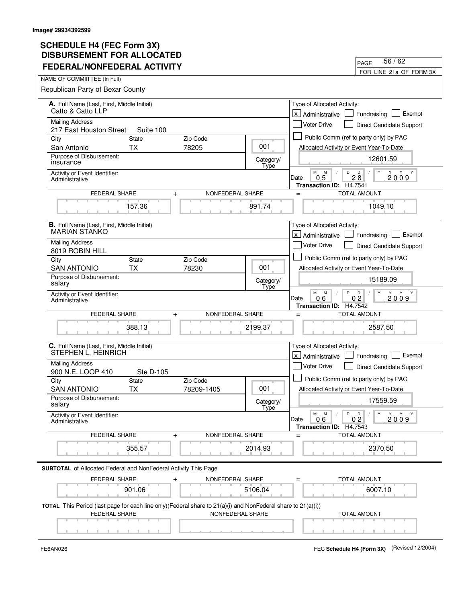|                                                                                                                                  | 56/62<br>PAGE                                                                                      |
|----------------------------------------------------------------------------------------------------------------------------------|----------------------------------------------------------------------------------------------------|
|                                                                                                                                  | FOR LINE 21a OF FORM 3X                                                                            |
|                                                                                                                                  |                                                                                                    |
|                                                                                                                                  |                                                                                                    |
|                                                                                                                                  | Type of Allocated Activity:                                                                        |
|                                                                                                                                  | <b>X</b> Administrative<br>Exempt<br>Fundraising                                                   |
|                                                                                                                                  | <b>Voter Drive</b><br>Direct Candidate Support                                                     |
|                                                                                                                                  | Public Comm (ref to party only) by PAC                                                             |
|                                                                                                                                  | Allocated Activity or Event Year-To-Date                                                           |
| Category/                                                                                                                        | 12601.59                                                                                           |
|                                                                                                                                  | M<br>Y<br>M<br>D<br>D<br>2009<br>0 <sub>5</sub><br>$2\bar{8}$<br>Date<br>Transaction ID: H4.7541   |
| NONFEDERAL SHARE                                                                                                                 | <b>TOTAL AMOUNT</b><br>$=$                                                                         |
| 891.74                                                                                                                           | 1049.10                                                                                            |
|                                                                                                                                  | Type of Allocated Activity:                                                                        |
|                                                                                                                                  | X Administrative<br>Exempt<br>Fundraising                                                          |
|                                                                                                                                  | <b>Voter Drive</b><br><b>Direct Candidate Support</b>                                              |
|                                                                                                                                  | Public Comm (ref to party only) by PAC                                                             |
| 001                                                                                                                              | Allocated Activity or Event Year-To-Date                                                           |
| Category/                                                                                                                        | 15189.09                                                                                           |
|                                                                                                                                  | M<br>D<br>Y<br>M<br>D<br>Y<br>0.6<br>2009<br>0 <sub>2</sub><br>Date<br>Transaction ID: H4.7542     |
| NONFEDERAL SHARE<br>FEDERAL SHARE<br>$\ddot{}$                                                                                   |                                                                                                    |
| 2199.37                                                                                                                          | 2587.50                                                                                            |
| C. Full Name (Last, First, Middle Initial)<br>STEPHEN L. HEINRICH                                                                |                                                                                                    |
| <b>Mailing Address</b>                                                                                                           |                                                                                                    |
|                                                                                                                                  | <b>Voter Drive</b><br>Direct Candidate Support                                                     |
|                                                                                                                                  | Public Comm (ref to party only) by PAC                                                             |
|                                                                                                                                  | Allocated Activity or Event Year-To-Date                                                           |
| <b>Type</b>                                                                                                                      | 17559.59                                                                                           |
|                                                                                                                                  | Y<br>M<br>M<br>D<br>D<br>Y Y Y<br>2009<br>0.6<br>Date<br>0 <sub>2</sub><br>Transaction ID: H4.7543 |
| NONFEDERAL SHARE                                                                                                                 | <b>TOTAL AMOUNT</b><br>$=$                                                                         |
| 2014.93                                                                                                                          | 2370.50                                                                                            |
|                                                                                                                                  |                                                                                                    |
|                                                                                                                                  |                                                                                                    |
|                                                                                                                                  |                                                                                                    |
| NONFEDERAL SHARE<br>5106.04                                                                                                      | <b>TOTAL AMOUNT</b><br>6007.10                                                                     |
| TOTAL This Period (last page for each line only)(Federal share to 21(a)(i) and NonFederal share to 21(a)(i))<br>NONFEDERAL SHARE | TOTAL AMOUNT                                                                                       |
|                                                                                                                                  | 001<br>Type<br>Type<br>001<br>Category/                                                            |

FE6AN026 FEC **Schedule H4 (Form 3X)** (Revised 12/2004)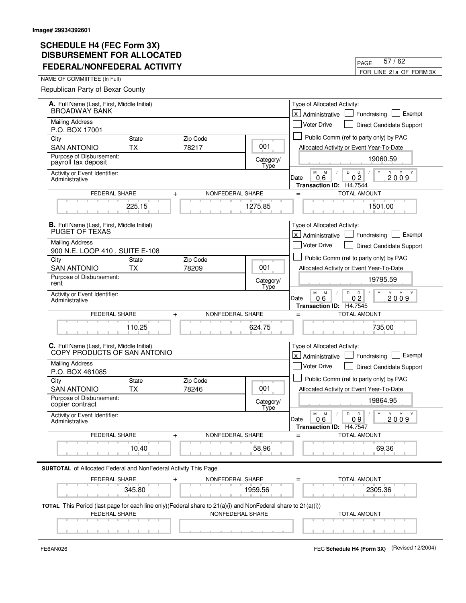| FEDERAL/NONFEDERAL ACTIVITY                                                                                                          |                   | FOR LINE 21a OF FORM 3X                                                                           |
|--------------------------------------------------------------------------------------------------------------------------------------|-------------------|---------------------------------------------------------------------------------------------------|
| NAME OF COMMIITTEE (In Full)                                                                                                         |                   |                                                                                                   |
| Republican Party of Bexar County                                                                                                     |                   |                                                                                                   |
| A. Full Name (Last, First, Middle Initial)                                                                                           |                   | Type of Allocated Activity:                                                                       |
| <b>BROADWAY BANK</b>                                                                                                                 |                   | lx.<br>Exempt<br>Fundraising<br>Administrative                                                    |
| <b>Mailing Address</b><br>P.O. BOX 17001                                                                                             |                   | <b>Voter Drive</b><br>Direct Candidate Support                                                    |
| City<br><b>State</b><br>Zip Code                                                                                                     |                   | Public Comm (ref to party only) by PAC                                                            |
| 78217<br><b>SAN ANTONIO</b><br><b>TX</b>                                                                                             | 001               | Allocated Activity or Event Year-To-Date                                                          |
| Purpose of Disbursement:<br>payroll tax deposit                                                                                      | Category/<br>Type | 19060.59                                                                                          |
| Activity or Event Identifier:<br>Administrative                                                                                      |                   | M<br>M<br>D<br>D<br>Y<br>$0\bar{2}$<br>06<br>2009<br>Date<br><b>Transaction ID:</b><br>H4.7544    |
| FEDERAL SHARE<br>$+$                                                                                                                 | NONFEDERAL SHARE  | <b>TOTAL AMOUNT</b><br>$=$                                                                        |
| 225.15                                                                                                                               | 1275.85           | 1501.00                                                                                           |
| <b>B.</b> Full Name (Last, First, Middle Initial)<br>PUGET OF TEXAS                                                                  |                   | Type of Allocated Activity:<br>للا<br>Exempt<br>Administrative<br>Fundraising                     |
| <b>Mailing Address</b><br>900 N.E. LOOP 410, SUITE E-108                                                                             |                   | <b>Voter Drive</b><br>Direct Candidate Support                                                    |
| City<br>Zip Code<br><b>State</b>                                                                                                     |                   | Public Comm (ref to party only) by PAC                                                            |
| <b>SAN ANTONIO</b><br><b>TX</b><br>78209                                                                                             | 001               | Allocated Activity or Event Year-To-Date                                                          |
| Purpose of Disbursement:<br>rent                                                                                                     | Category/<br>Type | 19795.59                                                                                          |
| Activity or Event Identifier:<br>Administrative                                                                                      |                   | M<br>M<br>D<br>D<br>Y<br>Y Y Y<br>0 <sub>2</sub><br>2009<br>Date<br>06<br>Transaction ID: H4.7545 |
| <b>FEDERAL SHARE</b><br>$\ddot{}$                                                                                                    | NONFEDERAL SHARE  | <b>TOTAL AMOUNT</b><br>$=$                                                                        |
| 110.25                                                                                                                               | 624.75            | 735.00                                                                                            |
| C. Full Name (Last, First, Middle Initial)<br>COPY PRODUCTS OF SAN ANTONIO                                                           |                   | Type of Allocated Activity:<br>lx l<br>Exempt<br>Administrative<br>Fundraising                    |
| <b>Mailing Address</b>                                                                                                               |                   | <b>Voter Drive</b><br>Direct Candidate Support                                                    |
| P.O. BOX 461085                                                                                                                      |                   | Public Comm (ref to party only) by PAC                                                            |
| City<br><b>State</b><br>Zip Code<br><b>SAN ANTONIO</b><br>78246<br><b>TX</b>                                                         | 001               | Allocated Activity or Event Year-To-Date                                                          |
| Purpose of Disbursement:<br>copier contract                                                                                          | Category/         | 19864.95                                                                                          |
| Activity or Event Identifier:<br>Administrative                                                                                      | Type              | М<br>M<br>D<br>D<br>Y<br>Y Y<br>Y<br>$\sqrt{2}$<br>2009<br>Date<br>0.6<br>09                      |
| <b>FEDERAL SHARE</b><br>$\ddot{}$                                                                                                    | NONFEDERAL SHARE  | Transaction ID: H4.7547<br><b>TOTAL AMOUNT</b><br>$=$                                             |
|                                                                                                                                      |                   |                                                                                                   |
| 10.40                                                                                                                                | 58.96             | 69.36                                                                                             |
| <b>SUBTOTAL</b> of Allocated Federal and NonFederal Activity This Page                                                               |                   |                                                                                                   |
| FEDERAL SHARE                                                                                                                        | NONFEDERAL SHARE  | TOTAL AMOUNT                                                                                      |
| 345.80                                                                                                                               | 1959.56           | 2305.36                                                                                           |
| TOTAL This Period (last page for each line only)(Federal share to 21(a)(i) and NonFederal share to 21(a)(i))<br><b>FEDERAL SHARE</b> | NONFEDERAL SHARE  | <b>TOTAL AMOUNT</b>                                                                               |
|                                                                                                                                      |                   |                                                                                                   |
|                                                                                                                                      |                   |                                                                                                   |

FE6AN026 FEC **Schedule H4 (Form 3X)** (Revised 12/2004)

PAGE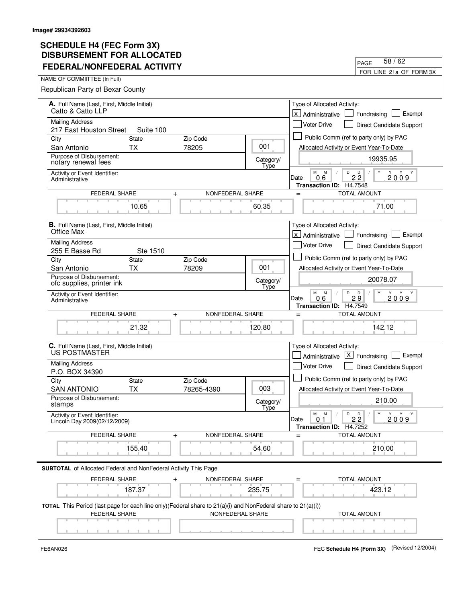| <b>FEDERAL/NONFEDERAL ACTIVITY</b>                                                                                      | 58/62<br>PAGE            |                                                                                                            |
|-------------------------------------------------------------------------------------------------------------------------|--------------------------|------------------------------------------------------------------------------------------------------------|
|                                                                                                                         | FOR LINE 21a OF FORM 3X  |                                                                                                            |
| NAME OF COMMIITTEE (In Full)                                                                                            |                          |                                                                                                            |
| Republican Party of Bexar County                                                                                        |                          |                                                                                                            |
| A. Full Name (Last, First, Middle Initial)<br>Catto & Catto LLP                                                         |                          |                                                                                                            |
| <b>Mailing Address</b>                                                                                                  |                          | lx.<br>Exempt<br>Fundraising<br>Administrative                                                             |
| 217 East Houston Street<br>Suite 100                                                                                    |                          | <b>Voter Drive</b><br>Direct Candidate Support                                                             |
| <b>State</b><br>Zip Code<br>City                                                                                        |                          | Public Comm (ref to party only) by PAC                                                                     |
| 78205<br>San Antonio<br><b>TX</b>                                                                                       | 001                      | Allocated Activity or Event Year-To-Date                                                                   |
| Purpose of Disbursement:<br>notary renewal fees                                                                         | Category/<br>Type        | 19935.95                                                                                                   |
| Activity or Event Identifier:<br>Administrative                                                                         |                          | M<br>M<br>D<br>$2\overset{D}{2}$<br>Y Y<br>0.6<br>2009<br>Date<br><b>Transaction ID:</b><br>H4.7548        |
| <b>FEDERAL SHARE</b><br>NONFEDERAL SHARE<br>$\ddot{}$                                                                   |                          | <b>TOTAL AMOUNT</b><br>$=$                                                                                 |
| 10.65                                                                                                                   | 60.35                    | 71.00                                                                                                      |
| <b>B.</b> Full Name (Last, First, Middle Initial)<br>Office Max                                                         |                          | Type of Allocated Activity:                                                                                |
| <b>Mailing Address</b>                                                                                                  |                          | lx l<br>Exempt<br>Administrative<br>Fundraising                                                            |
| 255 E Basse Rd<br>Ste 1510                                                                                              |                          | <b>Voter Drive</b><br>Direct Candidate Support                                                             |
| Zip Code<br>City<br><b>State</b>                                                                                        |                          | Public Comm (ref to party only) by PAC                                                                     |
| <b>TX</b><br>78209<br>San Antonio                                                                                       | 001                      | Allocated Activity or Event Year-To-Date                                                                   |
| Purpose of Disbursement:<br>ofc supplies, printer ink                                                                   | Category/<br>Type        | 20078.07                                                                                                   |
| Activity or Event Identifier:<br>Administrative                                                                         |                          | M<br>M<br>D<br>D<br>Y<br>Y Y<br>Y<br>$2\bar{9}$<br>2009<br>Date<br>06<br>H4.7549<br><b>Transaction ID:</b> |
| <b>FEDERAL SHARE</b><br>NONFEDERAL SHARE<br>$\ddot{}$                                                                   |                          | <b>TOTAL AMOUNT</b><br>$=$                                                                                 |
| 21.32                                                                                                                   | 120.80                   | 142.12                                                                                                     |
| C. Full Name (Last, First, Middle Initial)<br>US POSTMASTER                                                             |                          | Type of Allocated Activity:<br>$ X $ Fundraising $ X $<br>Exempt<br>Administrative                         |
| <b>Mailing Address</b>                                                                                                  |                          | Voter Drive<br>Direct Candidate Support                                                                    |
| P.O. BOX 34390                                                                                                          |                          |                                                                                                            |
| City<br><b>State</b><br>Zip Code                                                                                        |                          | Public Comm (ref to party only) by PAC                                                                     |
| <b>SAN ANTONIO</b><br><b>TX</b><br>78265-4390                                                                           | 003                      | Allocated Activity or Event Year-To-Date                                                                   |
| Purpose of Disbursement:<br>stamps                                                                                      | Category/<br><b>Type</b> | 210.00                                                                                                     |
| Activity or Event Identifier:<br>Lincoln Day 2009(02/12/2009)                                                           |                          | D<br>М<br>M<br>D<br>Y<br>Y<br>Y Y<br>22<br>2009<br>Date<br>0.1<br><b>Transaction ID:</b><br>H4.7252        |
| NONFEDERAL SHARE<br><b>FEDERAL SHARE</b><br>$\ddot{}$                                                                   |                          | <b>TOTAL AMOUNT</b>                                                                                        |
| 155.40                                                                                                                  | 54.60                    | 210.00                                                                                                     |
| <b>SUBTOTAL</b> of Allocated Federal and NonFederal Activity This Page                                                  |                          |                                                                                                            |
| FEDERAL SHARE<br>NONFEDERAL SHARE<br>$\ddag$                                                                            |                          | <b>TOTAL AMOUNT</b>                                                                                        |
| 187.37                                                                                                                  | 235.75                   | 423.12                                                                                                     |
| <b>TOTAL</b> This Period (last page for each line only)(Federal share to $21(a)(i)$ and NonFederal share to $21(a)(i))$ |                          |                                                                                                            |
| <b>FEDERAL SHARE</b>                                                                                                    | NONFEDERAL SHARE         | <b>TOTAL AMOUNT</b>                                                                                        |
|                                                                                                                         |                          |                                                                                                            |

 $\blacksquare$ 

FE6AN026 FEC **Schedule H4 (Form 3X)** (Revised 12/2004)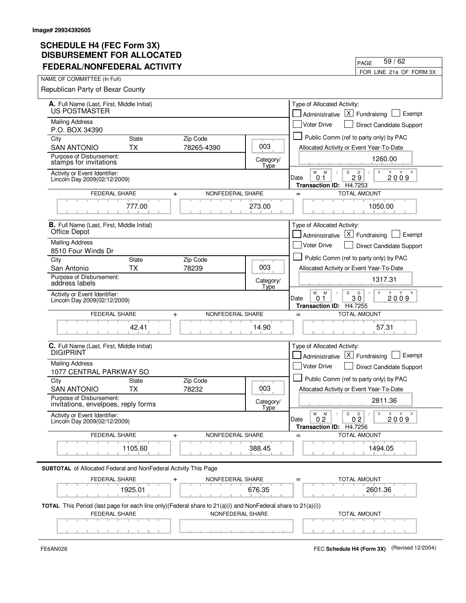| FEDERAL/NONFEDERAL ACTIVILI                                                                                                                                         |                   | FOR LINE 21a OF FORM 3X                                                                                                                           |
|---------------------------------------------------------------------------------------------------------------------------------------------------------------------|-------------------|---------------------------------------------------------------------------------------------------------------------------------------------------|
| NAME OF COMMIITTEE (In Full)                                                                                                                                        |                   |                                                                                                                                                   |
| Republican Party of Bexar County                                                                                                                                    |                   |                                                                                                                                                   |
| A. Full Name (Last, First, Middle Initial)<br>US POSTMASTER                                                                                                         |                   | Type of Allocated Activity:<br>$ X $ Fundraising<br>Exempt<br>Administrative                                                                      |
| <b>Mailing Address</b>                                                                                                                                              |                   | <b>Voter Drive</b><br>Direct Candidate Support                                                                                                    |
| P.O. BOX 34390<br>City<br><b>State</b><br>Zip Code                                                                                                                  |                   | Public Comm (ref to party only) by PAC                                                                                                            |
| <b>TX</b><br>78265-4390<br>SAN ANTONIO                                                                                                                              | 003               | Allocated Activity or Event Year-To-Date                                                                                                          |
| Purpose of Disbursement:<br>stamps for invitations                                                                                                                  | Category/<br>Type | 1260.00                                                                                                                                           |
| Activity or Event Identifier:<br>Lincoln Day 2009(02/12/2009)                                                                                                       |                   | M<br>D<br>M<br>D<br>Y<br>Y<br>Y<br>Y<br>29<br>2009<br>Date<br>0 <sub>1</sub><br>H4.7253<br><b>Transaction ID:</b>                                 |
| FEDERAL SHARE<br>NONFEDERAL SHARE<br>$\ddot{}$                                                                                                                      |                   | <b>TOTAL AMOUNT</b><br>$=$                                                                                                                        |
| 777.00                                                                                                                                                              | 273.00            | 1050.00                                                                                                                                           |
| <b>B.</b> Full Name (Last, First, Middle Initial)<br>Office Depot                                                                                                   |                   | Type of Allocated Activity:<br>$ X $ Fundraising<br>Exempt<br>Administrative                                                                      |
| <b>Mailing Address</b>                                                                                                                                              |                   | <b>Voter Drive</b><br><b>Direct Candidate Support</b>                                                                                             |
| 8510 Four Winds Dr<br>City<br>Zip Code<br><b>State</b>                                                                                                              |                   | Public Comm (ref to party only) by PAC                                                                                                            |
| <b>TX</b><br>78239<br>San Antonio                                                                                                                                   | 003               | Allocated Activity or Event Year-To-Date                                                                                                          |
| Purpose of Disbursement:<br>address labels                                                                                                                          | Category/<br>Type | 1317.31                                                                                                                                           |
| Activity or Event Identifier:<br>Lincoln Day 2009(02/12/2009)                                                                                                       |                   | м<br>M<br>D<br>Y<br>D<br>Y<br>Y Y<br>30<br>2009<br>Date<br>0<br>Transaction ID: H4.7255                                                           |
| <b>FEDERAL SHARE</b><br>NONFEDERAL SHARE<br>$\div$                                                                                                                  |                   | <b>TOTAL AMOUNT</b><br>$=$                                                                                                                        |
| 42.41                                                                                                                                                               | 14.90             | 57.31                                                                                                                                             |
| C. Full Name (Last, First, Middle Initial)<br><b>DIGIPRINT</b>                                                                                                      |                   | Type of Allocated Activity:<br>$ X $ Fundraising<br>Exempt<br>Administrative                                                                      |
| <b>Mailing Address</b><br>1077 CENTRAL PARKWAY SO                                                                                                                   |                   | <b>Voter Drive</b><br>Direct Candidate Support                                                                                                    |
| City<br>Zip Code<br><b>State</b>                                                                                                                                    |                   | Public Comm (ref to party only) by PAC                                                                                                            |
| 78232<br><b>SAN ANTONIO</b><br><b>TX</b><br>Purpose of Disbursement:                                                                                                | 003               | Allocated Activity or Event Year-To-Date                                                                                                          |
| invitations, envelpoes, reply forms                                                                                                                                 | Category/<br>Type | 2811.36                                                                                                                                           |
| Activity or Event Identifier:<br>Lincoln Day 2009(02/12/2009)                                                                                                       |                   | M<br>${\sf M}$<br>D<br>D<br>$\mathsf{Y}$<br>$Y - Y$<br>Y<br>$\sqrt{2}$<br>Date<br>0.2<br>0 <sub>2</sub><br>2009<br><b>Transaction ID: H4.7256</b> |
| <b>FEDERAL SHARE</b><br>NONFEDERAL SHARE<br>+                                                                                                                       |                   | <b>TOTAL AMOUNT</b>                                                                                                                               |
| 1105.60                                                                                                                                                             | 388.45            | 1494.05                                                                                                                                           |
| <b>SUBTOTAL</b> of Allocated Federal and NonFederal Activity This Page                                                                                              |                   |                                                                                                                                                   |
| FEDERAL SHARE<br>TOTAL AMOUNT<br>NONFEDERAL SHARE                                                                                                                   |                   |                                                                                                                                                   |
| 1925.01                                                                                                                                                             | 676.35            | 2601.36                                                                                                                                           |
| <b>TOTAL</b> This Period (last page for each line only)(Federal share to $21(a)(i)$ and NonFederal share to $21(a)(i))$<br><b>FEDERAL SHARE</b><br>NONFEDERAL SHARE |                   | <b>TOTAL AMOUNT</b>                                                                                                                               |
|                                                                                                                                                                     |                   |                                                                                                                                                   |

FE6AN026 FEC **Schedule H4 (Form 3X)** (Revised 12/2004)

PAGE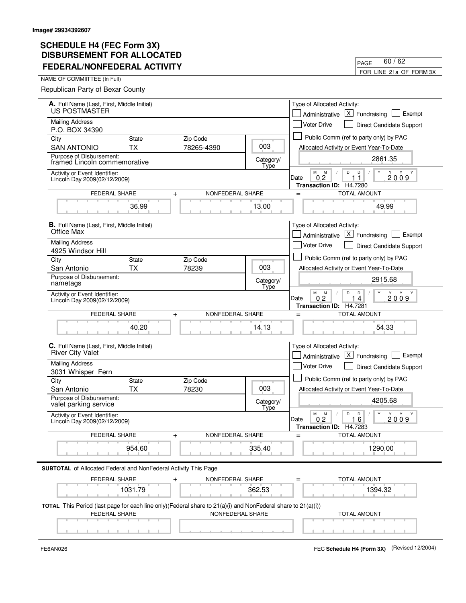| <u>FEVERAL/NUNFEVERAL AUTIVII 1</u>                                                                                                       |                                   |                                                             | FOR LINE 21a OF FORM 3X                                                                                                                        |  |
|-------------------------------------------------------------------------------------------------------------------------------------------|-----------------------------------|-------------------------------------------------------------|------------------------------------------------------------------------------------------------------------------------------------------------|--|
| NAME OF COMMIITTEE (In Full)                                                                                                              |                                   |                                                             |                                                                                                                                                |  |
| Republican Party of Bexar County                                                                                                          |                                   |                                                             |                                                                                                                                                |  |
|                                                                                                                                           |                                   |                                                             | Type of Allocated Activity:                                                                                                                    |  |
| A. Full Name (Last, First, Middle Initial)<br>US POSTMASTER                                                                               |                                   | $\lfloor x \rfloor$ Fundraising<br>Exempt<br>Administrative |                                                                                                                                                |  |
| <b>Mailing Address</b>                                                                                                                    |                                   |                                                             |                                                                                                                                                |  |
| P.O. BOX 34390                                                                                                                            |                                   |                                                             | <b>Voter Drive</b><br>Direct Candidate Support                                                                                                 |  |
| City<br><b>State</b>                                                                                                                      | Zip Code                          |                                                             | Public Comm (ref to party only) by PAC                                                                                                         |  |
| <b>SAN ANTONIO</b><br><b>TX</b>                                                                                                           | 78265-4390                        | 003                                                         | Allocated Activity or Event Year-To-Date                                                                                                       |  |
| Purpose of Disbursement:<br>framed Lincoln commemorative                                                                                  |                                   | Category/<br>Type                                           | 2861.35                                                                                                                                        |  |
| Activity or Event Identifier:<br>Lincoln Day 2009(02/12/2009)                                                                             |                                   |                                                             | м<br>M<br>D<br>D<br>Y<br>0.2<br>2009<br>Date<br>$\mathbf{1}$<br>H4.7280<br><b>Transaction ID:</b>                                              |  |
| <b>FEDERAL SHARE</b>                                                                                                                      | NONFEDERAL SHARE<br>$\ddag$       |                                                             | <b>TOTAL AMOUNT</b><br>$=$                                                                                                                     |  |
| 36.99                                                                                                                                     |                                   | 13.00                                                       | 49.99                                                                                                                                          |  |
| <b>B.</b> Full Name (Last, First, Middle Initial)                                                                                         |                                   |                                                             | Type of Allocated Activity:                                                                                                                    |  |
| Office Max                                                                                                                                |                                   |                                                             | $ X $ Fundraising<br>Exempt<br>Administrative                                                                                                  |  |
| <b>Mailing Address</b>                                                                                                                    |                                   |                                                             | <b>Voter Drive</b><br><b>Direct Candidate Support</b>                                                                                          |  |
| 4925 Windsor Hill                                                                                                                         |                                   |                                                             |                                                                                                                                                |  |
| City<br><b>State</b>                                                                                                                      | Zip Code                          | 003                                                         | Public Comm (ref to party only) by PAC                                                                                                         |  |
| San Antonio<br><b>TX</b><br>Purpose of Disbursement:                                                                                      | 78239                             |                                                             | Allocated Activity or Event Year-To-Date                                                                                                       |  |
| nametags                                                                                                                                  |                                   | Category/<br>Type                                           | 2915.68                                                                                                                                        |  |
| Activity or Event Identifier:                                                                                                             |                                   |                                                             | M<br>D<br>M<br>D<br>Y<br>Y Y                                                                                                                   |  |
| Lincoln Day 2009(02/12/2009)                                                                                                              |                                   |                                                             | 0 <sub>2</sub><br>$\overline{4}$<br>2009<br>Date<br>1<br>Transaction ID: H4.7281                                                               |  |
| FEDERAL SHARE                                                                                                                             | NONFEDERAL SHARE<br>$\ddot{}$     |                                                             | <b>TOTAL AMOUNT</b><br>$=$                                                                                                                     |  |
|                                                                                                                                           |                                   |                                                             |                                                                                                                                                |  |
| 40.20                                                                                                                                     |                                   | 14.13                                                       | 54.33                                                                                                                                          |  |
| C. Full Name (Last, First, Middle Initial)                                                                                                |                                   |                                                             | Type of Allocated Activity:                                                                                                                    |  |
| <b>River City Valet</b>                                                                                                                   |                                   |                                                             | $ X $ Fundraising<br>Exempt<br>Administrative                                                                                                  |  |
| <b>Mailing Address</b>                                                                                                                    |                                   |                                                             | <b>Voter Drive</b><br><b>Direct Candidate Support</b>                                                                                          |  |
| 3031 Whisper Fern                                                                                                                         |                                   |                                                             | Public Comm (ref to party only) by PAC                                                                                                         |  |
| City<br><b>State</b><br><b>TX</b><br>San Antonio                                                                                          | Zip Code<br>78230                 | 003                                                         | Allocated Activity or Event Year-To-Date                                                                                                       |  |
| Purpose of Disbursement:                                                                                                                  |                                   |                                                             |                                                                                                                                                |  |
| valet parking service                                                                                                                     |                                   | Category/<br>Type                                           | 4205.68                                                                                                                                        |  |
| Activity or Event Identifier:<br>Lincoln Day 2009(02/12/2009)                                                                             |                                   |                                                             | ${\sf M}$<br>$\mathsf D$<br>Y<br>Y Y<br>М<br>D<br>Y<br>$\sqrt{2}$<br>0 <sub>2</sub><br>2009<br>Date<br>16<br><b>Transaction ID:</b><br>H4.7283 |  |
| FEDERAL SHARE                                                                                                                             | NONFEDERAL SHARE<br>$\pm$         |                                                             | <b>TOTAL AMOUNT</b><br>$=$                                                                                                                     |  |
| 954.60                                                                                                                                    |                                   | 335.40                                                      | 1290.00                                                                                                                                        |  |
| SUBTOTAL of Allocated Federal and NonFederal Activity This Page                                                                           |                                   |                                                             |                                                                                                                                                |  |
|                                                                                                                                           |                                   |                                                             |                                                                                                                                                |  |
|                                                                                                                                           | FEDERAL SHARE<br>NONFEDERAL SHARE |                                                             | <b>TOTAL AMOUNT</b>                                                                                                                            |  |
| 1031.79                                                                                                                                   |                                   | 362.53                                                      | 1394.32                                                                                                                                        |  |
| <b>TOTAL</b> This Period (last page for each line only)(Federal share to $21(a)(i)$ and NonFederal share to $21(a)(i)$ )<br>FEDERAL SHARE | NONFEDERAL SHARE                  |                                                             | <b>TOTAL AMOUNT</b>                                                                                                                            |  |
|                                                                                                                                           |                                   |                                                             |                                                                                                                                                |  |
|                                                                                                                                           |                                   |                                                             |                                                                                                                                                |  |

 $\blacksquare$ 

FE6AN026 FEC **Schedule H4 (Form 3X)** (Revised 12/2004)

PAGE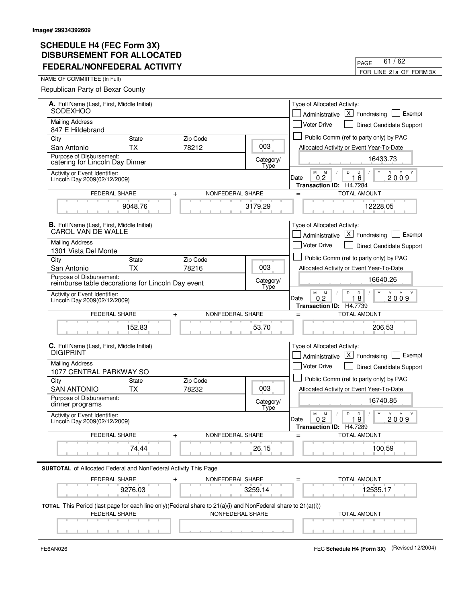| I LULINAL/NONI LULINAL ACTIVITT                                                                                                                          |                   | FOR LINE 21a OF FORM 3X                                                                                      |
|----------------------------------------------------------------------------------------------------------------------------------------------------------|-------------------|--------------------------------------------------------------------------------------------------------------|
| NAME OF COMMIITTEE (In Full)                                                                                                                             |                   |                                                                                                              |
| Republican Party of Bexar County                                                                                                                         |                   |                                                                                                              |
| A. Full Name (Last, First, Middle Initial)                                                                                                               |                   | Type of Allocated Activity:                                                                                  |
| <b>SODEXHOO</b>                                                                                                                                          |                   | $\times$<br>Exempt<br>Fundraising<br>Administrative                                                          |
| <b>Mailing Address</b><br>847 E Hildebrand                                                                                                               |                   | <b>Voter Drive</b><br>Direct Candidate Support                                                               |
| City<br><b>State</b><br>Zip Code                                                                                                                         |                   | Public Comm (ref to party only) by PAC                                                                       |
| ТX<br>78212<br>San Antonio                                                                                                                               | 003               | Allocated Activity or Event Year-To-Date                                                                     |
| Purpose of Disbursement:<br>catering for Lincoln Day Dinner                                                                                              | Category/<br>Type | 16433.73                                                                                                     |
| Activity or Event Identifier:<br>Lincoln Day 2009(02/12/2009)                                                                                            |                   | M<br>M<br>D<br>D<br>Y<br>Y<br>Y<br>2009<br>0 <sub>2</sub><br>16<br>Date<br>H4.7284<br><b>Transaction ID:</b> |
| <b>FEDERAL SHARE</b><br>$\pmb{+}$                                                                                                                        | NONFEDERAL SHARE  | <b>TOTAL AMOUNT</b><br>$=$                                                                                   |
| 9048.76                                                                                                                                                  | 3179.29           | 12228.05                                                                                                     |
| <b>B.</b> Full Name (Last, First, Middle Initial)<br>CAROL VAN DE WALLE                                                                                  |                   | Type of Allocated Activity:<br>$X$ Fundraising<br>Exempt<br>Administrative                                   |
| <b>Mailing Address</b>                                                                                                                                   |                   | <b>Voter Drive</b><br>Direct Candidate Support                                                               |
| 1301 Vista Del Monte                                                                                                                                     |                   | Public Comm (ref to party only) by PAC                                                                       |
| City<br>Zip Code<br><b>State</b><br>78216<br>ТX<br>San Antonio                                                                                           | 003               | Allocated Activity or Event Year-To-Date                                                                     |
| Purpose of Disbursement:<br>reimburse table decorations for Lincoln Day event                                                                            | Category/<br>Type | 16640.26                                                                                                     |
| Activity or Event Identifier:<br>Lincoln Day 2009(02/12/2009)                                                                                            |                   | M<br>M<br>D<br>D<br>0.2<br>18<br>2009<br>Date<br><b>Transaction ID:</b><br>H4.7739                           |
| FEDERAL SHARE<br>NONFEDERAL SHARE<br>$\ddot{}$                                                                                                           |                   | <b>TOTAL AMOUNT</b><br>$=$                                                                                   |
| 152.83                                                                                                                                                   | 53.70             | 206.53                                                                                                       |
| C. Full Name (Last, First, Middle Initial)<br><b>DIGIPRINT</b>                                                                                           |                   | Type of Allocated Activity:<br>$\lfloor x \rfloor$<br>Exempt<br>Administrative<br>Fundraising                |
| <b>Mailing Address</b>                                                                                                                                   |                   | Voter Drive<br>Direct Candidate Support                                                                      |
| 1077 CENTRAL PARKWAY SO                                                                                                                                  |                   |                                                                                                              |
| City<br><b>State</b><br>Zip Code<br>78232<br><b>SAN ANTONIO</b><br>ТX                                                                                    | 003               | Public Comm (ref to party only) by PAC<br>Allocated Activity or Event Year-To-Date                           |
| Purpose of Disbursement:<br>dinner programs                                                                                                              | Category/         | 16740.85                                                                                                     |
| Activity or Event Identifier:<br>Lincoln Day 2009(02/12/2009)                                                                                            | Type              | М<br>D<br>$\mathsf{Y}$<br>Y<br>M<br>D<br>Y<br>Y<br>Date<br>0.2<br>19<br>2009                                 |
| FEDERAL SHARE<br>$\,{}^+$                                                                                                                                | NONFEDERAL SHARE  | Transaction ID: H4.7289<br><b>TOTAL AMOUNT</b>                                                               |
|                                                                                                                                                          |                   |                                                                                                              |
| 74.44                                                                                                                                                    | 26.15             | 100.59                                                                                                       |
| <b>SUBTOTAL</b> of Allocated Federal and NonFederal Activity This Page                                                                                   |                   |                                                                                                              |
| FEDERAL SHARE<br>NONFEDERAL SHARE                                                                                                                        |                   | <b>TOTAL AMOUNT</b>                                                                                          |
| 9276.03                                                                                                                                                  | 3259.14           | 12535.17                                                                                                     |
| TOTAL This Period (last page for each line only)(Federal share to 21(a)(i) and NonFederal share to 21(a)(i))<br>NONFEDERAL SHARE<br><b>FEDERAL SHARE</b> |                   | <b>TOTAL AMOUNT</b>                                                                                          |
|                                                                                                                                                          |                   |                                                                                                              |
|                                                                                                                                                          |                   |                                                                                                              |

FE6AN026 FEC **Schedule H4 (Form 3X)** (Revised 12/2004)

PAGE